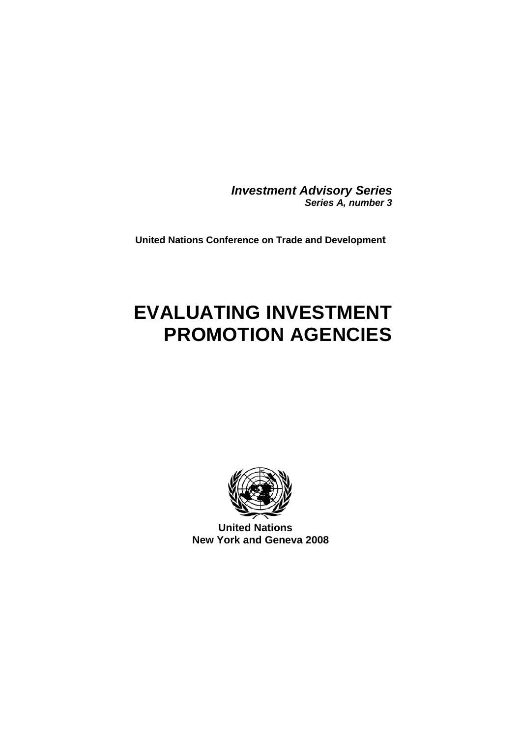*Investment Advisory Series Series A, number 3*

**United Nations Conference on Trade and Development**

# **EVALUATING INVESTMENT PROMOTION AGENCIES**



**United Nations New York and Geneva 2008**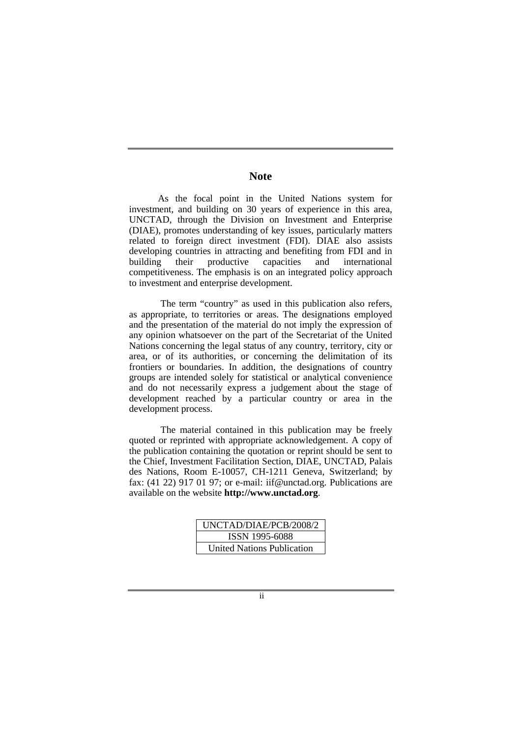# **Note**

As the focal point in the United Nations system for investment, and building on 30 years of experience in this area, UNCTAD, through the Division on Investment and Enterprise (DIAE), promotes understanding of key issues, particularly matters related to foreign direct investment (FDI). DIAE also assists developing countries in attracting and benefiting from FDI and in building their productive capacities and international competitiveness. The emphasis is on an integrated policy approach to investment and enterprise development.

The term "country" as used in this publication also refers, as appropriate, to territories or areas. The designations employed and the presentation of the material do not imply the expression of any opinion whatsoever on the part of the Secretariat of the United Nations concerning the legal status of any country, territory, city or area, or of its authorities, or concerning the delimitation of its frontiers or boundaries. In addition, the designations of country groups are intended solely for statistical or analytical convenience and do not necessarily express a judgement about the stage of development reached by a particular country or area in the development process.

The material contained in this publication may be freely quoted or reprinted with appropriate acknowledgement. A copy of the publication containing the quotation or reprint should be sent to the Chief, Investment Facilitation Section, DIAE, UNCTAD, Palais des Nations, Room E-10057, CH-1211 Geneva, Switzerland; by fax: (41 22) 917 01 97; or e-mail: iif@unctad.org. Publications are available on the website **http://www.unctad.org**.

| UNCTAD/DIAE/PCB/2008/2     |
|----------------------------|
| ISSN 1995-6088             |
| United Nations Publication |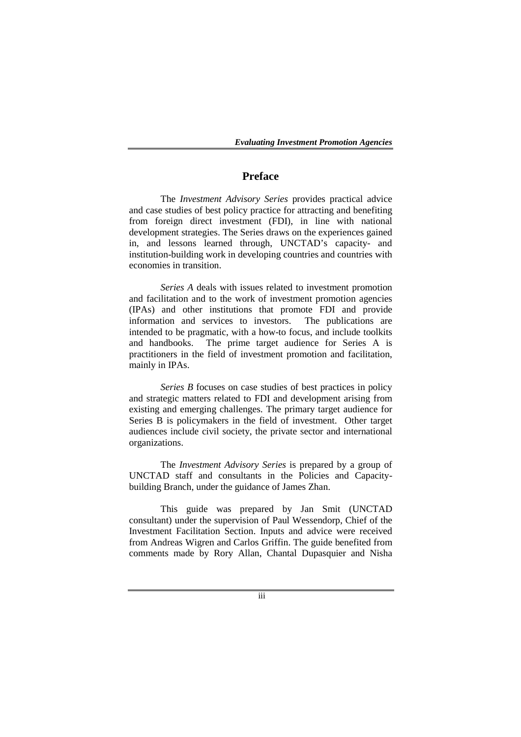# **Preface**

The *Investment Advisory Series* provides practical advice and case studies of best policy practice for attracting and benefiting from foreign direct investment (FDI), in line with national development strategies. The Series draws on the experiences gained in, and lessons learned through, UNCTAD's capacity- and institution-building work in developing countries and countries with economies in transition.

*Series A* deals with issues related to investment promotion and facilitation and to the work of investment promotion agencies (IPAs) and other institutions that promote FDI and provide information and services to investors. intended to be pragmatic, with a how-to focus, and include toolkits and handbooks. The prime target audience for Series A is practitioners in the field of investment promotion and facilitation, mainly in IPAs.

*Series B* focuses on case studies of best practices in policy and strategic matters related to FDI and development arising from existing and emerging challenges. The primary target audience for Series B is policymakers in the field of investment. Other target audiences include civil society, the private sector and international organizations.

The *Investment Advisory Series* is prepared by a group of UNCTAD staff and consultants in the Policies and Capacitybuilding Branch, under the guidance of James Zhan.

This guide was prepared by Jan Smit (UNCTAD consultant) under the supervision of Paul Wessendorp, Chief of the Investment Facilitation Section. Inputs and advice were received from Andreas Wigren and Carlos Griffin. The guide benefited from comments made by Rory Allan, Chantal Dupasquier and Nisha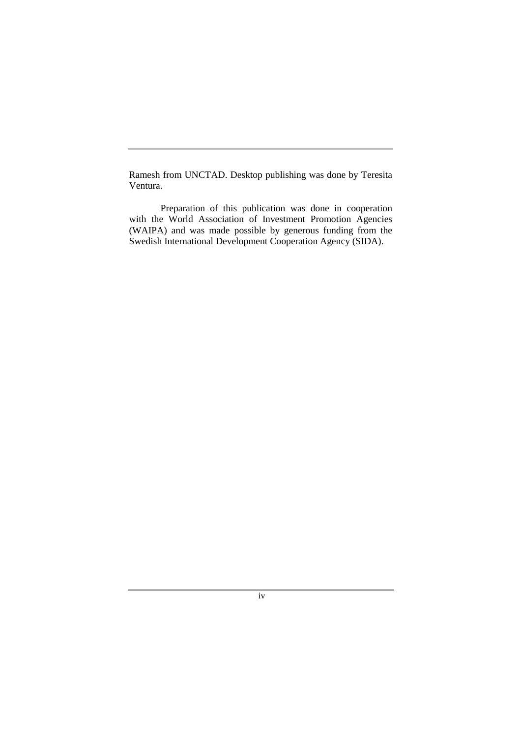Ramesh from UNCTAD. Desktop publishing was done by Teresita Ventura.

Preparation of this publication was done in cooperation with the World Association of Investment Promotion Agencies (WAIPA) and was made possible by generous funding from the Swedish International Development Cooperation Agency (SIDA).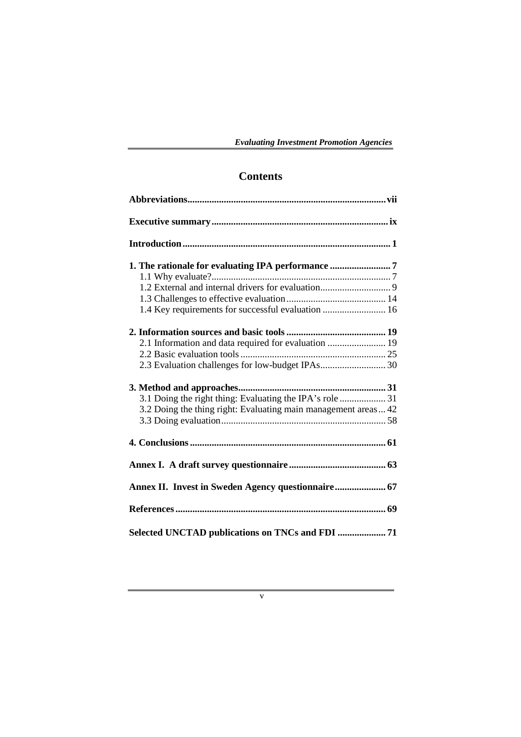# **Contents**

| 1. The rationale for evaluating IPA performance 7              |
|----------------------------------------------------------------|
|                                                                |
| 1.4 Key requirements for successful evaluation  16             |
|                                                                |
| 2.1 Information and data required for evaluation  19           |
|                                                                |
|                                                                |
|                                                                |
|                                                                |
| 3.2 Doing the thing right: Evaluating main management areas 42 |
|                                                                |
|                                                                |
|                                                                |
|                                                                |
|                                                                |
|                                                                |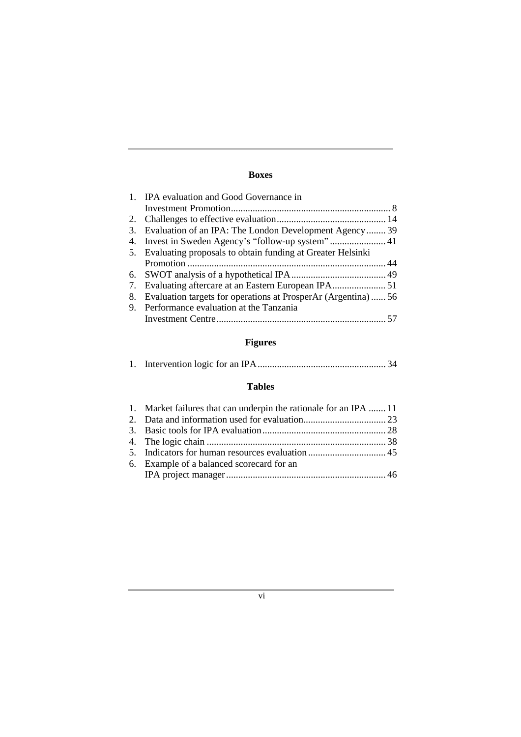# **Boxes**

|    | 1. IPA evaluation and Good Governance in                      |  |
|----|---------------------------------------------------------------|--|
|    |                                                               |  |
|    |                                                               |  |
| 3. | Evaluation of an IPA: The London Development Agency 39        |  |
| 4. |                                                               |  |
|    | 5. Evaluating proposals to obtain funding at Greater Helsinki |  |
|    |                                                               |  |
|    |                                                               |  |
| 7. |                                                               |  |
| 8. | Evaluation targets for operations at ProsperAr (Argentina)56  |  |
| 9. | Performance evaluation at the Tanzania                        |  |
|    |                                                               |  |
|    |                                                               |  |

# **Figures**

|--|--|--|

# **Tables**

| 1. Market failures that can underpin the rationale for an IPA  11 |  |
|-------------------------------------------------------------------|--|
|                                                                   |  |
|                                                                   |  |
|                                                                   |  |
|                                                                   |  |
| 6. Example of a balanced scorecard for an                         |  |
|                                                                   |  |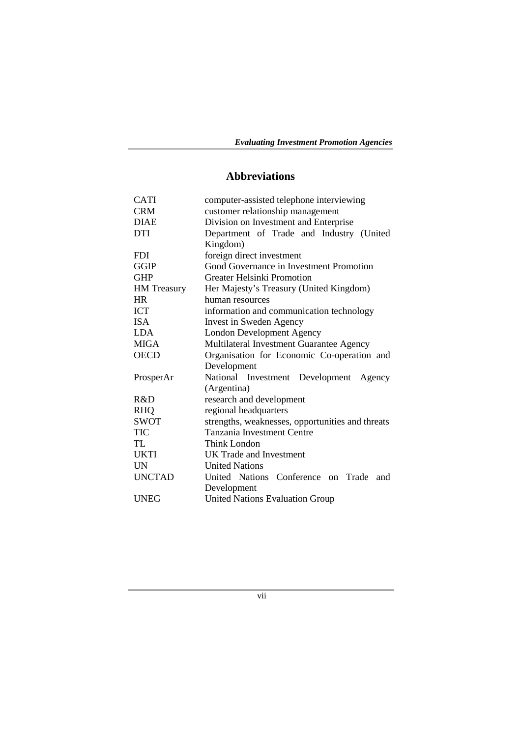# **Abbreviations**

| <b>CATI</b>        | computer-assisted telephone interviewing         |  |  |  |
|--------------------|--------------------------------------------------|--|--|--|
| <b>CRM</b>         | customer relationship management                 |  |  |  |
| <b>DIAE</b>        | Division on Investment and Enterprise            |  |  |  |
| <b>DTI</b>         | Department of Trade and Industry (United         |  |  |  |
|                    | Kingdom)                                         |  |  |  |
| <b>FDI</b>         | foreign direct investment                        |  |  |  |
| <b>GGIP</b>        | Good Governance in Investment Promotion          |  |  |  |
| <b>GHP</b>         | <b>Greater Helsinki Promotion</b>                |  |  |  |
| <b>HM</b> Treasury | Her Majesty's Treasury (United Kingdom)          |  |  |  |
| <b>HR</b>          | human resources                                  |  |  |  |
| <b>ICT</b>         | information and communication technology         |  |  |  |
| <b>ISA</b>         | Invest in Sweden Agency                          |  |  |  |
| <b>LDA</b>         | <b>London Development Agency</b>                 |  |  |  |
| <b>MIGA</b>        | Multilateral Investment Guarantee Agency         |  |  |  |
| <b>OECD</b>        | Organisation for Economic Co-operation and       |  |  |  |
|                    | Development                                      |  |  |  |
| ProsperAr          | National Investment Development Agency           |  |  |  |
|                    | (Argentina)                                      |  |  |  |
| R&D                | research and development                         |  |  |  |
| <b>RHQ</b>         | regional headquarters                            |  |  |  |
| <b>SWOT</b>        | strengths, weaknesses, opportunities and threats |  |  |  |
| TIC                | <b>Tanzania Investment Centre</b>                |  |  |  |
| TL.                | <b>Think London</b>                              |  |  |  |
| <b>UKTI</b>        | UK Trade and Investment                          |  |  |  |
| <b>UN</b>          | <b>United Nations</b>                            |  |  |  |
| <b>UNCTAD</b>      | United Nations Conference on Trade<br>and        |  |  |  |
|                    | Development                                      |  |  |  |
| <b>UNEG</b>        | <b>United Nations Evaluation Group</b>           |  |  |  |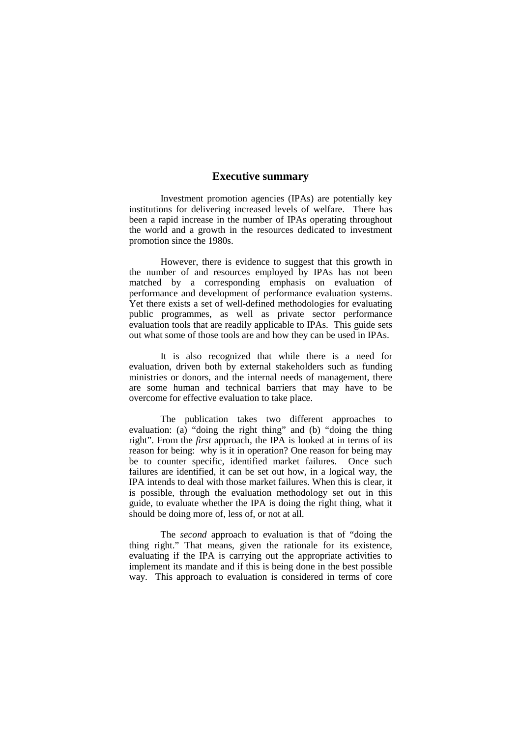# **Executive summary**

Investment promotion agencies (IPAs) are potentially key institutions for delivering increased levels of welfare. There has been a rapid increase in the number of IPAs operating throughout the world and a growth in the resources dedicated to investment promotion since the 1980s.

However, there is evidence to suggest that this growth in the number of and resources employed by IPAs has not been matched by a corresponding emphasis on evaluation of performance and development of performance evaluation systems. Yet there exists a set of well-defined methodologies for evaluating public programmes, as well as private sector performance evaluation tools that are readily applicable to IPAs. This guide sets out what some of those tools are and how they can be used in IPAs.

It is also recognized that while there is a need for evaluation, driven both by external stakeholders such as funding ministries or donors, and the internal needs of management, there are some human and technical barriers that may have to be overcome for effective evaluation to take place.

The publication takes two different approaches to evaluation: (a) "doing the right thing" and (b) "doing the thing right". From the *first* approach, the IPA is looked at in terms of its reason for being: why is it in operation? One reason for being may be to counter specific, identified market failures. Once such failures are identified, it can be set out how, in a logical way, the IPA intends to deal with those market failures. When this is clear, it is possible, through the evaluation methodology set out in this guide, to evaluate whether the IPA is doing the right thing, what it should be doing more of, less of, or not at all.

The *second* approach to evaluation is that of "doing the thing right." That means, given the rationale for its existence, evaluating if the IPA is carrying out the appropriate activities to implement its mandate and if this is being done in the best possible way. This approach to evaluation is considered in terms of core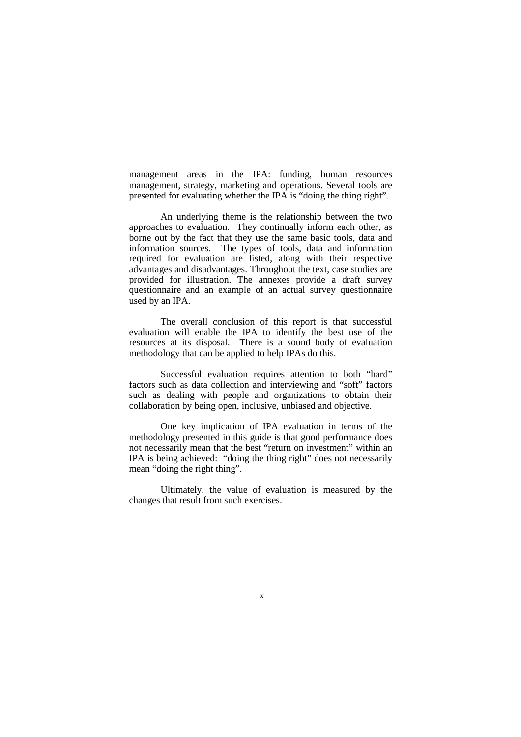management areas in the IPA: funding, human resources management, strategy, marketing and operations. Several tools are presented for evaluating whether the IPA is "doing the thing right".

An underlying theme is the relationship between the two approaches to evaluation. They continually inform each other, as borne out by the fact that they use the same basic tools, data and information sources. The types of tools, data and information required for evaluation are listed, along with their respective advantages and disadvantages. Throughout the text, case studies are provided for illustration. The annexes provide a draft survey questionnaire and an example of an actual survey questionnaire used by an IPA.

The overall conclusion of this report is that successful evaluation will enable the IPA to identify the best use of the resources at its disposal. There is a sound body of evaluation methodology that can be applied to help IPAs do this.

Successful evaluation requires attention to both "hard" factors such as data collection and interviewing and "soft" factors such as dealing with people and organizations to obtain their collaboration by being open, inclusive, unbiased and objective.

One key implication of IPA evaluation in terms of the methodology presented in this guide is that good performance does not necessarily mean that the best "return on investment" within an IPA is being achieved: "doing the thing right" does not necessarily mean "doing the right thing".

Ultimately, the value of evaluation is measured by the changes that result from such exercises.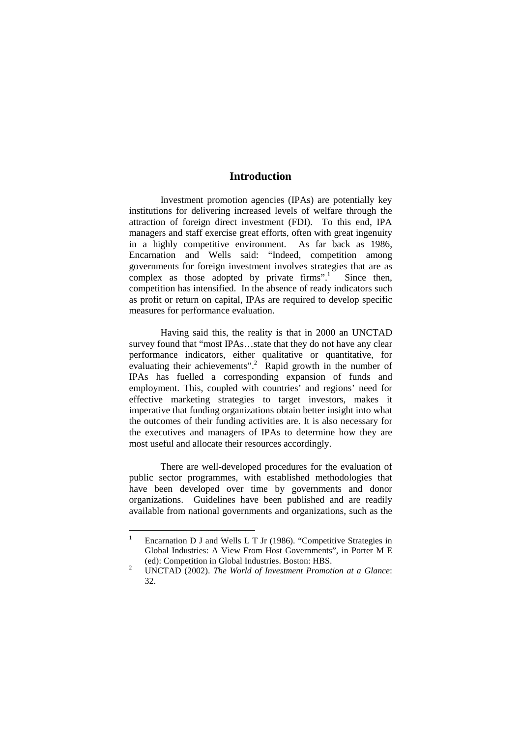# **Introduction**

Investment promotion agencies (IPAs) are potentially key institutions for delivering increased levels of welfare through the attraction of foreign direct investment (FDI). To this end, IPA managers and staff exercise great efforts, often with great ingenuity in a highly competitive environment. As far back as 1986, Encarnation and Wells said: "Indeed, competition among governments for foreign investment involves strategies that are as complex as those adopted by private firms".<sup>1</sup> Since then, competition has intensified. In the absence of ready indicators such as profit or return on capital, IPAs are required to develop specific measures for performance evaluation.

Having said this, the reality is that in 2000 an UNCTAD survey found that "most IPAs…state that they do not have any clear performance indicators, either qualitative or quantitative, for evaluating their achievements".<sup>2</sup> Rapid growth in the number of IPAs has fuelled a corresponding expansion of funds and employment. This, coupled with countries' and regions' need for effective marketing strategies to target investors, makes it imperative that funding organizations obtain better insight into what the outcomes of their funding activities are. It is also necessary for the executives and managers of IPAs to determine how they are most useful and allocate their resources accordingly.

There are well-developed procedures for the evaluation of public sector programmes, with established methodologies that have been developed over time by governments and donor organizations. Guidelines have been published and are readily available from national governments and organizations, such as the

<sup>1</sup> Encarnation D J and Wells L T Jr (1986). "Competitive Strategies in Global Industries: A View From Host Governments", in Porter M E (ed): Competition in Global Industries. Boston: HBS. 2

UNCTAD (2002). *The World of Investment Promotion at a Glance*: 32.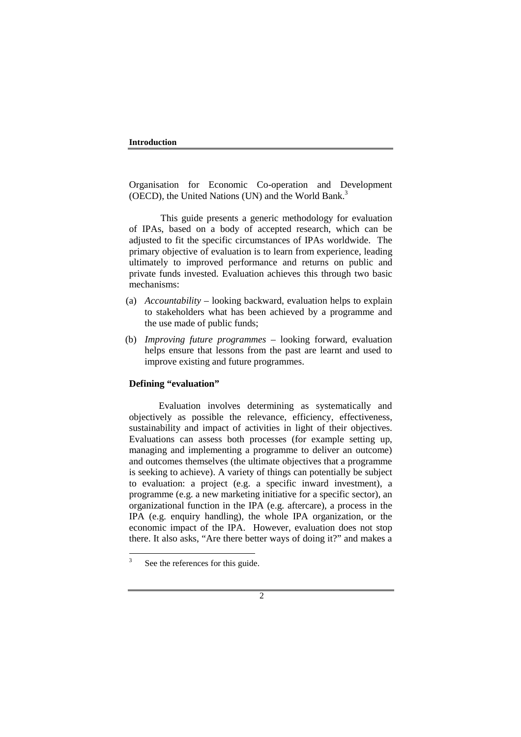Organisation for Economic Co-operation and Development (OECD), the United Nations (UN) and the World Bank.<sup>3</sup>

This guide presents a generic methodology for evaluation of IPAs, based on a body of accepted research, which can be adjusted to fit the specific circumstances of IPAs worldwide. The primary objective of evaluation is to learn from experience, leading ultimately to improved performance and returns on public and private funds invested. Evaluation achieves this through two basic mechanisms:

- (a) *Accountability* looking backward, evaluation helps to explain to stakeholders what has been achieved by a programme and the use made of public funds;
- (b) *Improving future programmes*  looking forward, evaluation helps ensure that lessons from the past are learnt and used to improve existing and future programmes.

## **Defining "evaluation"**

Evaluation involves determining as systematically and objectively as possible the relevance, efficiency, effectiveness, sustainability and impact of activities in light of their objectives. Evaluations can assess both processes (for example setting up, managing and implementing a programme to deliver an outcome) and outcomes themselves (the ultimate objectives that a programme is seeking to achieve). A variety of things can potentially be subject to evaluation: a project (e.g. a specific inward investment), a programme (e.g. a new marketing initiative for a specific sector), an organizational function in the IPA (e.g. aftercare), a process in the IPA (e.g. enquiry handling), the whole IPA organization, or the economic impact of the IPA. However, evaluation does not stop there. It also asks, "Are there better ways of doing it?" and makes a

<sup>3</sup> See the references for this guide.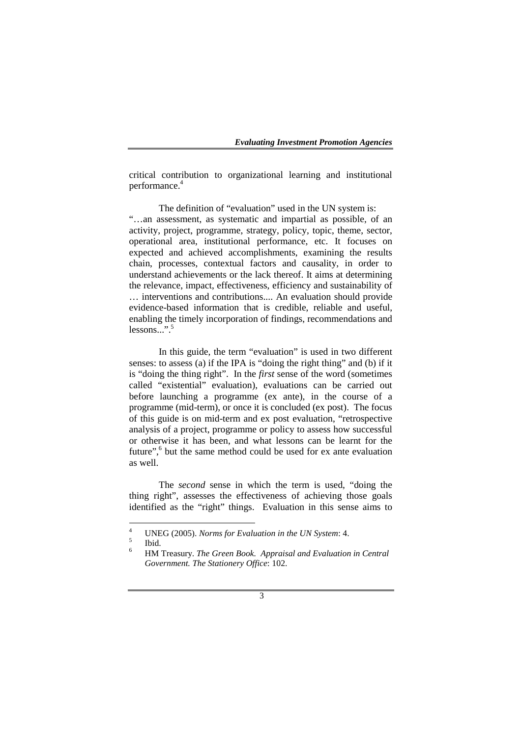critical contribution to organizational learning and institutional performance.4

The definition of "evaluation" used in the UN system is: "…an assessment, as systematic and impartial as possible, of an activity, project, programme, strategy, policy, topic, theme, sector, operational area, institutional performance, etc. It focuses on expected and achieved accomplishments, examining the results chain, processes, contextual factors and causality, in order to understand achievements or the lack thereof. It aims at determining the relevance, impact, effectiveness, efficiency and sustainability of … interventions and contributions.... An evaluation should provide evidence-based information that is credible, reliable and useful, enabling the timely incorporation of findings, recommendations and lessons...".5

In this guide, the term "evaluation" is used in two different senses: to assess (a) if the IPA is "doing the right thing" and (b) if it is "doing the thing right". In the *first* sense of the word (sometimes called "existential" evaluation), evaluations can be carried out before launching a programme (ex ante), in the course of a programme (mid-term), or once it is concluded (ex post). The focus of this guide is on mid-term and ex post evaluation, "retrospective analysis of a project, programme or policy to assess how successful or otherwise it has been, and what lessons can be learnt for the future",<sup>6</sup> but the same method could be used for ex ante evaluation as well.

The *second* sense in which the term is used, "doing the thing right", assesses the effectiveness of achieving those goals identified as the "right" things. Evaluation in this sense aims to

<sup>4</sup> <sup>4</sup> UNEG (2005). *Norms for Evaluation in the UN System*: 4.

Ibid.

<sup>6</sup> HM Treasury. *The Green Book. Appraisal and Evaluation in Central Government. The Stationery Office*: 102.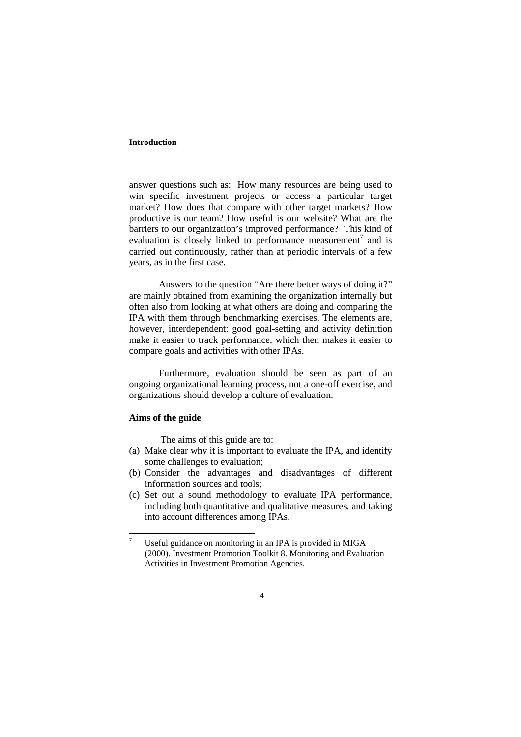#### **Introduction**

answer questions such as: How many resources are being used to win specific investment projects or access a particular target market? How does that compare with other target markets? How productive is our team? How useful is our website? What are the barriers to our organization's improved performance? This kind of evaluation is closely linked to performance measurement<sup>7</sup> and is carried out continuously, rather than at periodic intervals of a few years, as in the first case.

Answers to the question "Are there better ways of doing it?" are mainly obtained from examining the organization internally but often also from looking at what others are doing and comparing the IPA with them through benchmarking exercises. The elements are, however, interdependent: good goal-setting and activity definition make it easier to track performance, which then makes it easier to compare goals and activities with other IPAs.

Furthermore, evaluation should be seen as part of an ongoing organizational learning process, not a one-off exercise, and organizations should develop a culture of evaluation.

#### **Aims of the guide**

The aims of this guide are to:

- (a) Make clear why it is important to evaluate the IPA, and identify some challenges to evaluation;
- (b) Consider the advantages and disadvantages of different information sources and tools;
- (c) Set out a sound methodology to evaluate IPA performance, including both quantitative and qualitative measures, and taking into account differences among IPAs.

<sup>7</sup> Useful guidance on monitoring in an IPA is provided in MIGA (2000). Investment Promotion Toolkit 8. Monitoring and Evaluation Activities in Investment Promotion Agencies.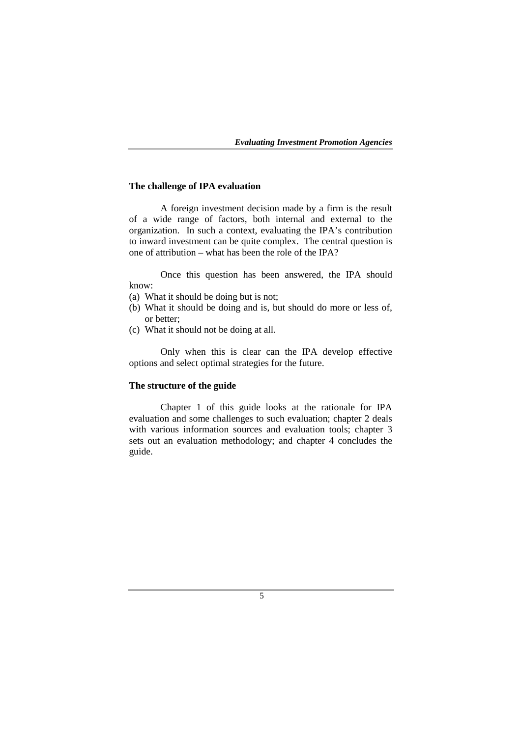#### **The challenge of IPA evaluation**

A foreign investment decision made by a firm is the result of a wide range of factors, both internal and external to the organization. In such a context, evaluating the IPA's contribution to inward investment can be quite complex. The central question is one of attribution – what has been the role of the IPA?

Once this question has been answered, the IPA should know:

- (a) What it should be doing but is not;
- (b) What it should be doing and is, but should do more or less of, or better;
- (c) What it should not be doing at all.

Only when this is clear can the IPA develop effective options and select optimal strategies for the future.

#### **The structure of the guide**

Chapter 1 of this guide looks at the rationale for IPA evaluation and some challenges to such evaluation; chapter 2 deals with various information sources and evaluation tools; chapter 3 sets out an evaluation methodology; and chapter 4 concludes the guide.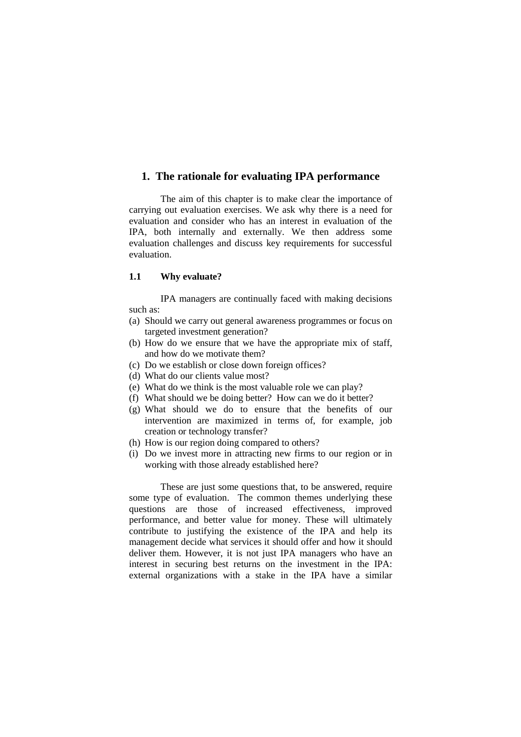# **1. The rationale for evaluating IPA performance**

The aim of this chapter is to make clear the importance of carrying out evaluation exercises. We ask why there is a need for evaluation and consider who has an interest in evaluation of the IPA, both internally and externally. We then address some evaluation challenges and discuss key requirements for successful evaluation.

# **1.1 Why evaluate?**

IPA managers are continually faced with making decisions such as:

- (a) Should we carry out general awareness programmes or focus on targeted investment generation?
- (b) How do we ensure that we have the appropriate mix of staff, and how do we motivate them?
- (c) Do we establish or close down foreign offices?
- (d) What do our clients value most?
- (e) What do we think is the most valuable role we can play?
- (f) What should we be doing better? How can we do it better?
- (g) What should we do to ensure that the benefits of our intervention are maximized in terms of, for example, job creation or technology transfer?
- (h) How is our region doing compared to others?
- (i) Do we invest more in attracting new firms to our region or in working with those already established here?

These are just some questions that, to be answered, require some type of evaluation. The common themes underlying these questions are those of increased effectiveness, improved performance, and better value for money. These will ultimately contribute to justifying the existence of the IPA and help its management decide what services it should offer and how it should deliver them. However, it is not just IPA managers who have an interest in securing best returns on the investment in the IPA: external organizations with a stake in the IPA have a similar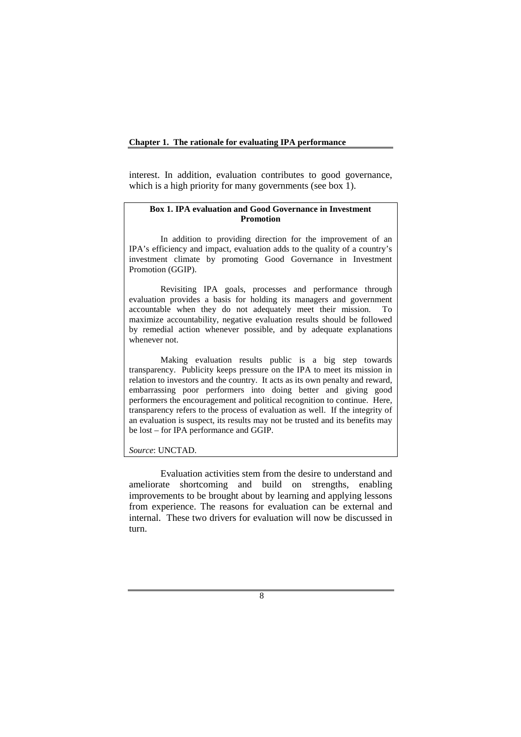#### **Chapter 1. The rationale for evaluating IPA performance**

interest. In addition, evaluation contributes to good governance, which is a high priority for many governments (see box 1).

#### **Box 1. IPA evaluation and Good Governance in Investment Promotion**

In addition to providing direction for the improvement of an IPA's efficiency and impact, evaluation adds to the quality of a country's investment climate by promoting Good Governance in Investment Promotion (GGIP).

Revisiting IPA goals, processes and performance through evaluation provides a basis for holding its managers and government accountable when they do not adequately meet their mission. To maximize accountability, negative evaluation results should be followed by remedial action whenever possible, and by adequate explanations whenever not.

Making evaluation results public is a big step towards transparency. Publicity keeps pressure on the IPA to meet its mission in relation to investors and the country. It acts as its own penalty and reward, embarrassing poor performers into doing better and giving good performers the encouragement and political recognition to continue. Here, transparency refers to the process of evaluation as well. If the integrity of an evaluation is suspect, its results may not be trusted and its benefits may be lost – for IPA performance and GGIP.

*Source*: UNCTAD.

Evaluation activities stem from the desire to understand and ameliorate shortcoming and build on strengths, enabling improvements to be brought about by learning and applying lessons from experience. The reasons for evaluation can be external and internal. These two drivers for evaluation will now be discussed in turn.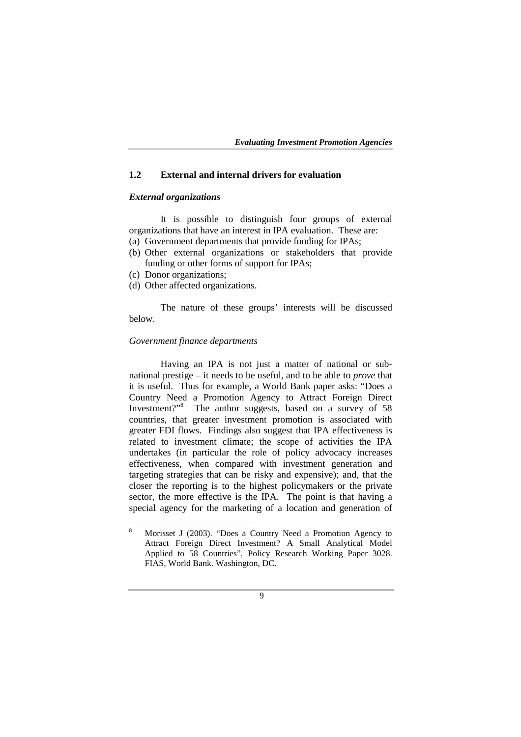#### **1.2 External and internal drivers for evaluation**

# *External organizations*

It is possible to distinguish four groups of external organizations that have an interest in IPA evaluation. These are: (a) Government departments that provide funding for IPAs;

- (b) Other external organizations or stakeholders that provide funding or other forms of support for IPAs;
- (c) Donor organizations;
- (d) Other affected organizations.

The nature of these groups' interests will be discussed below.

#### *Government finance departments*

Having an IPA is not just a matter of national or subnational prestige – it needs to be useful, and to be able to *prove* that it is useful. Thus for example, a World Bank paper asks: "Does a Country Need a Promotion Agency to Attract Foreign Direct Investment?"<sup>8</sup> The author suggests, based on a survey of 58 countries, that greater investment promotion is associated with greater FDI flows. Findings also suggest that IPA effectiveness is related to investment climate; the scope of activities the IPA undertakes (in particular the role of policy advocacy increases effectiveness, when compared with investment generation and targeting strategies that can be risky and expensive); and, that the closer the reporting is to the highest policymakers or the private sector, the more effective is the IPA. The point is that having a special agency for the marketing of a location and generation of

<sup>8</sup> Morisset J (2003). "Does a Country Need a Promotion Agency to Attract Foreign Direct Investment? A Small Analytical Model Applied to 58 Countries", Policy Research Working Paper 3028. FIAS, World Bank. Washington, DC.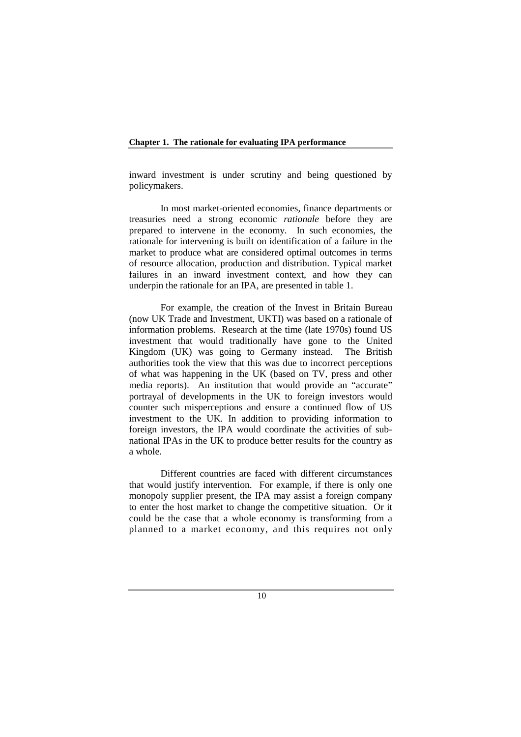inward investment is under scrutiny and being questioned by policymakers.

In most market-oriented economies, finance departments or treasuries need a strong economic *rationale* before they are prepared to intervene in the economy. In such economies, the rationale for intervening is built on identification of a failure in the market to produce what are considered optimal outcomes in terms of resource allocation, production and distribution. Typical market failures in an inward investment context, and how they can underpin the rationale for an IPA, are presented in table 1.

For example, the creation of the Invest in Britain Bureau (now UK Trade and Investment, UKTI) was based on a rationale of information problems. Research at the time (late 1970s) found US investment that would traditionally have gone to the United Kingdom (UK) was going to Germany instead. The British authorities took the view that this was due to incorrect perceptions of what was happening in the UK (based on TV, press and other media reports). An institution that would provide an "accurate" portrayal of developments in the UK to foreign investors would counter such misperceptions and ensure a continued flow of US investment to the UK. In addition to providing information to foreign investors, the IPA would coordinate the activities of subnational IPAs in the UK to produce better results for the country as a whole.

Different countries are faced with different circumstances that would justify intervention. For example, if there is only one monopoly supplier present, the IPA may assist a foreign company to enter the host market to change the competitive situation. Or it could be the case that a whole economy is transforming from a planned to a market economy, and this requires not only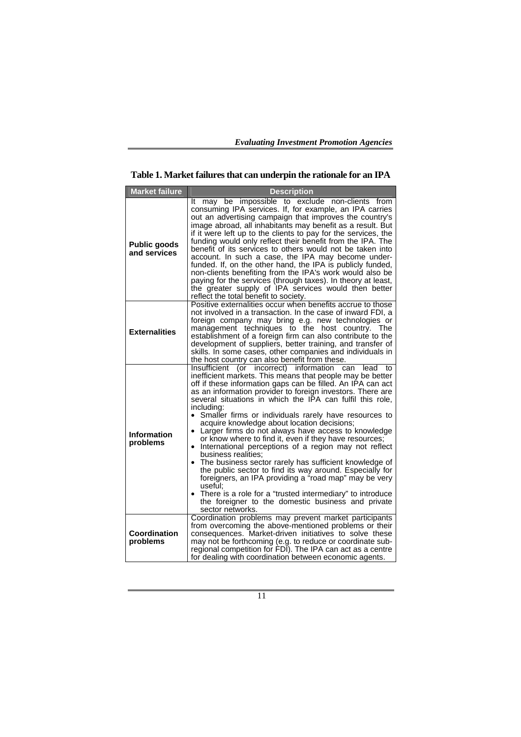**Table 1. Market failures that can underpin the rationale for an IPA** 

| <b>Market failure</b>               | <b>Description</b>                                                                                                                                                                                                                                                                                                                                                                                                                                                                                                                                                                                                                                                                                                                                                                                                                                                                                                                                                                               |  |  |
|-------------------------------------|--------------------------------------------------------------------------------------------------------------------------------------------------------------------------------------------------------------------------------------------------------------------------------------------------------------------------------------------------------------------------------------------------------------------------------------------------------------------------------------------------------------------------------------------------------------------------------------------------------------------------------------------------------------------------------------------------------------------------------------------------------------------------------------------------------------------------------------------------------------------------------------------------------------------------------------------------------------------------------------------------|--|--|
| <b>Public goods</b><br>and services | It may be impossible to<br>exclude<br>non-clients from<br>consuming IPA services. If, for example, an IPA carries<br>out an advertising campaign that improves the country's<br>image abroad, all inhabitants may benefit as a result. But<br>if it were left up to the clients to pay for the services, the<br>funding would only reflect their benefit from the IPA. The<br>benefit of its services to others would not be taken into<br>account. In such a case, the IPA may become under-<br>funded. If, on the other hand, the IPA is publicly funded,<br>non-clients benefiting from the IPA's work would also be<br>paying for the services (through taxes). In theory at least,<br>the greater supply of IPA services would then better<br>reflect the total benefit to society.                                                                                                                                                                                                         |  |  |
| <b>Externalities</b>                | Positive externalities occur when benefits accrue to those<br>not involved in a transaction. In the case of inward FDI, a<br>foreign company may bring e.g. new technologies or<br>management techniques to the host country.<br>The<br>establishment of a foreign firm can also contribute to the<br>development of suppliers, better training, and transfer of<br>skills. In some cases, other companies and individuals in<br>the host country can also benefit from these.                                                                                                                                                                                                                                                                                                                                                                                                                                                                                                                   |  |  |
| <b>Information</b><br>problems      | Insufficient<br>(or incorrect)<br>information<br>can<br>lead<br>to<br>inefficient markets. This means that people may be better<br>off if these information gaps can be filled. An IPA can act<br>as an information provider to foreign investors. There are<br>several situations in which the IPA can fulfil this role,<br>including:<br>Smaller firms or individuals rarely have resources to<br>acquire knowledge about location decisions;<br>Larger firms do not always have access to knowledge<br>$\bullet$<br>or know where to find it, even if they have resources;<br>• International perceptions of a region may not reflect<br>business realities:<br>The business sector rarely has sufficient knowledge of<br>the public sector to find its way around. Especially for<br>foreigners, an IPA providing a "road map" may be very<br>useful:<br>There is a role for a "trusted intermediary" to introduce<br>the foreigner to the domestic business and private<br>sector networks. |  |  |
| Coordination<br>problems            | Coordination problems may prevent market participants<br>from overcoming the above-mentioned problems or their<br>consequences. Market-driven initiatives to solve these<br>may not be forthcoming (e.g. to reduce or coordinate sub-<br>regional competition for FDI). The IPA can act as a centre<br>for dealing with coordination between economic agents.                                                                                                                                                                                                                                                                                                                                                                                                                                                                                                                                                                                                                                    |  |  |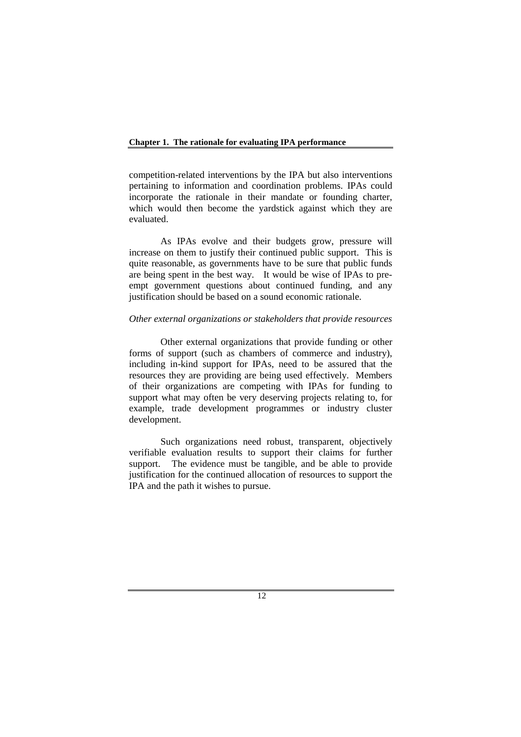competition-related interventions by the IPA but also interventions pertaining to information and coordination problems. IPAs could incorporate the rationale in their mandate or founding charter, which would then become the yardstick against which they are evaluated.

As IPAs evolve and their budgets grow, pressure will increase on them to justify their continued public support. This is quite reasonable, as governments have to be sure that public funds are being spent in the best way. It would be wise of IPAs to preempt government questions about continued funding, and any justification should be based on a sound economic rationale.

#### *Other external organizations or stakeholders that provide resources*

Other external organizations that provide funding or other forms of support (such as chambers of commerce and industry), including in-kind support for IPAs, need to be assured that the resources they are providing are being used effectively. Members of their organizations are competing with IPAs for funding to support what may often be very deserving projects relating to, for example, trade development programmes or industry cluster development.

Such organizations need robust, transparent, objectively verifiable evaluation results to support their claims for further support. The evidence must be tangible, and be able to provide justification for the continued allocation of resources to support the IPA and the path it wishes to pursue.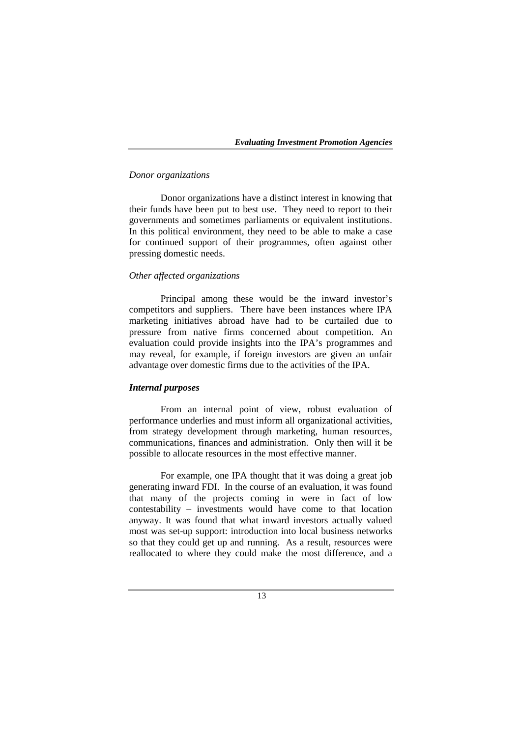#### *Donor organizations*

Donor organizations have a distinct interest in knowing that their funds have been put to best use. They need to report to their governments and sometimes parliaments or equivalent institutions. In this political environment, they need to be able to make a case for continued support of their programmes, often against other pressing domestic needs.

# *Other affected organizations*

Principal among these would be the inward investor's competitors and suppliers. There have been instances where IPA marketing initiatives abroad have had to be curtailed due to pressure from native firms concerned about competition. An evaluation could provide insights into the IPA's programmes and may reveal, for example, if foreign investors are given an unfair advantage over domestic firms due to the activities of the IPA.

#### *Internal purposes*

From an internal point of view, robust evaluation of performance underlies and must inform all organizational activities, from strategy development through marketing, human resources, communications, finances and administration. Only then will it be possible to allocate resources in the most effective manner.

For example, one IPA thought that it was doing a great job generating inward FDI. In the course of an evaluation, it was found that many of the projects coming in were in fact of low contestability – investments would have come to that location anyway. It was found that what inward investors actually valued most was set-up support: introduction into local business networks so that they could get up and running. As a result, resources were reallocated to where they could make the most difference, and a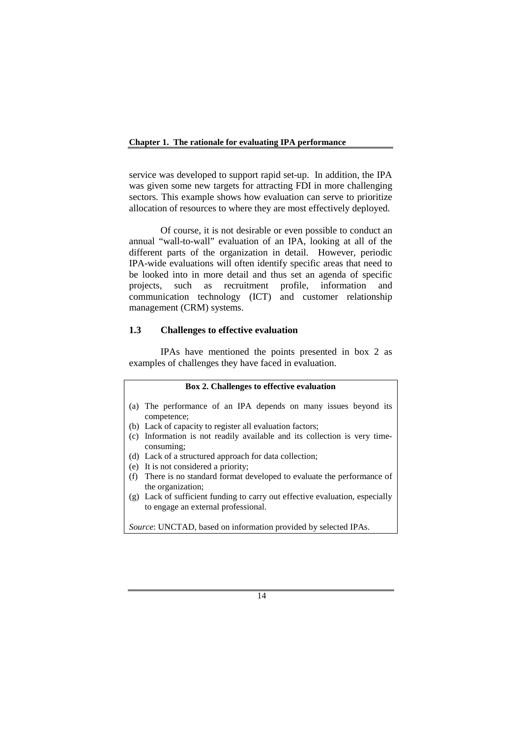service was developed to support rapid set-up. In addition, the IPA was given some new targets for attracting FDI in more challenging sectors. This example shows how evaluation can serve to prioritize allocation of resources to where they are most effectively deployed.

Of course, it is not desirable or even possible to conduct an annual "wall-to-wall" evaluation of an IPA, looking at all of the different parts of the organization in detail. However, periodic IPA-wide evaluations will often identify specific areas that need to be looked into in more detail and thus set an agenda of specific projects, such as recruitment profile, information and communication technology (ICT) and customer relationship management (CRM) systems.

# **1.3 Challenges to effective evaluation**

IPAs have mentioned the points presented in box 2 as examples of challenges they have faced in evaluation.

#### **Box 2. Challenges to effective evaluation**

- (a) The performance of an IPA depends on many issues beyond its competence;
- (b) Lack of capacity to register all evaluation factors;
- (c) Information is not readily available and its collection is very timeconsuming;
- (d) Lack of a structured approach for data collection;
- (e) It is not considered a priority;
- (f) There is no standard format developed to evaluate the performance of the organization;
- (g) Lack of sufficient funding to carry out effective evaluation, especially to engage an external professional.

*Source*: UNCTAD, based on information provided by selected IPAs.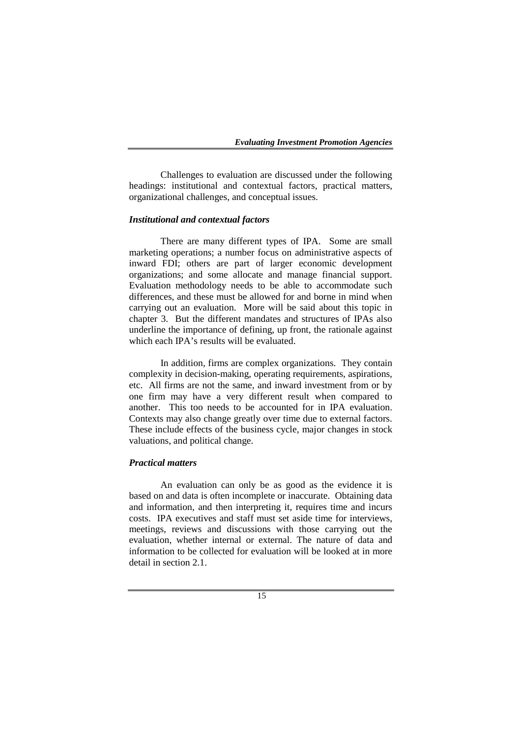Challenges to evaluation are discussed under the following headings: institutional and contextual factors, practical matters, organizational challenges, and conceptual issues.

# *Institutional and contextual factors*

There are many different types of IPA. Some are small marketing operations; a number focus on administrative aspects of inward FDI; others are part of larger economic development organizations; and some allocate and manage financial support. Evaluation methodology needs to be able to accommodate such differences, and these must be allowed for and borne in mind when carrying out an evaluation. More will be said about this topic in chapter 3. But the different mandates and structures of IPAs also underline the importance of defining, up front, the rationale against which each IPA's results will be evaluated.

In addition, firms are complex organizations. They contain complexity in decision-making, operating requirements, aspirations, etc. All firms are not the same, and inward investment from or by one firm may have a very different result when compared to another. This too needs to be accounted for in IPA evaluation. Contexts may also change greatly over time due to external factors. These include effects of the business cycle, major changes in stock valuations, and political change.

#### *Practical matters*

An evaluation can only be as good as the evidence it is based on and data is often incomplete or inaccurate. Obtaining data and information, and then interpreting it, requires time and incurs costs. IPA executives and staff must set aside time for interviews, meetings, reviews and discussions with those carrying out the evaluation, whether internal or external. The nature of data and information to be collected for evaluation will be looked at in more detail in section 2.1.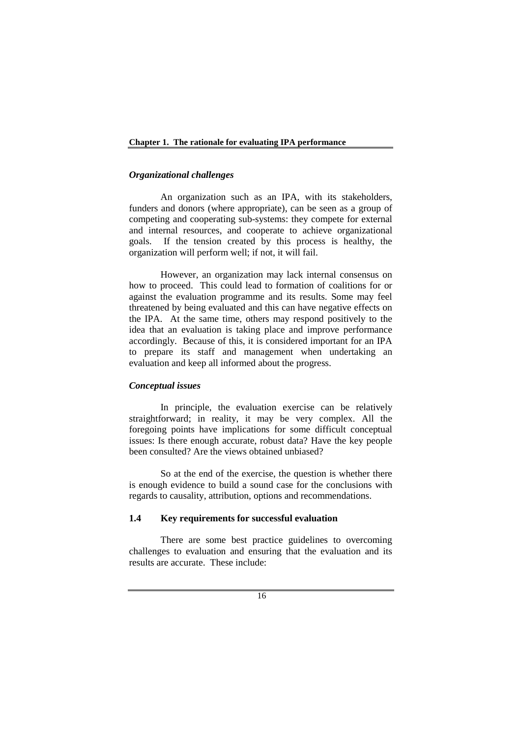#### *Organizational challenges*

An organization such as an IPA, with its stakeholders, funders and donors (where appropriate), can be seen as a group of competing and cooperating sub-systems: they compete for external and internal resources, and cooperate to achieve organizational goals. If the tension created by this process is healthy, the organization will perform well; if not, it will fail.

However, an organization may lack internal consensus on how to proceed. This could lead to formation of coalitions for or against the evaluation programme and its results. Some may feel threatened by being evaluated and this can have negative effects on the IPA. At the same time, others may respond positively to the idea that an evaluation is taking place and improve performance accordingly. Because of this, it is considered important for an IPA to prepare its staff and management when undertaking an evaluation and keep all informed about the progress.

#### *Conceptual issues*

In principle, the evaluation exercise can be relatively straightforward; in reality, it may be very complex. All the foregoing points have implications for some difficult conceptual issues: Is there enough accurate, robust data? Have the key people been consulted? Are the views obtained unbiased?

So at the end of the exercise, the question is whether there is enough evidence to build a sound case for the conclusions with regards to causality, attribution, options and recommendations.

#### **1.4 Key requirements for successful evaluation**

There are some best practice guidelines to overcoming challenges to evaluation and ensuring that the evaluation and its results are accurate. These include: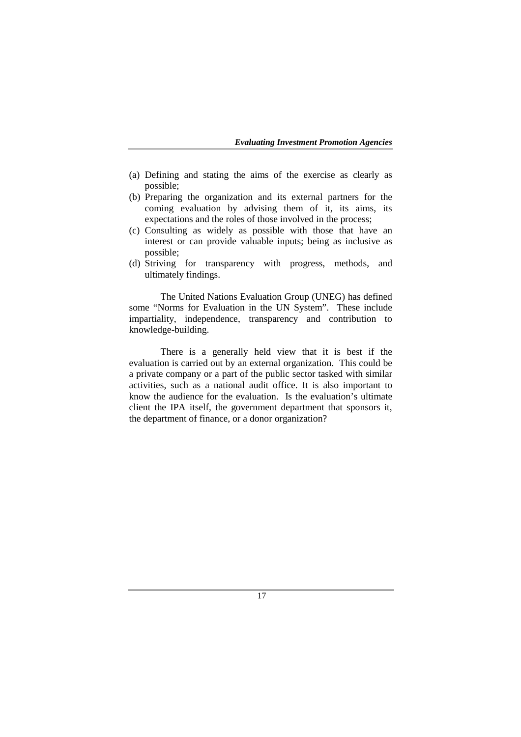- (a) Defining and stating the aims of the exercise as clearly as possible;
- (b) Preparing the organization and its external partners for the coming evaluation by advising them of it, its aims, its expectations and the roles of those involved in the process;
- (c) Consulting as widely as possible with those that have an interest or can provide valuable inputs; being as inclusive as possible;
- (d) Striving for transparency with progress, methods, and ultimately findings.

The United Nations Evaluation Group (UNEG) has defined some "Norms for Evaluation in the UN System". These include impartiality, independence, transparency and contribution to knowledge-building.

There is a generally held view that it is best if the evaluation is carried out by an external organization. This could be a private company or a part of the public sector tasked with similar activities, such as a national audit office. It is also important to know the audience for the evaluation. Is the evaluation's ultimate client the IPA itself, the government department that sponsors it, the department of finance, or a donor organization?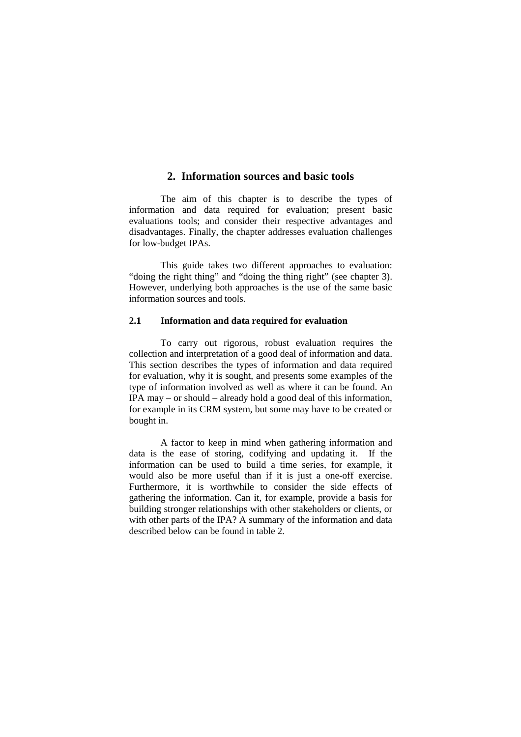# **2. Information sources and basic tools**

The aim of this chapter is to describe the types of information and data required for evaluation; present basic evaluations tools; and consider their respective advantages and disadvantages. Finally, the chapter addresses evaluation challenges for low-budget IPAs.

This guide takes two different approaches to evaluation: "doing the right thing" and "doing the thing right" (see chapter 3). However, underlying both approaches is the use of the same basic information sources and tools.

# **2.1 Information and data required for evaluation**

To carry out rigorous, robust evaluation requires the collection and interpretation of a good deal of information and data. This section describes the types of information and data required for evaluation, why it is sought, and presents some examples of the type of information involved as well as where it can be found. An IPA may – or should – already hold a good deal of this information, for example in its CRM system, but some may have to be created or bought in.

A factor to keep in mind when gathering information and data is the ease of storing, codifying and updating it. If the information can be used to build a time series, for example, it would also be more useful than if it is just a one-off exercise. Furthermore, it is worthwhile to consider the side effects of gathering the information. Can it, for example, provide a basis for building stronger relationships with other stakeholders or clients, or with other parts of the IPA? A summary of the information and data described below can be found in table 2*.*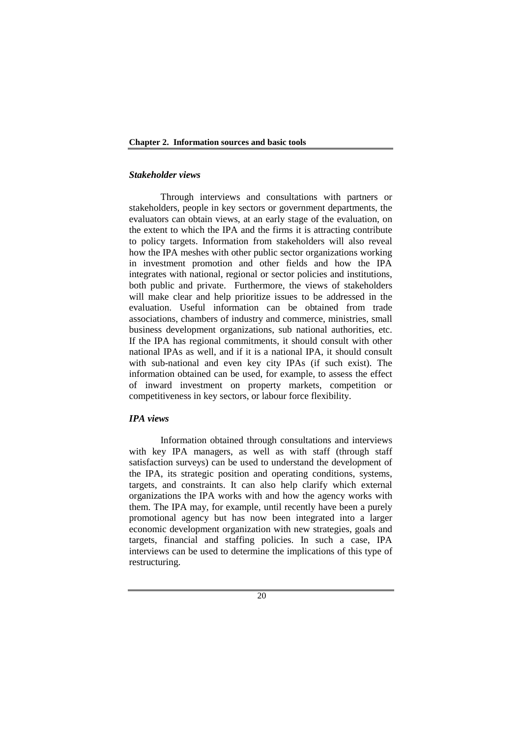# *Stakeholder views*

Through interviews and consultations with partners or stakeholders, people in key sectors or government departments, the evaluators can obtain views, at an early stage of the evaluation, on the extent to which the IPA and the firms it is attracting contribute to policy targets. Information from stakeholders will also reveal how the IPA meshes with other public sector organizations working in investment promotion and other fields and how the IPA integrates with national, regional or sector policies and institutions, both public and private. Furthermore, the views of stakeholders will make clear and help prioritize issues to be addressed in the evaluation. Useful information can be obtained from trade associations, chambers of industry and commerce, ministries, small business development organizations, sub national authorities, etc. If the IPA has regional commitments, it should consult with other national IPAs as well, and if it is a national IPA, it should consult with sub-national and even key city IPAs (if such exist). The information obtained can be used, for example, to assess the effect of inward investment on property markets, competition or competitiveness in key sectors, or labour force flexibility.

# *IPA views*

Information obtained through consultations and interviews with key IPA managers, as well as with staff (through staff satisfaction surveys) can be used to understand the development of the IPA, its strategic position and operating conditions, systems, targets, and constraints. It can also help clarify which external organizations the IPA works with and how the agency works with them. The IPA may, for example, until recently have been a purely promotional agency but has now been integrated into a larger economic development organization with new strategies, goals and targets, financial and staffing policies. In such a case, IPA interviews can be used to determine the implications of this type of restructuring.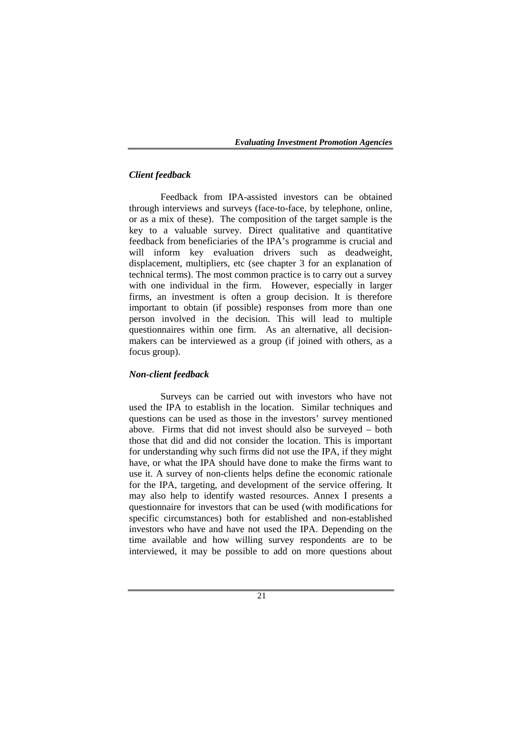# *Client feedback*

Feedback from IPA-assisted investors can be obtained through interviews and surveys (face-to-face, by telephone, online, or as a mix of these). The composition of the target sample is the key to a valuable survey. Direct qualitative and quantitative feedback from beneficiaries of the IPA's programme is crucial and will inform key evaluation drivers such as deadweight, displacement, multipliers, etc (see chapter 3 for an explanation of technical terms). The most common practice is to carry out a survey with one individual in the firm. However, especially in larger firms, an investment is often a group decision. It is therefore important to obtain (if possible) responses from more than one person involved in the decision. This will lead to multiple questionnaires within one firm. As an alternative, all decisionmakers can be interviewed as a group (if joined with others, as a focus group).

#### *Non-client feedback*

Surveys can be carried out with investors who have not used the IPA to establish in the location. Similar techniques and questions can be used as those in the investors' survey mentioned above. Firms that did not invest should also be surveyed – both those that did and did not consider the location. This is important for understanding why such firms did not use the IPA, if they might have, or what the IPA should have done to make the firms want to use it. A survey of non-clients helps define the economic rationale for the IPA, targeting, and development of the service offering. It may also help to identify wasted resources. Annex I presents a questionnaire for investors that can be used (with modifications for specific circumstances) both for established and non-established investors who have and have not used the IPA. Depending on the time available and how willing survey respondents are to be interviewed, it may be possible to add on more questions about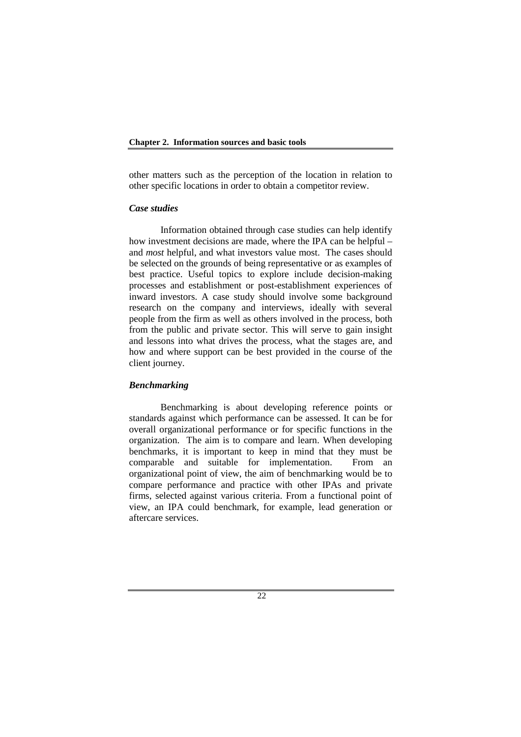other matters such as the perception of the location in relation to other specific locations in order to obtain a competitor review.

#### *Case studies*

Information obtained through case studies can help identify how investment decisions are made, where the IPA can be helpful – and *most* helpful, and what investors value most. The cases should be selected on the grounds of being representative or as examples of best practice. Useful topics to explore include decision-making processes and establishment or post-establishment experiences of inward investors. A case study should involve some background research on the company and interviews, ideally with several people from the firm as well as others involved in the process, both from the public and private sector. This will serve to gain insight and lessons into what drives the process, what the stages are, and how and where support can be best provided in the course of the client journey.

#### *Benchmarking*

Benchmarking is about developing reference points or standards against which performance can be assessed. It can be for overall organizational performance or for specific functions in the organization. The aim is to compare and learn. When developing benchmarks, it is important to keep in mind that they must be comparable and suitable for implementation. From an organizational point of view, the aim of benchmarking would be to compare performance and practice with other IPAs and private firms, selected against various criteria. From a functional point of view, an IPA could benchmark, for example, lead generation or aftercare services.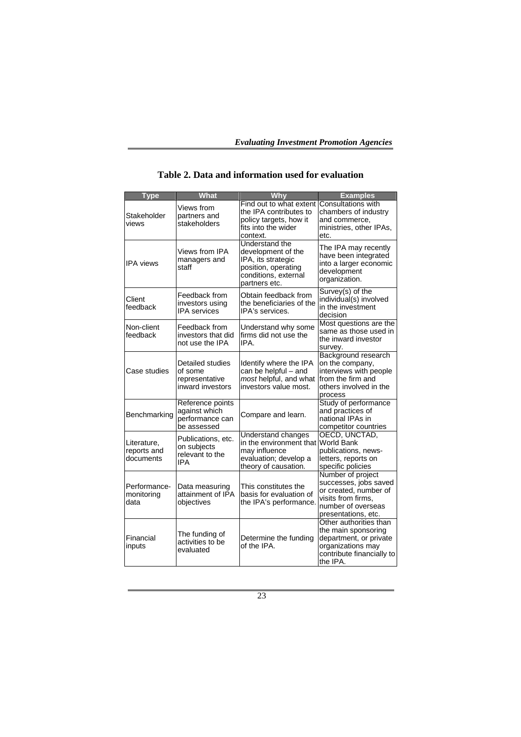| <b>Type</b>                             | What                                                                | Why                                                                                                                        | <b>Examples</b>                                                                                                                        |
|-----------------------------------------|---------------------------------------------------------------------|----------------------------------------------------------------------------------------------------------------------------|----------------------------------------------------------------------------------------------------------------------------------------|
| Stakeholder<br>views                    | Views from<br>partners and<br>stakeholders                          | Find out to what extent<br>the IPA contributes to<br>policy targets, how it<br>fits into the wider<br>context.             | Consultations with<br>chambers of industry<br>and commerce.<br>ministries, other IPAs,<br>etc.                                         |
| <b>IPA</b> views                        | Views from IPA<br>managers and<br>staff                             | Understand the<br>development of the<br>IPA, its strategic<br>position, operating<br>conditions, external<br>partners etc. | The IPA may recently<br>have been integrated<br>into a larger economic<br>development<br>organization.                                 |
| Client<br>feedback                      | Feedback from<br>investors using<br><b>IPA</b> services             | Obtain feedback from<br>the beneficiaries of the<br>IPA's services.                                                        | Survey(s) of the<br>individual(s) involved<br>in the investment<br>decision                                                            |
| Non-client<br>feedback                  | Feedback from<br>investors that did<br>not use the IPA              | Understand why some<br>firms did not use the<br>IPA.                                                                       | Most questions are the<br>same as those used in<br>the inward investor<br>survey.                                                      |
| Case studies                            | Detailed studies<br>of some<br>representative<br>inward investors   | Identify where the IPA<br>can be helpful - and<br>most helpful, and what<br>investors value most.                          | <b>Background research</b><br>on the company,<br>interviews with people<br>from the firm and<br>others involved in the<br>process      |
| Benchmarking                            | Reference points<br>against which<br>performance can<br>be assessed | Compare and learn.                                                                                                         | Study of performance<br>and practices of<br>national IPAs in<br>competitor countries                                                   |
| Literature,<br>reports and<br>documents | Publications, etc.<br>on subjects<br>relevant to the<br>IPA         | Understand changes<br>in the environment that<br>may influence<br>evaluation; develop a<br>theory of causation.            | OECD, UNCTAD,<br>World Bank<br>publications, news-<br>letters, reports on<br>specific policies                                         |
| Performance-<br>monitoring<br>data      | Data measuring<br>attainment of IPA<br>objectives                   | This constitutes the<br>basis for evaluation of<br>the IPA's performance.                                                  | Number of project<br>successes, jobs saved<br>or created, number of<br>visits from firms.<br>number of overseas<br>presentations, etc. |
| Financial<br>inputs                     | The funding of<br>activities to be<br>evaluated                     | Determine the funding<br>of the IPA.                                                                                       | Other authorities than<br>the main sponsoring<br>department, or private<br>organizations may<br>contribute financially to<br>the IPA.  |

**Table 2. Data and information used for evaluation**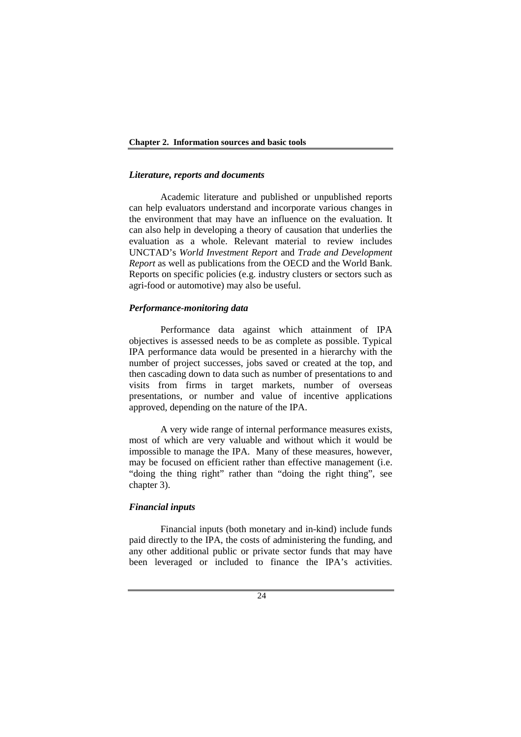#### *Literature, reports and documents*

Academic literature and published or unpublished reports can help evaluators understand and incorporate various changes in the environment that may have an influence on the evaluation. It can also help in developing a theory of causation that underlies the evaluation as a whole. Relevant material to review includes UNCTAD's *World Investment Report* and *Trade and Development Report* as well as publications from the OECD and the World Bank. Reports on specific policies (e.g. industry clusters or sectors such as agri-food or automotive) may also be useful.

## *Performance-monitoring data*

Performance data against which attainment of IPA objectives is assessed needs to be as complete as possible. Typical IPA performance data would be presented in a hierarchy with the number of project successes, jobs saved or created at the top, and then cascading down to data such as number of presentations to and visits from firms in target markets, number of overseas presentations, or number and value of incentive applications approved, depending on the nature of the IPA.

A very wide range of internal performance measures exists, most of which are very valuable and without which it would be impossible to manage the IPA. Many of these measures, however, may be focused on efficient rather than effective management (i.e. "doing the thing right" rather than "doing the right thing", see chapter 3).

# *Financial inputs*

Financial inputs (both monetary and in-kind) include funds paid directly to the IPA, the costs of administering the funding, and any other additional public or private sector funds that may have been leveraged or included to finance the IPA's activities.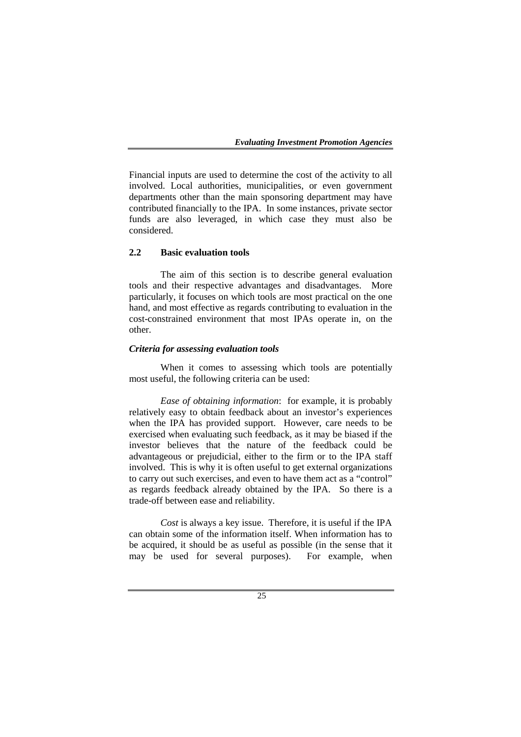Financial inputs are used to determine the cost of the activity to all involved. Local authorities, municipalities, or even government departments other than the main sponsoring department may have contributed financially to the IPA. In some instances, private sector funds are also leveraged, in which case they must also be considered.

#### **2.2 Basic evaluation tools**

The aim of this section is to describe general evaluation tools and their respective advantages and disadvantages. More particularly, it focuses on which tools are most practical on the one hand, and most effective as regards contributing to evaluation in the cost-constrained environment that most IPAs operate in, on the other.

# *Criteria for assessing evaluation tools*

 When it comes to assessing which tools are potentially most useful, the following criteria can be used:

*Ease of obtaining information*: for example, it is probably relatively easy to obtain feedback about an investor's experiences when the IPA has provided support. However, care needs to be exercised when evaluating such feedback, as it may be biased if the investor believes that the nature of the feedback could be advantageous or prejudicial, either to the firm or to the IPA staff involved. This is why it is often useful to get external organizations to carry out such exercises, and even to have them act as a "control" as regards feedback already obtained by the IPA. So there is a trade-off between ease and reliability.

*Cost* is always a key issue. Therefore, it is useful if the IPA can obtain some of the information itself. When information has to be acquired, it should be as useful as possible (in the sense that it may be used for several purposes). For example, when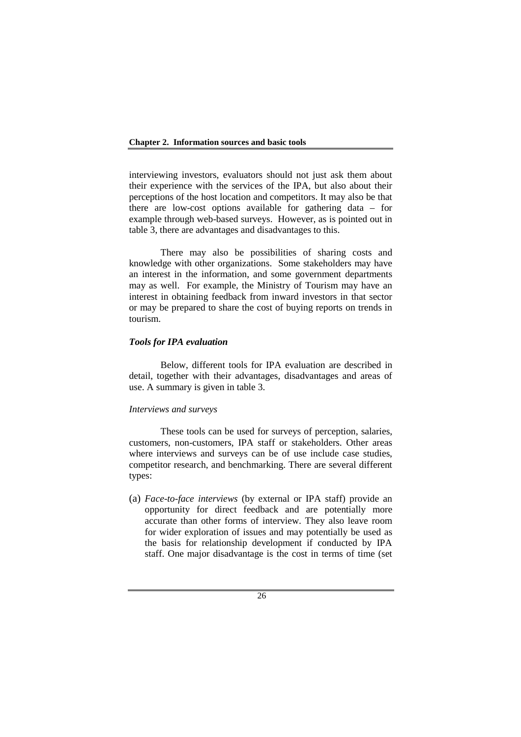interviewing investors, evaluators should not just ask them about their experience with the services of the IPA, but also about their perceptions of the host location and competitors. It may also be that there are low-cost options available for gathering data – for example through web-based surveys. However, as is pointed out in table 3, there are advantages and disadvantages to this.

There may also be possibilities of sharing costs and knowledge with other organizations. Some stakeholders may have an interest in the information, and some government departments may as well. For example, the Ministry of Tourism may have an interest in obtaining feedback from inward investors in that sector or may be prepared to share the cost of buying reports on trends in tourism.

# *Tools for IPA evaluation*

Below, different tools for IPA evaluation are described in detail, together with their advantages, disadvantages and areas of use. A summary is given in table 3.

# *Interviews and surveys*

These tools can be used for surveys of perception, salaries, customers, non-customers, IPA staff or stakeholders. Other areas where interviews and surveys can be of use include case studies, competitor research, and benchmarking. There are several different types:

(a) *Face-to-face interviews* (by external or IPA staff) provide an opportunity for direct feedback and are potentially more accurate than other forms of interview. They also leave room for wider exploration of issues and may potentially be used as the basis for relationship development if conducted by IPA staff. One major disadvantage is the cost in terms of time (set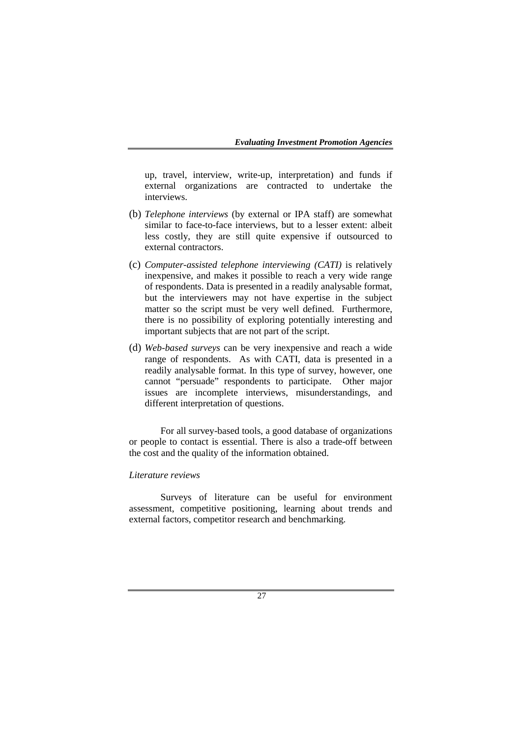up, travel, interview, write-up, interpretation) and funds if external organizations are contracted to undertake the interviews.

- (b) *Telephone interviews* (by external or IPA staff) are somewhat similar to face-to-face interviews, but to a lesser extent: albeit less costly, they are still quite expensive if outsourced to external contractors.
- (c) *Computer-assisted telephone interviewing (CATI)* is relatively inexpensive, and makes it possible to reach a very wide range of respondents. Data is presented in a readily analysable format, but the interviewers may not have expertise in the subject matter so the script must be very well defined. Furthermore, there is no possibility of exploring potentially interesting and important subjects that are not part of the script.
- (d) *Web-based surveys* can be very inexpensive and reach a wide range of respondents. As with CATI, data is presented in a readily analysable format. In this type of survey, however, one cannot "persuade" respondents to participate. Other major issues are incomplete interviews, misunderstandings, and different interpretation of questions.

For all survey-based tools, a good database of organizations or people to contact is essential. There is also a trade-off between the cost and the quality of the information obtained.

## *Literature reviews*

Surveys of literature can be useful for environment assessment, competitive positioning, learning about trends and external factors, competitor research and benchmarking.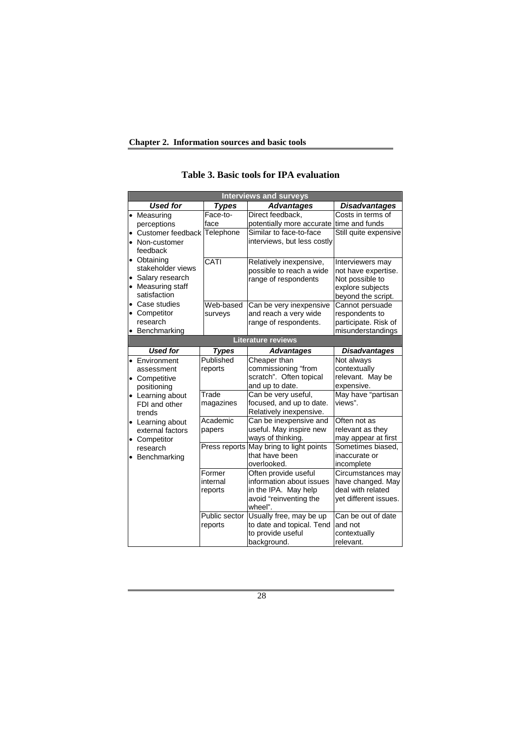|  | <b>Interviews and surveys</b>                                                                                                                                  |                               |                                                                                                               |                                                                                                      |  |
|--|----------------------------------------------------------------------------------------------------------------------------------------------------------------|-------------------------------|---------------------------------------------------------------------------------------------------------------|------------------------------------------------------------------------------------------------------|--|
|  | <b>Used for</b>                                                                                                                                                | <b>Types</b>                  | <b>Advantages</b>                                                                                             | <b>Disadvantages</b>                                                                                 |  |
|  | • Measuring<br>perceptions                                                                                                                                     | Face-to-<br>face              | Direct feedback,<br>potentially more accurate                                                                 | Costs in terms of<br>time and funds                                                                  |  |
|  | Customer feedback Telephone<br>Non-customer<br>$\bullet$<br>feedback<br>• Obtaining<br>stakeholder views<br>Salary research<br>Measuring staff<br>satisfaction |                               | Similar to face-to-face<br>interviews, but less costly                                                        | Still quite expensive                                                                                |  |
|  |                                                                                                                                                                | CATI                          | Relatively inexpensive,<br>possible to reach a wide<br>range of respondents                                   | Interviewers may<br>not have expertise.<br>Not possible to<br>explore subjects<br>beyond the script. |  |
|  | Case studies<br>Competitor<br>٠<br>research<br>• Benchmarking                                                                                                  | Web-based<br>surveys          | Can be very inexpensive<br>and reach a very wide<br>range of respondents.                                     | Cannot persuade<br>respondents to<br>participate. Risk of<br>misunderstandings                       |  |
|  | <b>Literature reviews</b>                                                                                                                                      |                               |                                                                                                               |                                                                                                      |  |
|  | <b>Used for</b>                                                                                                                                                | <b>Types</b>                  | <b>Advantages</b>                                                                                             | <b>Disadvantages</b>                                                                                 |  |
|  | Environment<br>assessment<br>Competitive<br>positioning                                                                                                        | Published<br>reports          | Cheaper than<br>commissioning "from<br>scratch". Often topical<br>and up to date.                             | Not always<br>contextually<br>relevant. May be<br>expensive.                                         |  |
|  | • Learning about<br>FDI and other<br>trends                                                                                                                    | Trade<br>magazines            | Can be very useful,<br>focused, and up to date.<br>Relatively inexpensive.                                    | May have "partisan<br>views".                                                                        |  |
|  | • Learning about<br>external factors<br>• Competitor<br>research<br>Benchmarking                                                                               | Academic<br>papers            | Can be inexpensive and<br>useful. May inspire new<br>ways of thinking.                                        | Often not as<br>relevant as they<br>may appear at first                                              |  |
|  |                                                                                                                                                                |                               | Press reports May bring to light points<br>that have been<br>overlooked.                                      | Sometimes biased,<br>inaccurate or<br>incomplete                                                     |  |
|  |                                                                                                                                                                | Former<br>internal<br>reports | Often provide useful<br>information about issues<br>in the IPA. May help<br>avoid "reinventing the<br>wheel". | Circumstances may<br>have changed. May<br>deal with related<br>yet different issues.                 |  |
|  |                                                                                                                                                                | Public sector<br>reports      | Usually free, may be up<br>to date and topical. Tend<br>to provide useful<br>background.                      | Can be out of date<br>and not<br>contextually<br>relevant.                                           |  |

## **Table 3. Basic tools for IPA evaluation**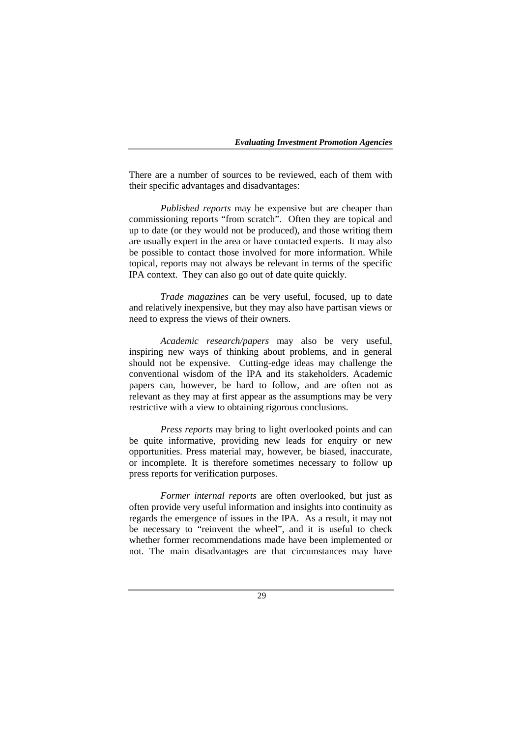There are a number of sources to be reviewed, each of them with their specific advantages and disadvantages:

*Published reports* may be expensive but are cheaper than commissioning reports "from scratch". Often they are topical and up to date (or they would not be produced), and those writing them are usually expert in the area or have contacted experts. It may also be possible to contact those involved for more information. While topical, reports may not always be relevant in terms of the specific IPA context. They can also go out of date quite quickly.

*Trade magazines* can be very useful, focused, up to date and relatively inexpensive, but they may also have partisan views or need to express the views of their owners.

*Academic research/papers* may also be very useful, inspiring new ways of thinking about problems, and in general should not be expensive. Cutting-edge ideas may challenge the conventional wisdom of the IPA and its stakeholders. Academic papers can, however, be hard to follow, and are often not as relevant as they may at first appear as the assumptions may be very restrictive with a view to obtaining rigorous conclusions.

*Press reports* may bring to light overlooked points and can be quite informative, providing new leads for enquiry or new opportunities. Press material may, however, be biased, inaccurate, or incomplete. It is therefore sometimes necessary to follow up press reports for verification purposes.

*Former internal reports* are often overlooked, but just as often provide very useful information and insights into continuity as regards the emergence of issues in the IPA. As a result, it may not be necessary to "reinvent the wheel", and it is useful to check whether former recommendations made have been implemented or not. The main disadvantages are that circumstances may have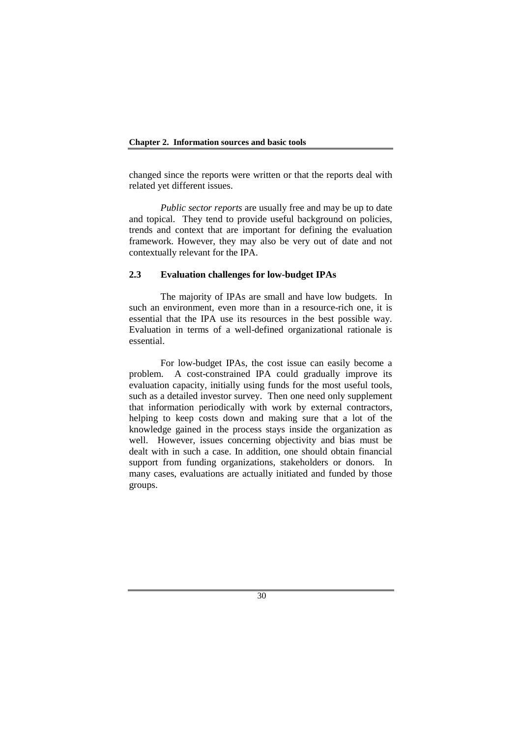changed since the reports were written or that the reports deal with related yet different issues.

*Public sector reports* are usually free and may be up to date and topical. They tend to provide useful background on policies, trends and context that are important for defining the evaluation framework. However, they may also be very out of date and not contextually relevant for the IPA.

## **2.3 Evaluation challenges for low-budget IPAs**

The majority of IPAs are small and have low budgets. In such an environment, even more than in a resource-rich one, it is essential that the IPA use its resources in the best possible way. Evaluation in terms of a well-defined organizational rationale is essential.

For low-budget IPAs, the cost issue can easily become a problem. A cost-constrained IPA could gradually improve its evaluation capacity, initially using funds for the most useful tools, such as a detailed investor survey. Then one need only supplement that information periodically with work by external contractors, helping to keep costs down and making sure that a lot of the knowledge gained in the process stays inside the organization as well. However, issues concerning objectivity and bias must be dealt with in such a case. In addition, one should obtain financial support from funding organizations, stakeholders or donors. In many cases, evaluations are actually initiated and funded by those groups.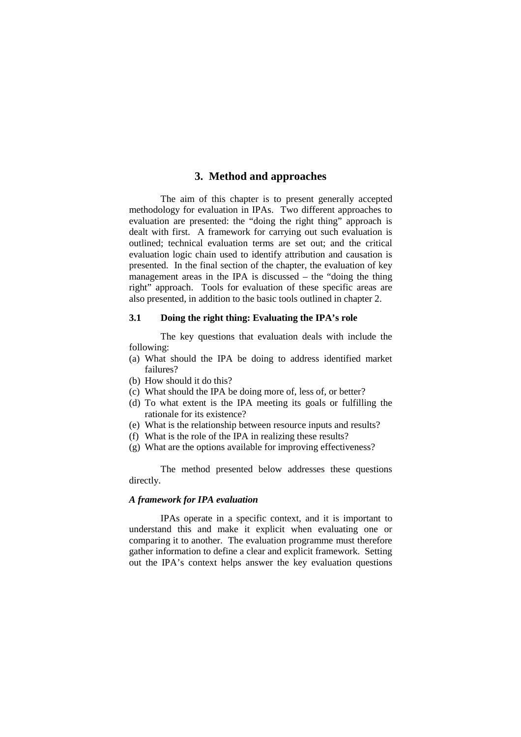## **3. Method and approaches**

The aim of this chapter is to present generally accepted methodology for evaluation in IPAs. Two different approaches to evaluation are presented: the "doing the right thing" approach is dealt with first. A framework for carrying out such evaluation is outlined; technical evaluation terms are set out; and the critical evaluation logic chain used to identify attribution and causation is presented. In the final section of the chapter, the evaluation of key management areas in the IPA is discussed – the "doing the thing right" approach. Tools for evaluation of these specific areas are also presented, in addition to the basic tools outlined in chapter 2.

## **3.1 Doing the right thing: Evaluating the IPA's role**

The key questions that evaluation deals with include the following:

- (a) What should the IPA be doing to address identified market failures?
- (b) How should it do this?
- (c) What should the IPA be doing more of, less of, or better?
- (d) To what extent is the IPA meeting its goals or fulfilling the rationale for its existence?
- (e) What is the relationship between resource inputs and results?
- (f) What is the role of the IPA in realizing these results?
- (g) What are the options available for improving effectiveness?

The method presented below addresses these questions directly.

### *A framework for IPA evaluation*

IPAs operate in a specific context, and it is important to understand this and make it explicit when evaluating one or comparing it to another. The evaluation programme must therefore gather information to define a clear and explicit framework. Setting out the IPA's context helps answer the key evaluation questions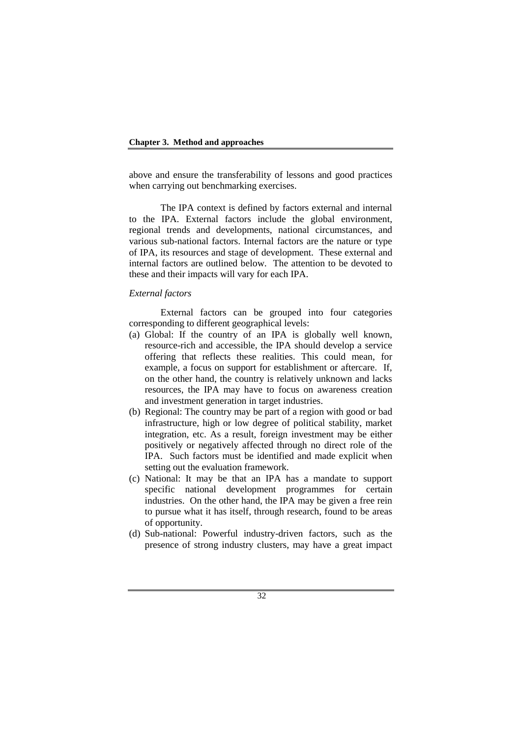above and ensure the transferability of lessons and good practices when carrying out benchmarking exercises.

The IPA context is defined by factors external and internal to the IPA. External factors include the global environment, regional trends and developments, national circumstances, and various sub-national factors. Internal factors are the nature or type of IPA, its resources and stage of development. These external and internal factors are outlined below. The attention to be devoted to these and their impacts will vary for each IPA.

### *External factors*

External factors can be grouped into four categories corresponding to different geographical levels:

- (a) Global: If the country of an IPA is globally well known, resource-rich and accessible, the IPA should develop a service offering that reflects these realities. This could mean, for example, a focus on support for establishment or aftercare. If, on the other hand, the country is relatively unknown and lacks resources, the IPA may have to focus on awareness creation and investment generation in target industries.
- (b) Regional: The country may be part of a region with good or bad infrastructure, high or low degree of political stability, market integration, etc. As a result, foreign investment may be either positively or negatively affected through no direct role of the IPA. Such factors must be identified and made explicit when setting out the evaluation framework.
- (c) National: It may be that an IPA has a mandate to support specific national development programmes for certain industries. On the other hand, the IPA may be given a free rein to pursue what it has itself, through research, found to be areas of opportunity.
- (d) Sub-national: Powerful industry-driven factors, such as the presence of strong industry clusters, may have a great impact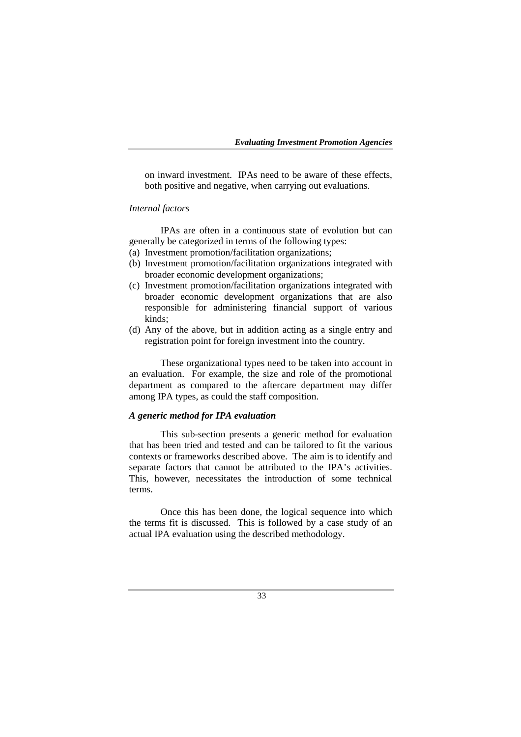on inward investment. IPAs need to be aware of these effects, both positive and negative, when carrying out evaluations.

### *Internal factors*

IPAs are often in a continuous state of evolution but can generally be categorized in terms of the following types:

- (a) Investment promotion/facilitation organizations;
- (b) Investment promotion/facilitation organizations integrated with broader economic development organizations;
- (c) Investment promotion/facilitation organizations integrated with broader economic development organizations that are also responsible for administering financial support of various kinds;
- (d) Any of the above, but in addition acting as a single entry and registration point for foreign investment into the country.

These organizational types need to be taken into account in an evaluation. For example, the size and role of the promotional department as compared to the aftercare department may differ among IPA types, as could the staff composition.

### *A generic method for IPA evaluation*

This sub-section presents a generic method for evaluation that has been tried and tested and can be tailored to fit the various contexts or frameworks described above. The aim is to identify and separate factors that cannot be attributed to the IPA's activities. This, however, necessitates the introduction of some technical terms.

Once this has been done, the logical sequence into which the terms fit is discussed. This is followed by a case study of an actual IPA evaluation using the described methodology.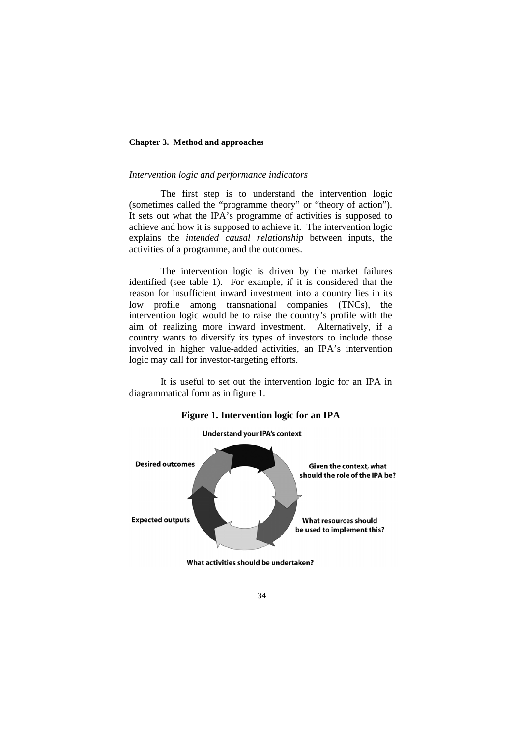### *Intervention logic and performance indicators*

The first step is to understand the intervention logic (sometimes called the "programme theory" or "theory of action"). It sets out what the IPA's programme of activities is supposed to achieve and how it is supposed to achieve it. The intervention logic explains the *intended causal relationship* between inputs, the activities of a programme, and the outcomes.

The intervention logic is driven by the market failures identified (see table 1). For example, if it is considered that the reason for insufficient inward investment into a country lies in its low profile among transnational companies (TNCs), the intervention logic would be to raise the country's profile with the aim of realizing more inward investment. Alternatively, if a country wants to diversify its types of investors to include those involved in higher value-added activities, an IPA's intervention logic may call for investor-targeting efforts.

It is useful to set out the intervention logic for an IPA in diagrammatical form as in figure 1.



### **Figure 1. Intervention logic for an IPA**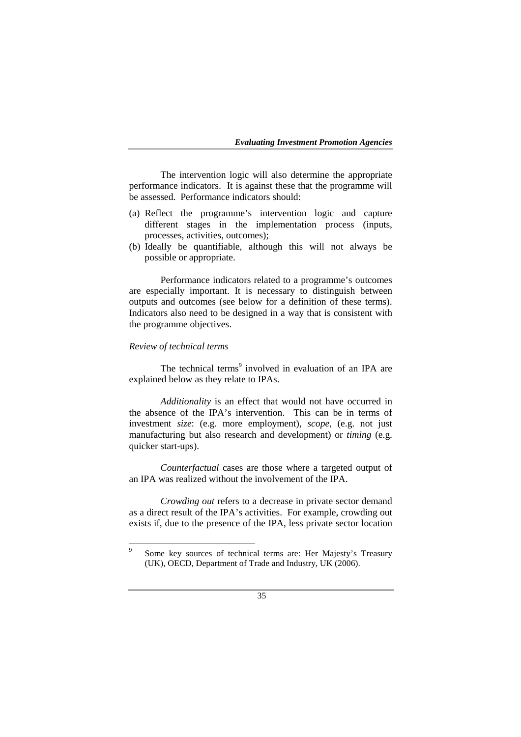The intervention logic will also determine the appropriate performance indicators. It is against these that the programme will be assessed. Performance indicators should:

- (a) Reflect the programme's intervention logic and capture different stages in the implementation process (inputs, processes, activities, outcomes);
- (b) Ideally be quantifiable, although this will not always be possible or appropriate.

Performance indicators related to a programme's outcomes are especially important. It is necessary to distinguish between outputs and outcomes (see below for a definition of these terms). Indicators also need to be designed in a way that is consistent with the programme objectives.

### *Review of technical terms*

The technical terms<sup>9</sup> involved in evaluation of an IPA are explained below as they relate to IPAs.

*Additionality* is an effect that would not have occurred in the absence of the IPA's intervention. This can be in terms of investment *size*: (e.g. more employment), *scope*, (e.g. not just manufacturing but also research and development) or *timing* (e.g. quicker start-ups).

*Counterfactual* cases are those where a targeted output of an IPA was realized without the involvement of the IPA.

*Crowding out* refers to a decrease in private sector demand as a direct result of the IPA's activities. For example, crowding out exists if, due to the presence of the IPA, less private sector location

 $\overline{9}$  Some key sources of technical terms are: Her Majesty's Treasury (UK), OECD, Department of Trade and Industry, UK (2006).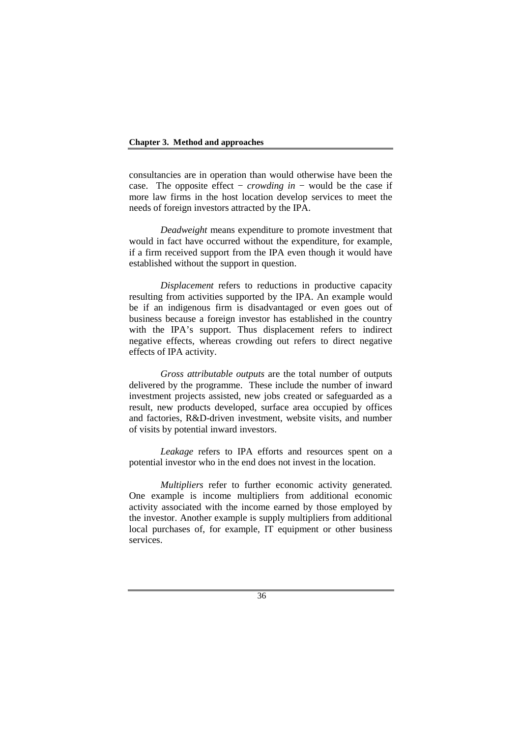consultancies are in operation than would otherwise have been the case. The opposite effect − *crowding in* − would be the case if more law firms in the host location develop services to meet the needs of foreign investors attracted by the IPA.

*Deadweight* means expenditure to promote investment that would in fact have occurred without the expenditure, for example, if a firm received support from the IPA even though it would have established without the support in question.

*Displacement* refers to reductions in productive capacity resulting from activities supported by the IPA. An example would be if an indigenous firm is disadvantaged or even goes out of business because a foreign investor has established in the country with the IPA's support. Thus displacement refers to indirect negative effects, whereas crowding out refers to direct negative effects of IPA activity.

*Gross attributable outputs* are the total number of outputs delivered by the programme. These include the number of inward investment projects assisted, new jobs created or safeguarded as a result, new products developed, surface area occupied by offices and factories, R&D-driven investment, website visits, and number of visits by potential inward investors.

*Leakage* refers to IPA efforts and resources spent on a potential investor who in the end does not invest in the location.

*Multipliers* refer to further economic activity generated. One example is income multipliers from additional economic activity associated with the income earned by those employed by the investor. Another example is supply multipliers from additional local purchases of, for example, IT equipment or other business services.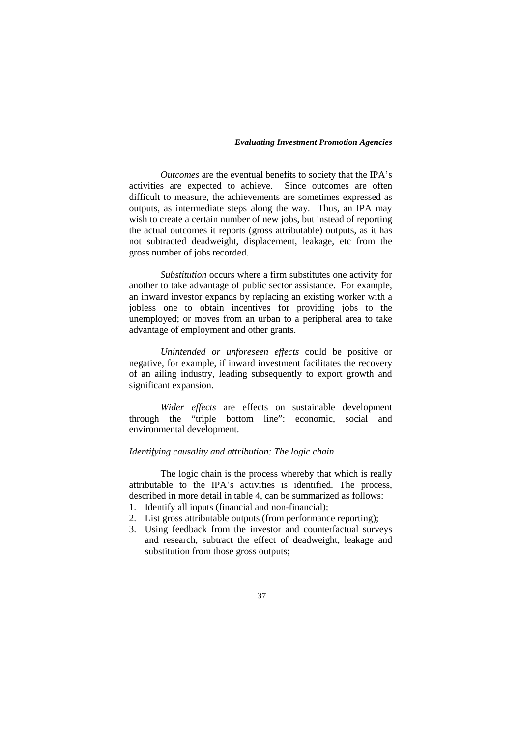*Outcomes* are the eventual benefits to society that the IPA's activities are expected to achieve. Since outcomes are often difficult to measure, the achievements are sometimes expressed as outputs, as intermediate steps along the way. Thus, an IPA may wish to create a certain number of new jobs, but instead of reporting the actual outcomes it reports (gross attributable) outputs, as it has not subtracted deadweight, displacement, leakage, etc from the gross number of jobs recorded.

*Substitution* occurs where a firm substitutes one activity for another to take advantage of public sector assistance. For example, an inward investor expands by replacing an existing worker with a jobless one to obtain incentives for providing jobs to the unemployed; or moves from an urban to a peripheral area to take advantage of employment and other grants.

*Unintended or unforeseen effects* could be positive or negative, for example, if inward investment facilitates the recovery of an ailing industry, leading subsequently to export growth and significant expansion.

*Wider effects* are effects on sustainable development through the "triple bottom line": economic, social and environmental development.

### *Identifying causality and attribution: The logic chain*

The logic chain is the process whereby that which is really attributable to the IPA's activities is identified. The process, described in more detail in table 4, can be summarized as follows:

- 1. Identify all inputs (financial and non-financial);
- 2. List gross attributable outputs (from performance reporting);
- 3. Using feedback from the investor and counterfactual surveys and research, subtract the effect of deadweight, leakage and substitution from those gross outputs;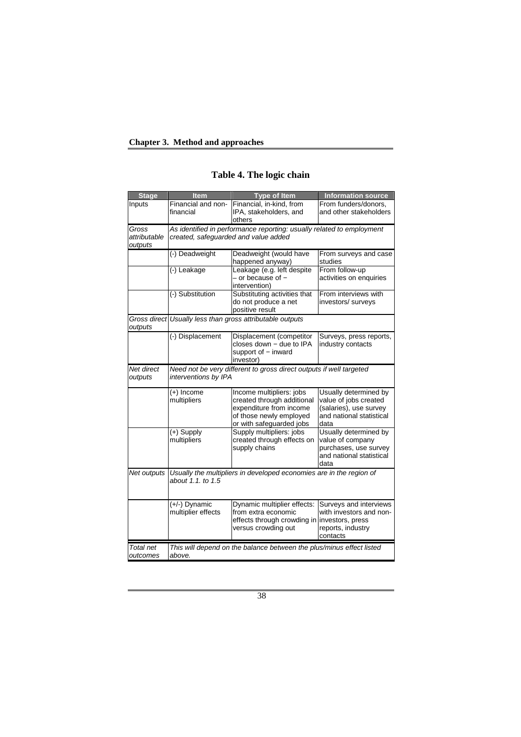| <b>Stage</b>                                                                      | <b>Item</b>                                                           | <b>Type of Item</b>                                       | <b>Information source</b> |  |  |  |
|-----------------------------------------------------------------------------------|-----------------------------------------------------------------------|-----------------------------------------------------------|---------------------------|--|--|--|
| Inputs                                                                            | Financial and non-                                                    | Financial, in-kind, from                                  | From funders/donors,      |  |  |  |
|                                                                                   | financial                                                             | IPA, stakeholders, and                                    | and other stakeholders    |  |  |  |
|                                                                                   |                                                                       | others                                                    |                           |  |  |  |
| Gross                                                                             | As identified in performance reporting: usually related to employment |                                                           |                           |  |  |  |
| attributable                                                                      | created, safeguarded and value added                                  |                                                           |                           |  |  |  |
| outputs                                                                           |                                                                       |                                                           |                           |  |  |  |
|                                                                                   | (-) Deadweight                                                        | Deadweight (would have                                    | From surveys and case     |  |  |  |
|                                                                                   |                                                                       | happened anyway)                                          | studies                   |  |  |  |
|                                                                                   | (-) Leakage                                                           | Leakage (e.g. left despite                                | From follow-up            |  |  |  |
|                                                                                   |                                                                       | - or because of -                                         | activities on enquiries   |  |  |  |
|                                                                                   |                                                                       | intervention)                                             | From interviews with      |  |  |  |
|                                                                                   | (-) Substitution                                                      | Substituting activities that<br>do not produce a net      |                           |  |  |  |
|                                                                                   |                                                                       | positive result                                           | investors/ surveys        |  |  |  |
|                                                                                   |                                                                       | Gross direct Usually less than gross attributable outputs |                           |  |  |  |
| outputs                                                                           |                                                                       |                                                           |                           |  |  |  |
|                                                                                   | (-) Displacement                                                      | Displacement (competitor                                  | Surveys, press reports,   |  |  |  |
|                                                                                   |                                                                       | closes down - due to IPA                                  | industry contacts         |  |  |  |
|                                                                                   |                                                                       | support of - inward                                       |                           |  |  |  |
|                                                                                   |                                                                       | investor)                                                 |                           |  |  |  |
| Need not be very different to gross direct outputs if well targeted<br>Net direct |                                                                       |                                                           |                           |  |  |  |
| outputs                                                                           | interventions by IPA                                                  |                                                           |                           |  |  |  |
|                                                                                   | $(+)$ Income                                                          | Income multipliers: jobs                                  | Usually determined by     |  |  |  |
|                                                                                   | multipliers                                                           | created through additional                                | value of jobs created     |  |  |  |
|                                                                                   |                                                                       | expenditure from income                                   | (salaries), use survey    |  |  |  |
|                                                                                   |                                                                       | of those newly employed                                   | and national statistical  |  |  |  |
|                                                                                   |                                                                       | or with safeguarded jobs                                  | data                      |  |  |  |
|                                                                                   | (+) Supply                                                            | Supply multipliers: jobs                                  | Usually determined by     |  |  |  |
|                                                                                   | multipliers                                                           | created through effects on                                | value of company          |  |  |  |
|                                                                                   |                                                                       | supply chains                                             | purchases, use survey     |  |  |  |
|                                                                                   |                                                                       |                                                           | and national statistical  |  |  |  |
|                                                                                   |                                                                       |                                                           | data                      |  |  |  |
| Net outputs                                                                       | Usually the multipliers in developed economies are in the region of   |                                                           |                           |  |  |  |
|                                                                                   | about 1.1, to 1.5                                                     |                                                           |                           |  |  |  |
|                                                                                   |                                                                       |                                                           |                           |  |  |  |
|                                                                                   | $(+/-)$ Dynamic                                                       | Dynamic multiplier effects:                               | Surveys and interviews    |  |  |  |
|                                                                                   | multiplier effects                                                    | from extra economic                                       | with investors and non-   |  |  |  |
|                                                                                   |                                                                       | effects through crowding in investors, press              |                           |  |  |  |
|                                                                                   |                                                                       | versus crowding out                                       | reports, industry         |  |  |  |
|                                                                                   |                                                                       |                                                           | contacts                  |  |  |  |
| Total net                                                                         | This will depend on the balance between the plus/minus effect listed  |                                                           |                           |  |  |  |
| outcomes                                                                          | above.                                                                |                                                           |                           |  |  |  |

# **Table 4. The logic chain**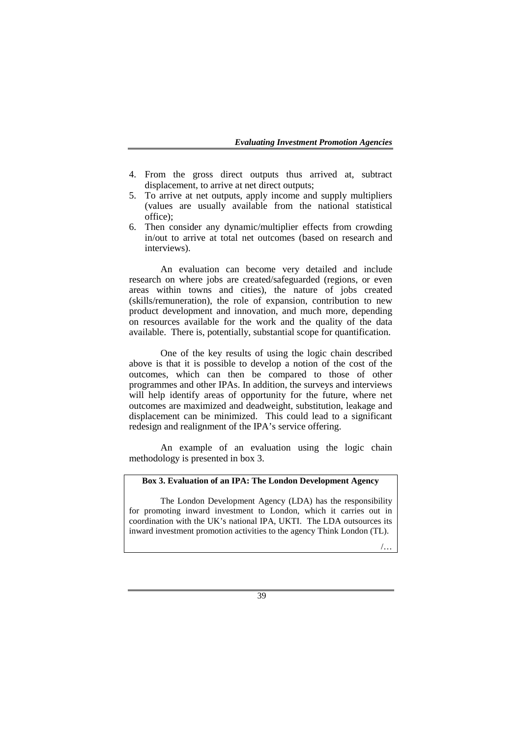- 4. From the gross direct outputs thus arrived at, subtract displacement, to arrive at net direct outputs;
- 5. To arrive at net outputs, apply income and supply multipliers (values are usually available from the national statistical office);
- 6. Then consider any dynamic/multiplier effects from crowding in/out to arrive at total net outcomes (based on research and interviews).

An evaluation can become very detailed and include research on where jobs are created/safeguarded (regions, or even areas within towns and cities), the nature of jobs created (skills/remuneration), the role of expansion, contribution to new product development and innovation, and much more, depending on resources available for the work and the quality of the data available. There is, potentially, substantial scope for quantification.

One of the key results of using the logic chain described above is that it is possible to develop a notion of the cost of the outcomes, which can then be compared to those of other programmes and other IPAs. In addition, the surveys and interviews will help identify areas of opportunity for the future, where net outcomes are maximized and deadweight, substitution, leakage and displacement can be minimized. This could lead to a significant redesign and realignment of the IPA's service offering.

An example of an evaluation using the logic chain methodology is presented in box 3.

### **Box 3. Evaluation of an IPA: The London Development Agency**

The London Development Agency (LDA) has the responsibility for promoting inward investment to London, which it carries out in coordination with the UK's national IPA, UKTI. The LDA outsources its inward investment promotion activities to the agency Think London (TL).

/…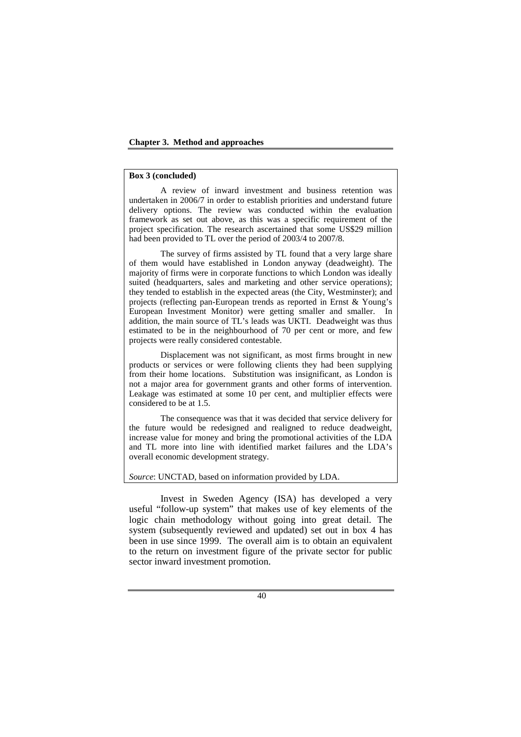### **Box 3 (concluded)**

A review of inward investment and business retention was undertaken in 2006/7 in order to establish priorities and understand future delivery options. The review was conducted within the evaluation framework as set out above, as this was a specific requirement of the project specification. The research ascertained that some US\$29 million had been provided to TL over the period of 2003/4 to 2007/8.

The survey of firms assisted by TL found that a very large share of them would have established in London anyway (deadweight). The majority of firms were in corporate functions to which London was ideally suited (headquarters, sales and marketing and other service operations); they tended to establish in the expected areas (the City, Westminster); and projects (reflecting pan-European trends as reported in Ernst & Young's European Investment Monitor) were getting smaller and smaller. In addition, the main source of TL's leads was UKTI. Deadweight was thus estimated to be in the neighbourhood of 70 per cent or more, and few projects were really considered contestable.

Displacement was not significant, as most firms brought in new products or services or were following clients they had been supplying from their home locations. Substitution was insignificant, as London is not a major area for government grants and other forms of intervention. Leakage was estimated at some 10 per cent, and multiplier effects were considered to be at 1.5.

The consequence was that it was decided that service delivery for the future would be redesigned and realigned to reduce deadweight, increase value for money and bring the promotional activities of the LDA and TL more into line with identified market failures and the LDA's overall economic development strategy.

*Source*: UNCTAD, based on information provided by LDA.

Invest in Sweden Agency (ISA) has developed a very useful "follow-up system" that makes use of key elements of the logic chain methodology without going into great detail. The system (subsequently reviewed and updated) set out in box 4 has been in use since 1999. The overall aim is to obtain an equivalent to the return on investment figure of the private sector for public sector inward investment promotion.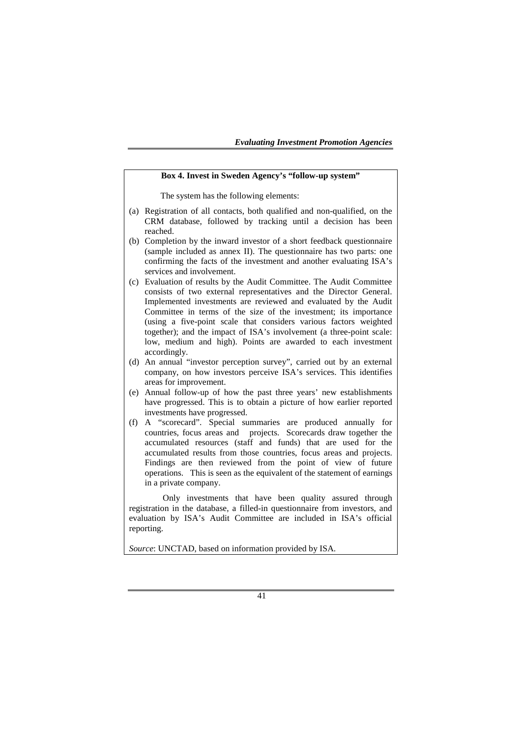### **Box 4. Invest in Sweden Agency's "follow-up system"**

The system has the following elements:

- (a) Registration of all contacts, both qualified and non-qualified, on the CRM database, followed by tracking until a decision has been reached.
- (b) Completion by the inward investor of a short feedback questionnaire (sample included as annex II). The questionnaire has two parts: one confirming the facts of the investment and another evaluating ISA's services and involvement.
- (c) Evaluation of results by the Audit Committee. The Audit Committee consists of two external representatives and the Director General. Implemented investments are reviewed and evaluated by the Audit Committee in terms of the size of the investment; its importance (using a five-point scale that considers various factors weighted together); and the impact of ISA's involvement (a three-point scale: low, medium and high). Points are awarded to each investment accordingly.
- (d) An annual "investor perception survey", carried out by an external company, on how investors perceive ISA's services. This identifies areas for improvement.
- (e) Annual follow-up of how the past three years' new establishments have progressed. This is to obtain a picture of how earlier reported investments have progressed.
- (f) A "scorecard". Special summaries are produced annually for countries, focus areas and projects. Scorecards draw together the accumulated resources (staff and funds) that are used for the accumulated results from those countries, focus areas and projects. Findings are then reviewed from the point of view of future operations. This is seen as the equivalent of the statement of earnings in a private company.

 Only investments that have been quality assured through registration in the database, a filled-in questionnaire from investors, and evaluation by ISA's Audit Committee are included in ISA's official reporting.

*Source*: UNCTAD, based on information provided by ISA.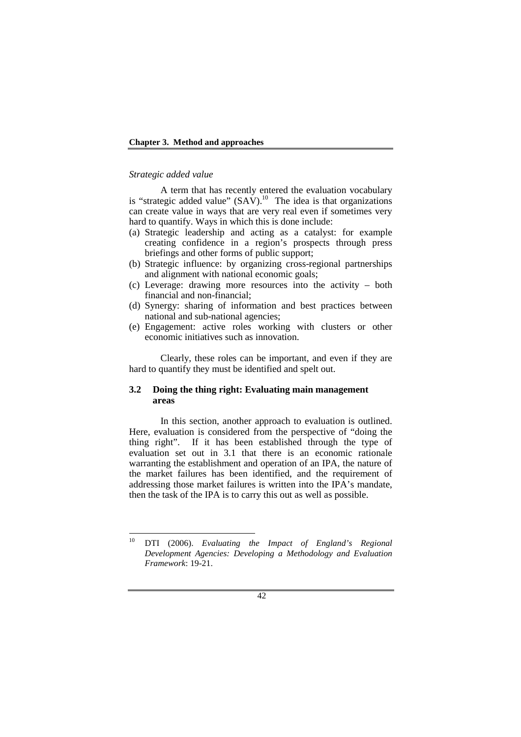### **Chapter 3. Method and approaches**

#### *Strategic added value*

A term that has recently entered the evaluation vocabulary is "strategic added value"  $(SAV)$ .<sup>10</sup> The idea is that organizations can create value in ways that are very real even if sometimes very hard to quantify. Ways in which this is done include:

- (a) Strategic leadership and acting as a catalyst: for example creating confidence in a region's prospects through press briefings and other forms of public support;
- (b) Strategic influence: by organizing cross-regional partnerships and alignment with national economic goals;
- (c) Leverage: drawing more resources into the activity both financial and non-financial;
- (d) Synergy: sharing of information and best practices between national and sub-national agencies;
- (e) Engagement: active roles working with clusters or other economic initiatives such as innovation.

Clearly, these roles can be important, and even if they are hard to quantify they must be identified and spelt out.

### **3.2 Doing the thing right: Evaluating main management areas**

In this section, another approach to evaluation is outlined. Here, evaluation is considered from the perspective of "doing the thing right". If it has been established through the type of evaluation set out in 3.1 that there is an economic rationale warranting the establishment and operation of an IPA, the nature of the market failures has been identified, and the requirement of addressing those market failures is written into the IPA's mandate, then the task of the IPA is to carry this out as well as possible.

<sup>10</sup> DTI (2006). *Evaluating the Impact of England's Regional Development Agencies: Developing a Methodology and Evaluation Framework*: 19-21.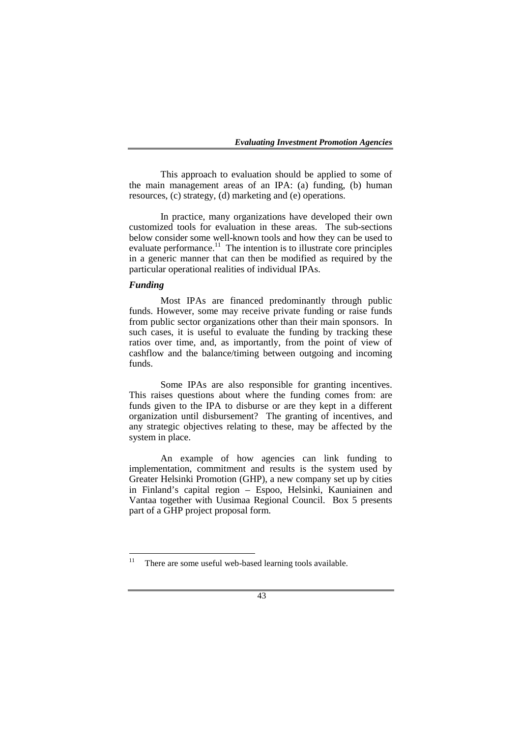This approach to evaluation should be applied to some of the main management areas of an IPA: (a) funding, (b) human resources, (c) strategy, (d) marketing and (e) operations.

In practice, many organizations have developed their own customized tools for evaluation in these areas. The sub-sections below consider some well-known tools and how they can be used to evaluate performance. $\frac{11}{11}$  The intention is to illustrate core principles in a generic manner that can then be modified as required by the particular operational realities of individual IPAs.

### *Funding*

Most IPAs are financed predominantly through public funds. However, some may receive private funding or raise funds from public sector organizations other than their main sponsors. In such cases, it is useful to evaluate the funding by tracking these ratios over time, and, as importantly, from the point of view of cashflow and the balance/timing between outgoing and incoming funds.

Some IPAs are also responsible for granting incentives. This raises questions about where the funding comes from: are funds given to the IPA to disburse or are they kept in a different organization until disbursement? The granting of incentives, and any strategic objectives relating to these, may be affected by the system in place.

An example of how agencies can link funding to implementation, commitment and results is the system used by Greater Helsinki Promotion (GHP), a new company set up by cities in Finland's capital region – Espoo, Helsinki, Kauniainen and Vantaa together with Uusimaa Regional Council. Box 5 presents part of a GHP project proposal form.

 $11$  There are some useful web-based learning tools available.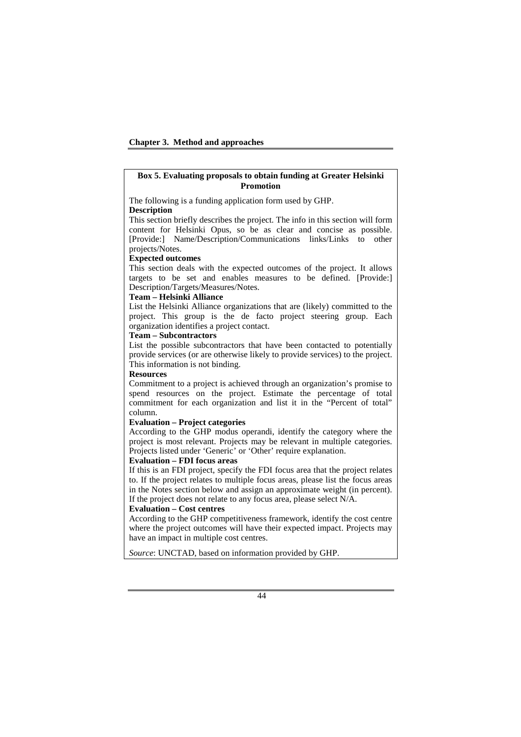### **Box 5. Evaluating proposals to obtain funding at Greater Helsinki Promotion**

The following is a funding application form used by GHP.

#### **Description**

This section briefly describes the project. The info in this section will form content for Helsinki Opus, so be as clear and concise as possible. [Provide:] Name/Description/Communications links/Links to other projects/Notes.

#### **Expected outcomes**

This section deals with the expected outcomes of the project. It allows targets to be set and enables measures to be defined. [Provide:] Description/Targets/Measures/Notes.

#### **Team – Helsinki Alliance**

List the Helsinki Alliance organizations that are (likely) committed to the project. This group is the de facto project steering group. Each organization identifies a project contact.

#### **Team – Subcontractors**

List the possible subcontractors that have been contacted to potentially provide services (or are otherwise likely to provide services) to the project. This information is not binding.

#### **Resources**

Commitment to a project is achieved through an organization's promise to spend resources on the project. Estimate the percentage of total commitment for each organization and list it in the "Percent of total" column.

#### **Evaluation – Project categories**

According to the GHP modus operandi, identify the category where the project is most relevant. Projects may be relevant in multiple categories. Projects listed under 'Generic' or 'Other' require explanation.

### **Evaluation – FDI focus areas**

If this is an FDI project, specify the FDI focus area that the project relates to. If the project relates to multiple focus areas, please list the focus areas in the Notes section below and assign an approximate weight (in percent). If the project does not relate to any focus area, please select N/A.

#### **Evaluation – Cost centres**

According to the GHP competitiveness framework, identify the cost centre where the project outcomes will have their expected impact. Projects may have an impact in multiple cost centres.

*Source*: UNCTAD, based on information provided by GHP.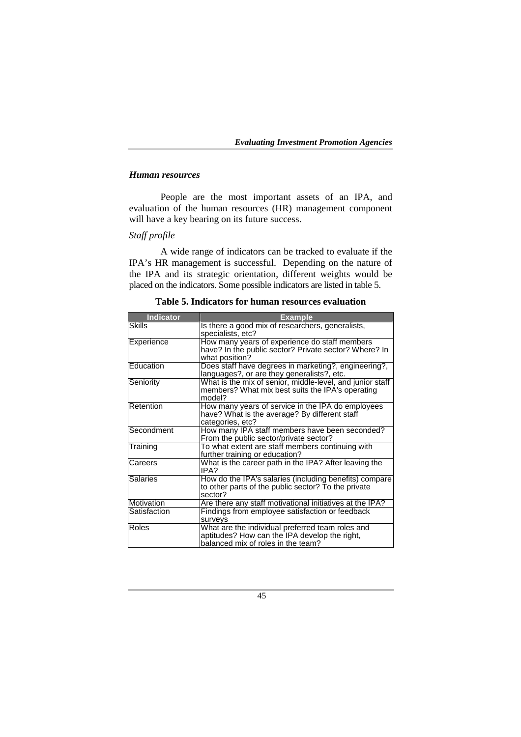### *Human resources*

People are the most important assets of an IPA, and evaluation of the human resources (HR) management component will have a key bearing on its future success.

## *Staff profile*

A wide range of indicators can be tracked to evaluate if the IPA's HR management is successful. Depending on the nature of the IPA and its strategic orientation, different weights would be placed on the indicators. Some possible indicators are listed in table 5.

| <b>Indicator</b> | <b>Example</b>                                                                                                                          |
|------------------|-----------------------------------------------------------------------------------------------------------------------------------------|
| <b>Skills</b>    | Is there a good mix of researchers, generalists,<br>specialists, etc?                                                                   |
| Experience       | How many years of experience do staff members<br>have? In the public sector? Private sector? Where? In<br>what position?                |
| Education        | Does staff have degrees in marketing?, engineering?,<br>languages?, or are they generalists?, etc.                                      |
| Seniority        | What is the mix of senior, middle-level, and junior staff<br>members? What mix best suits the IPA's operating<br>model?                 |
| Retention        | How many years of service in the IPA do employees<br>have? What is the average? By different staff<br>categories, etc?                  |
| Secondment       | How many IPA staff members have been seconded?<br>From the public sector/private sector?                                                |
| Training         | To what extent are staff members continuing with<br>further training or education?                                                      |
| Careers          | What is the career path in the IPA? After leaving the<br>IPA?                                                                           |
| <b>Salaries</b>  | How do the IPA's salaries (including benefits) compare<br>to other parts of the public sector? To the private<br>sector?                |
| Motivation       | Are there any staff motivational initiatives at the IPA?                                                                                |
| Satisfaction     | Findings from employee satisfaction or feedback<br>surveys                                                                              |
| <b>Roles</b>     | What are the individual preferred team roles and<br>aptitudes? How can the IPA develop the right,<br>balanced mix of roles in the team? |

**Table 5. Indicators for human resources evaluation**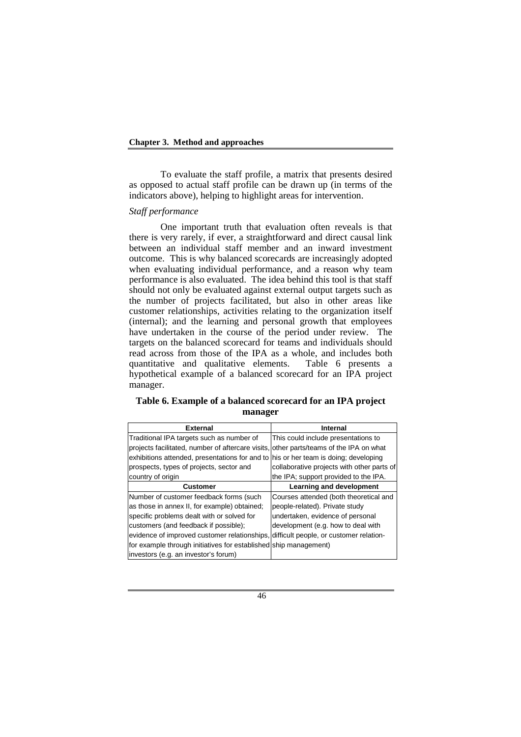To evaluate the staff profile, a matrix that presents desired as opposed to actual staff profile can be drawn up (in terms of the indicators above), helping to highlight areas for intervention.

### *Staff performance*

One important truth that evaluation often reveals is that there is very rarely, if ever, a straightforward and direct causal link between an individual staff member and an inward investment outcome. This is why balanced scorecards are increasingly adopted when evaluating individual performance, and a reason why team performance is also evaluated. The idea behind this tool is that staff should not only be evaluated against external output targets such as the number of projects facilitated, but also in other areas like customer relationships, activities relating to the organization itself (internal); and the learning and personal growth that employees have undertaken in the course of the period under review. The targets on the balanced scorecard for teams and individuals should read across from those of the IPA as a whole, and includes both quantitative and qualitative elements. Table 6 presents a hypothetical example of a balanced scorecard for an IPA project manager.

## **Table 6. Example of a balanced scorecard for an IPA project manager**

| <b>External</b>                                                                        | Internal                                   |
|----------------------------------------------------------------------------------------|--------------------------------------------|
| Traditional IPA targets such as number of                                              | This could include presentations to        |
| projects facilitated, number of aftercare visits, other parts/teams of the IPA on what |                                            |
| exhibitions attended, presentations for and to his or her team is doing; developing    |                                            |
| prospects, types of projects, sector and                                               | collaborative projects with other parts of |
| country of origin                                                                      | the IPA; support provided to the IPA.      |
| <b>Customer</b>                                                                        | Learning and development                   |
| Number of customer feedback forms (such                                                | Courses attended (both theoretical and     |
| as those in annex II, for example) obtained;                                           | people-related). Private study             |
| specific problems dealt with or solved for                                             | undertaken, evidence of personal           |
| customers (and feedback if possible);                                                  | development (e.g. how to deal with         |
| evidence of improved customer relationships, difficult people, or customer relation-   |                                            |
| for example through initiatives for established ship management)                       |                                            |
| investors (e.g. an investor's forum)                                                   |                                            |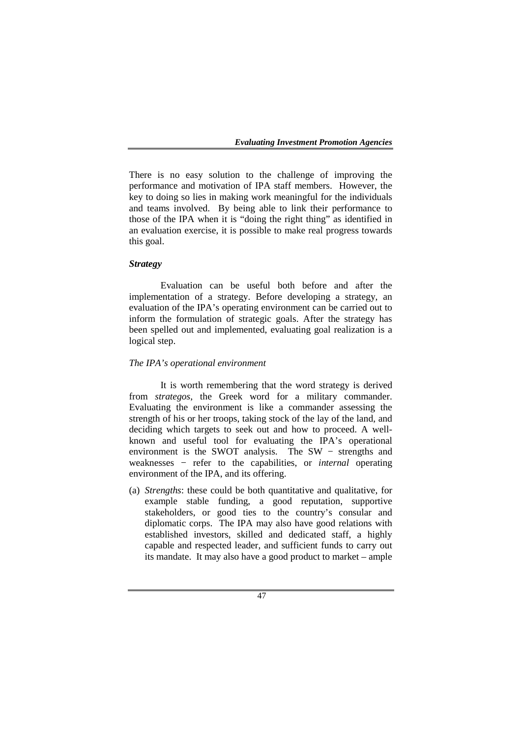There is no easy solution to the challenge of improving the performance and motivation of IPA staff members. However, the key to doing so lies in making work meaningful for the individuals and teams involved. By being able to link their performance to those of the IPA when it is "doing the right thing" as identified in an evaluation exercise, it is possible to make real progress towards this goal.

## *Strategy*

Evaluation can be useful both before and after the implementation of a strategy. Before developing a strategy, an evaluation of the IPA's operating environment can be carried out to inform the formulation of strategic goals. After the strategy has been spelled out and implemented, evaluating goal realization is a logical step.

### *The IPA's operational environment*

It is worth remembering that the word strategy is derived from *strategos*, the Greek word for a military commander. Evaluating the environment is like a commander assessing the strength of his or her troops, taking stock of the lay of the land, and deciding which targets to seek out and how to proceed. A wellknown and useful tool for evaluating the IPA's operational environment is the SWOT analysis. The SW – strengths and weaknesses − refer to the capabilities, or *internal* operating environment of the IPA, and its offering.

(a) *Strengths*: these could be both quantitative and qualitative, for example stable funding, a good reputation, supportive stakeholders, or good ties to the country's consular and diplomatic corps. The IPA may also have good relations with established investors, skilled and dedicated staff, a highly capable and respected leader, and sufficient funds to carry out its mandate. It may also have a good product to market – ample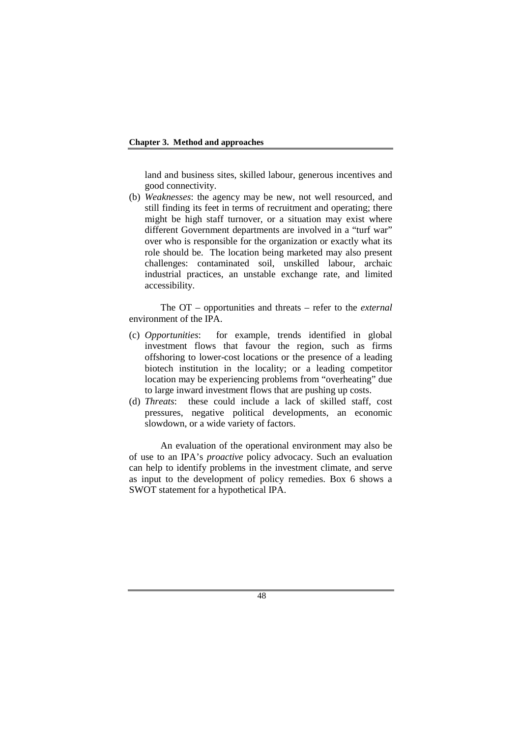### **Chapter 3. Method and approaches**

land and business sites, skilled labour, generous incentives and good connectivity.

(b) *Weaknesses*: the agency may be new, not well resourced, and still finding its feet in terms of recruitment and operating; there might be high staff turnover, or a situation may exist where different Government departments are involved in a "turf war" over who is responsible for the organization or exactly what its role should be. The location being marketed may also present challenges: contaminated soil, unskilled labour, archaic industrial practices, an unstable exchange rate, and limited accessibility.

The OT – opportunities and threats – refer to the *external* environment of the IPA.

- (c) *Opportunities*: for example, trends identified in global investment flows that favour the region, such as firms offshoring to lower-cost locations or the presence of a leading biotech institution in the locality; or a leading competitor location may be experiencing problems from "overheating" due to large inward investment flows that are pushing up costs.
- (d) *Threats*: these could include a lack of skilled staff, cost pressures, negative political developments, an economic slowdown, or a wide variety of factors.

An evaluation of the operational environment may also be of use to an IPA's *proactive* policy advocacy. Such an evaluation can help to identify problems in the investment climate, and serve as input to the development of policy remedies. Box 6 shows a SWOT statement for a hypothetical IPA.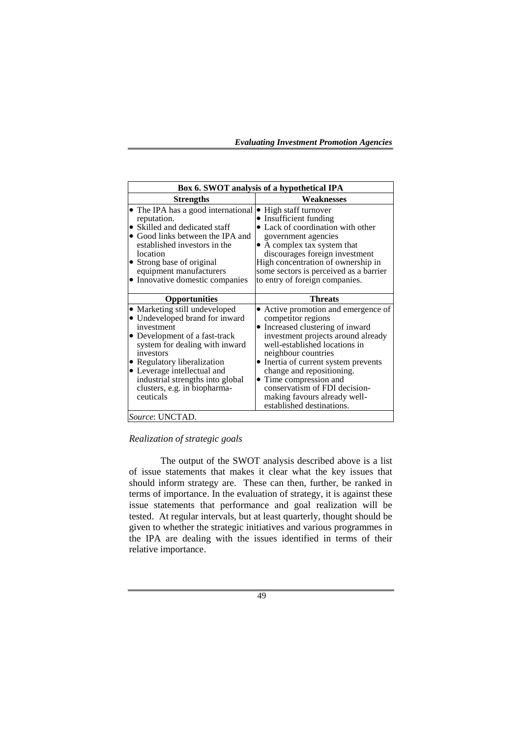| Box 6. SWOT analysis of a hypothetical IPA                                                                                                                                                                                                                                                                   |                                                                                                                                                                                                                                                                                                                                                                                          |  |
|--------------------------------------------------------------------------------------------------------------------------------------------------------------------------------------------------------------------------------------------------------------------------------------------------------------|------------------------------------------------------------------------------------------------------------------------------------------------------------------------------------------------------------------------------------------------------------------------------------------------------------------------------------------------------------------------------------------|--|
| <b>Strengths</b>                                                                                                                                                                                                                                                                                             | Weaknesses                                                                                                                                                                                                                                                                                                                                                                               |  |
| • The IPA has a good international<br>reputation.<br>• Skilled and dedicated staff<br>• Good links between the IPA and<br>established investors in the<br>location<br>• Strong base of original<br>equipment manufacturers<br>• Innovative domestic companies                                                | • High staff turnover<br>• Insufficient funding<br>• Lack of coordination with other<br>government agencies<br>• A complex tax system that<br>discourages foreign investment<br>High concentration of ownership in<br>some sectors is perceived as a barrier<br>to entry of foreign companies.                                                                                           |  |
| <b>Opportunities</b>                                                                                                                                                                                                                                                                                         | Threats                                                                                                                                                                                                                                                                                                                                                                                  |  |
| • Marketing still undeveloped<br>• Undeveloped brand for inward<br>investment<br>• Development of a fast-track<br>system for dealing with inward<br>investors<br>• Regulatory liberalization<br>• Leverage intellectual and<br>industrial strengths into global<br>clusters, e.g. in biopharma-<br>ceuticals | • Active promotion and emergence of<br>competitor regions<br>• Increased clustering of inward<br>investment projects around already<br>well-established locations in<br>neighbour countries<br>• Inertia of current system prevents<br>change and repositioning.<br>• Time compression and<br>conservatism of FDI decision-<br>making favours already well-<br>established destinations. |  |
| <i>Source:</i> UNCTAD.                                                                                                                                                                                                                                                                                       |                                                                                                                                                                                                                                                                                                                                                                                          |  |

*Realization of strategic goals* 

The output of the SWOT analysis described above is a list of issue statements that makes it clear what the key issues that should inform strategy are. These can then, further, be ranked in terms of importance. In the evaluation of strategy, it is against these issue statements that performance and goal realization will be tested. At regular intervals, but at least quarterly, thought should be given to whether the strategic initiatives and various programmes in the IPA are dealing with the issues identified in terms of their relative importance.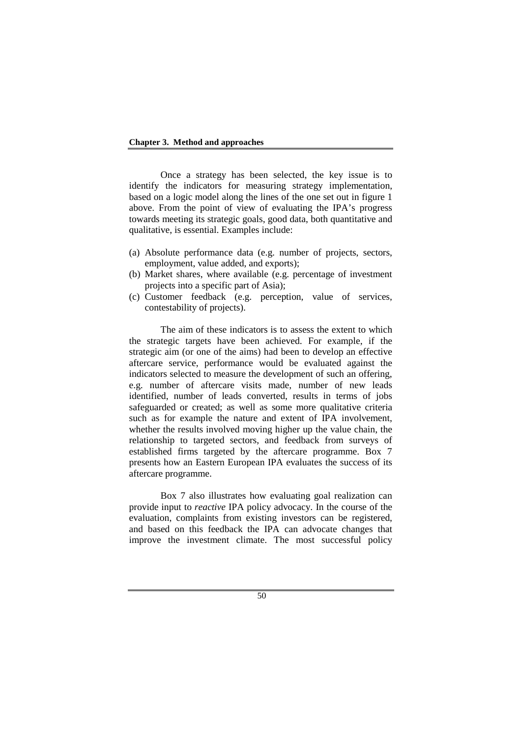### **Chapter 3. Method and approaches**

Once a strategy has been selected, the key issue is to identify the indicators for measuring strategy implementation, based on a logic model along the lines of the one set out in figure 1 above. From the point of view of evaluating the IPA's progress towards meeting its strategic goals, good data, both quantitative and qualitative, is essential. Examples include:

- (a) Absolute performance data (e.g. number of projects, sectors, employment, value added, and exports);
- (b) Market shares, where available (e.g. percentage of investment projects into a specific part of Asia);
- (c) Customer feedback (e.g. perception, value of services, contestability of projects).

The aim of these indicators is to assess the extent to which the strategic targets have been achieved. For example, if the strategic aim (or one of the aims) had been to develop an effective aftercare service, performance would be evaluated against the indicators selected to measure the development of such an offering, e.g. number of aftercare visits made, number of new leads identified, number of leads converted, results in terms of jobs safeguarded or created; as well as some more qualitative criteria such as for example the nature and extent of IPA involvement, whether the results involved moving higher up the value chain, the relationship to targeted sectors, and feedback from surveys of established firms targeted by the aftercare programme. Box 7 presents how an Eastern European IPA evaluates the success of its aftercare programme.

Box 7 also illustrates how evaluating goal realization can provide input to *reactive* IPA policy advocacy. In the course of the evaluation, complaints from existing investors can be registered, and based on this feedback the IPA can advocate changes that improve the investment climate. The most successful policy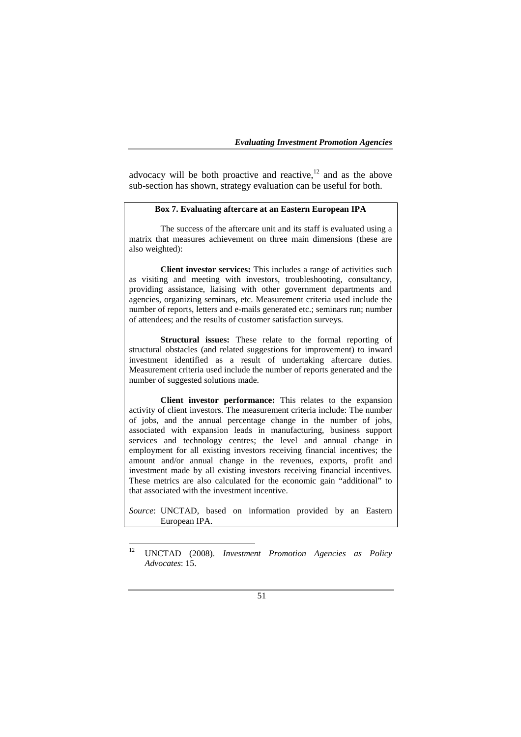advocacy will be both proactive and reactive, $12$  and as the above sub-section has shown, strategy evaluation can be useful for both.

### **Box 7. Evaluating aftercare at an Eastern European IPA**

The success of the aftercare unit and its staff is evaluated using a matrix that measures achievement on three main dimensions (these are also weighted):

**Client investor services:** This includes a range of activities such as visiting and meeting with investors, troubleshooting, consultancy, providing assistance, liaising with other government departments and agencies, organizing seminars, etc. Measurement criteria used include the number of reports, letters and e-mails generated etc.; seminars run; number of attendees; and the results of customer satisfaction surveys.

**Structural issues:** These relate to the formal reporting of structural obstacles (and related suggestions for improvement) to inward investment identified as a result of undertaking aftercare duties. Measurement criteria used include the number of reports generated and the number of suggested solutions made.

**Client investor performance:** This relates to the expansion activity of client investors. The measurement criteria include: The number of jobs, and the annual percentage change in the number of jobs, associated with expansion leads in manufacturing, business support services and technology centres; the level and annual change in employment for all existing investors receiving financial incentives; the amount and/or annual change in the revenues, exports, profit and investment made by all existing investors receiving financial incentives. These metrics are also calculated for the economic gain "additional" to that associated with the investment incentive.

*Source*: UNCTAD, based on information provided by an Eastern European IPA.

<sup>12</sup> UNCTAD (2008). *Investment Promotion Agencies as Policy Advocates*: 15.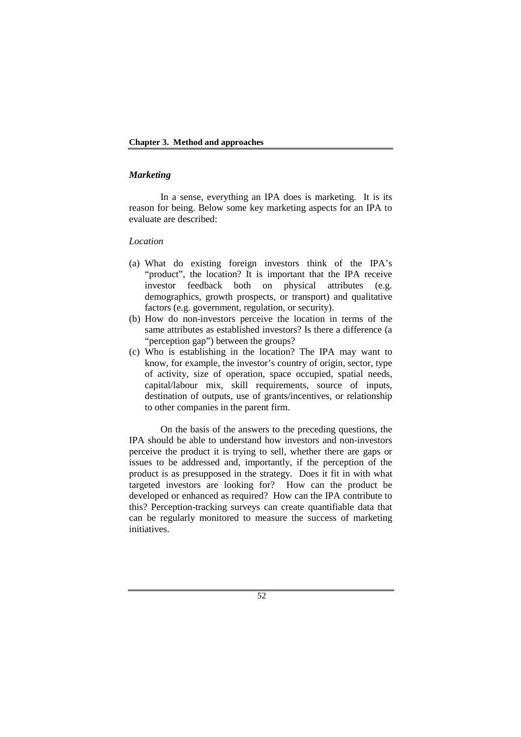### **Chapter 3. Method and approaches**

### *Marketing*

In a sense, everything an IPA does is marketing. It is its reason for being. Below some key marketing aspects for an IPA to evaluate are described:

### *Location*

- (a) What do existing foreign investors think of the IPA's "product", the location? It is important that the IPA receive investor feedback both on physical attributes (e.g. demographics, growth prospects, or transport) and qualitative factors (e.g. government, regulation, or security).
- (b) How do non-investors perceive the location in terms of the same attributes as established investors? Is there a difference (a "perception gap") between the groups?
- (c) Who is establishing in the location? The IPA may want to know, for example, the investor's country of origin, sector, type of activity, size of operation, space occupied, spatial needs, capital/labour mix, skill requirements, source of inputs, destination of outputs, use of grants/incentives, or relationship to other companies in the parent firm.

On the basis of the answers to the preceding questions, the IPA should be able to understand how investors and non-investors perceive the product it is trying to sell, whether there are gaps or issues to be addressed and, importantly, if the perception of the product is as presupposed in the strategy. Does it fit in with what targeted investors are looking for? How can the product be developed or enhanced as required? How can the IPA contribute to this? Perception-tracking surveys can create quantifiable data that can be regularly monitored to measure the success of marketing *initiatives*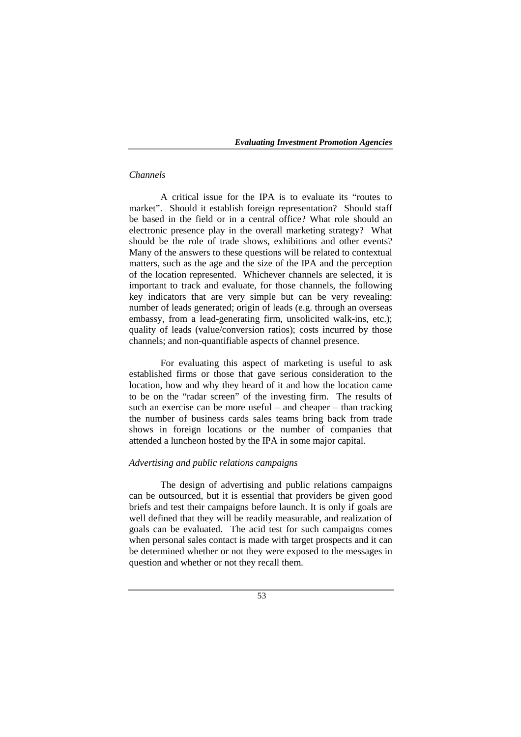## *Channels*

A critical issue for the IPA is to evaluate its "routes to market". Should it establish foreign representation? Should staff be based in the field or in a central office? What role should an electronic presence play in the overall marketing strategy? What should be the role of trade shows, exhibitions and other events? Many of the answers to these questions will be related to contextual matters, such as the age and the size of the IPA and the perception of the location represented. Whichever channels are selected, it is important to track and evaluate, for those channels, the following key indicators that are very simple but can be very revealing: number of leads generated; origin of leads (e.g. through an overseas embassy, from a lead-generating firm, unsolicited walk-ins, etc.); quality of leads (value/conversion ratios); costs incurred by those channels; and non-quantifiable aspects of channel presence.

For evaluating this aspect of marketing is useful to ask established firms or those that gave serious consideration to the location, how and why they heard of it and how the location came to be on the "radar screen" of the investing firm. The results of such an exercise can be more useful – and cheaper – than tracking the number of business cards sales teams bring back from trade shows in foreign locations or the number of companies that attended a luncheon hosted by the IPA in some major capital.

### *Advertising and public relations campaigns*

 The design of advertising and public relations campaigns can be outsourced, but it is essential that providers be given good briefs and test their campaigns before launch. It is only if goals are well defined that they will be readily measurable, and realization of goals can be evaluated. The acid test for such campaigns comes when personal sales contact is made with target prospects and it can be determined whether or not they were exposed to the messages in question and whether or not they recall them.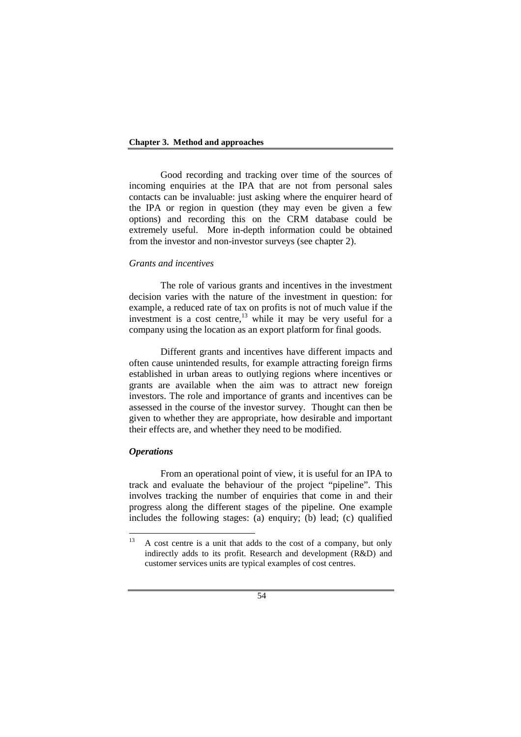#### **Chapter 3. Method and approaches**

Good recording and tracking over time of the sources of incoming enquiries at the IPA that are not from personal sales contacts can be invaluable: just asking where the enquirer heard of the IPA or region in question (they may even be given a few options) and recording this on the CRM database could be extremely useful. More in-depth information could be obtained from the investor and non-investor surveys (see chapter 2).

## *Grants and incentives*

The role of various grants and incentives in the investment decision varies with the nature of the investment in question: for example, a reduced rate of tax on profits is not of much value if the investment is a cost centre, $13$  while it may be very useful for a company using the location as an export platform for final goods.

Different grants and incentives have different impacts and often cause unintended results, for example attracting foreign firms established in urban areas to outlying regions where incentives or grants are available when the aim was to attract new foreign investors. The role and importance of grants and incentives can be assessed in the course of the investor survey. Thought can then be given to whether they are appropriate, how desirable and important their effects are, and whether they need to be modified.

### *Operations*

From an operational point of view, it is useful for an IPA to track and evaluate the behaviour of the project "pipeline". This involves tracking the number of enquiries that come in and their progress along the different stages of the pipeline. One example includes the following stages: (a) enquiry; (b) lead; (c) qualified

 $13$  A cost centre is a unit that adds to the cost of a company, but only indirectly adds to its profit. Research and development (R&D) and customer services units are typical examples of cost centres.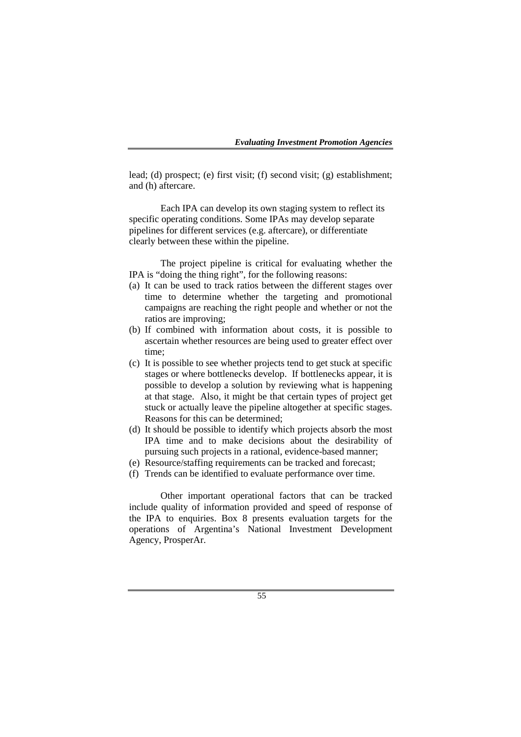lead; (d) prospect; (e) first visit; (f) second visit; (g) establishment; and (h) aftercare.

Each IPA can develop its own staging system to reflect its specific operating conditions. Some IPAs may develop separate pipelines for different services (e.g. aftercare), or differentiate clearly between these within the pipeline.

The project pipeline is critical for evaluating whether the IPA is "doing the thing right", for the following reasons:

- (a) It can be used to track ratios between the different stages over time to determine whether the targeting and promotional campaigns are reaching the right people and whether or not the ratios are improving;
- (b) If combined with information about costs, it is possible to ascertain whether resources are being used to greater effect over time;
- (c) It is possible to see whether projects tend to get stuck at specific stages or where bottlenecks develop. If bottlenecks appear, it is possible to develop a solution by reviewing what is happening at that stage. Also, it might be that certain types of project get stuck or actually leave the pipeline altogether at specific stages. Reasons for this can be determined;
- (d) It should be possible to identify which projects absorb the most IPA time and to make decisions about the desirability of pursuing such projects in a rational, evidence-based manner;
- (e) Resource/staffing requirements can be tracked and forecast;
- (f) Trends can be identified to evaluate performance over time.

Other important operational factors that can be tracked include quality of information provided and speed of response of the IPA to enquiries. Box 8 presents evaluation targets for the operations of Argentina's National Investment Development Agency, ProsperAr.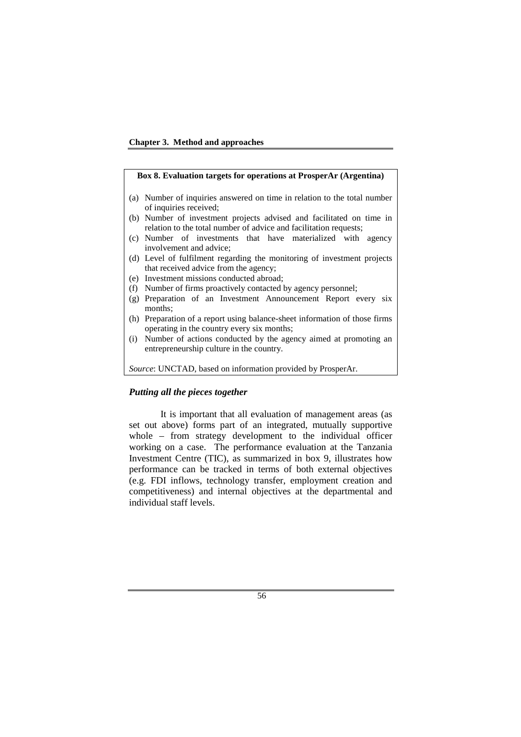

## **Box 8. Evaluation targets for operations at ProsperAr (Argentina)**  (a) Number of inquiries answered on time in relation to the total number of inquiries received; (b) Number of investment projects advised and facilitated on time in relation to the total number of advice and facilitation requests; (c) Number of investments that have materialized with agency involvement and advice; (d) Level of fulfilment regarding the monitoring of investment projects that received advice from the agency; (e) Investment missions conducted abroad; (f) Number of firms proactively contacted by agency personnel; (g) Preparation of an Investment Announcement Report every six months; (h) Preparation of a report using balance-sheet information of those firms operating in the country every six months; (i) Number of actions conducted by the agency aimed at promoting an entrepreneurship culture in the country. *Source*: UNCTAD, based on information provided by ProsperAr.

### *Putting all the pieces together*

It is important that all evaluation of management areas (as set out above) forms part of an integrated, mutually supportive whole – from strategy development to the individual officer working on a case. The performance evaluation at the Tanzania Investment Centre (TIC), as summarized in box 9, illustrates how performance can be tracked in terms of both external objectives (e.g. FDI inflows, technology transfer, employment creation and competitiveness) and internal objectives at the departmental and individual staff levels.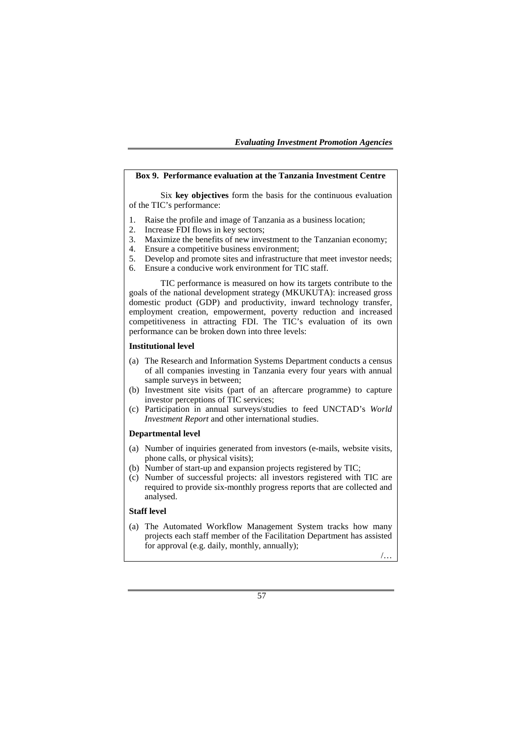### **Box 9. Performance evaluation at the Tanzania Investment Centre**

Six **key objectives** form the basis for the continuous evaluation of the TIC's performance:

- 1. Raise the profile and image of Tanzania as a business location;
- 2. Increase FDI flows in key sectors;
- 3. Maximize the benefits of new investment to the Tanzanian economy;
- 4. Ensure a competitive business environment;
- 5. Develop and promote sites and infrastructure that meet investor needs;
- 6. Ensure a conducive work environment for TIC staff.

TIC performance is measured on how its targets contribute to the goals of the national development strategy (MKUKUTA): increased gross domestic product (GDP) and productivity, inward technology transfer, employment creation, empowerment, poverty reduction and increased competitiveness in attracting FDI. The TIC's evaluation of its own performance can be broken down into three levels:

#### **Institutional level**

- (a) The Research and Information Systems Department conducts a census of all companies investing in Tanzania every four years with annual sample surveys in between;
- (b) Investment site visits (part of an aftercare programme) to capture investor perceptions of TIC services;
- (c) Participation in annual surveys/studies to feed UNCTAD's *World Investment Report* and other international studies.

#### **Departmental level**

- (a) Number of inquiries generated from investors (e-mails, website visits, phone calls, or physical visits);
- (b) Number of start-up and expansion projects registered by TIC;
- (c) Number of successful projects: all investors registered with TIC are required to provide six-monthly progress reports that are collected and analysed.

### **Staff level**

(a) The Automated Workflow Management System tracks how many projects each staff member of the Facilitation Department has assisted for approval (e.g. daily, monthly, annually);

/…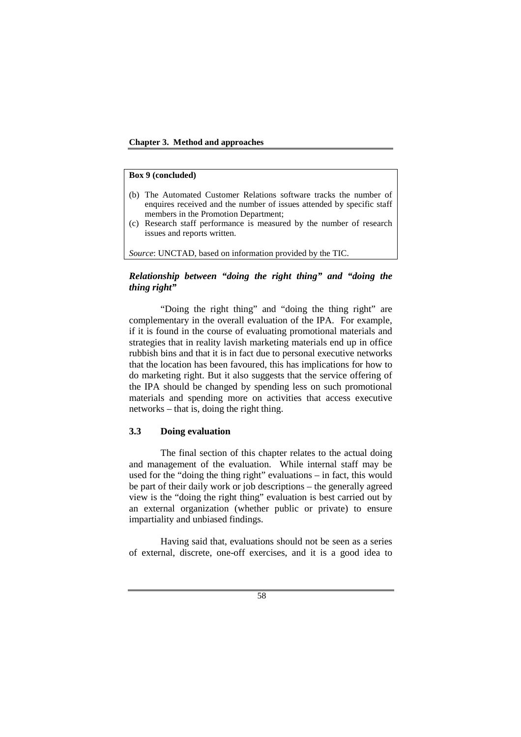### **Chapter 3. Method and approaches**

### **Box 9 (concluded)**

- (b) The Automated Customer Relations software tracks the number of enquires received and the number of issues attended by specific staff members in the Promotion Department;
- (c) Research staff performance is measured by the number of research issues and reports written.

*Source*: UNCTAD, based on information provided by the TIC.

## *Relationship between "doing the right thing" and "doing the thing right"*

"Doing the right thing" and "doing the thing right" are complementary in the overall evaluation of the IPA. For example, if it is found in the course of evaluating promotional materials and strategies that in reality lavish marketing materials end up in office rubbish bins and that it is in fact due to personal executive networks that the location has been favoured, this has implications for how to do marketing right. But it also suggests that the service offering of the IPA should be changed by spending less on such promotional materials and spending more on activities that access executive networks – that is, doing the right thing.

## **3.3 Doing evaluation**

The final section of this chapter relates to the actual doing and management of the evaluation. While internal staff may be used for the "doing the thing right" evaluations – in fact, this would be part of their daily work or job descriptions – the generally agreed view is the "doing the right thing" evaluation is best carried out by an external organization (whether public or private) to ensure impartiality and unbiased findings.

Having said that, evaluations should not be seen as a series of external, discrete, one-off exercises, and it is a good idea to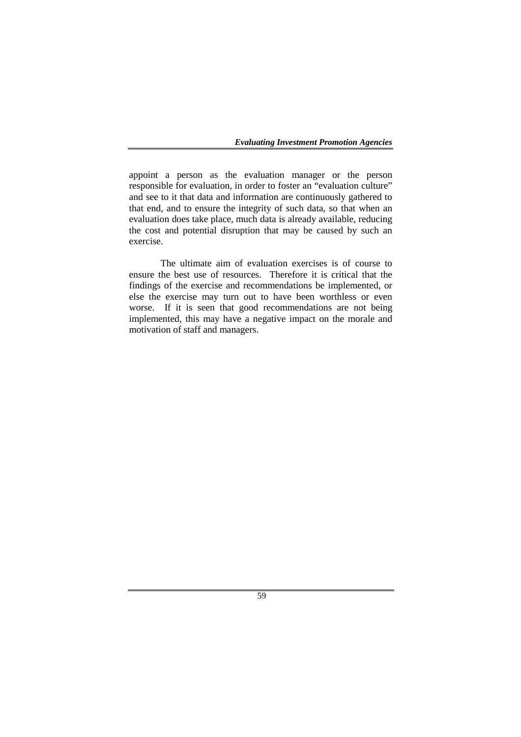appoint a person as the evaluation manager or the person responsible for evaluation, in order to foster an "evaluation culture" and see to it that data and information are continuously gathered to that end, and to ensure the integrity of such data, so that when an evaluation does take place, much data is already available, reducing the cost and potential disruption that may be caused by such an exercise.

The ultimate aim of evaluation exercises is of course to ensure the best use of resources. Therefore it is critical that the findings of the exercise and recommendations be implemented, or else the exercise may turn out to have been worthless or even worse. If it is seen that good recommendations are not being implemented, this may have a negative impact on the morale and motivation of staff and managers.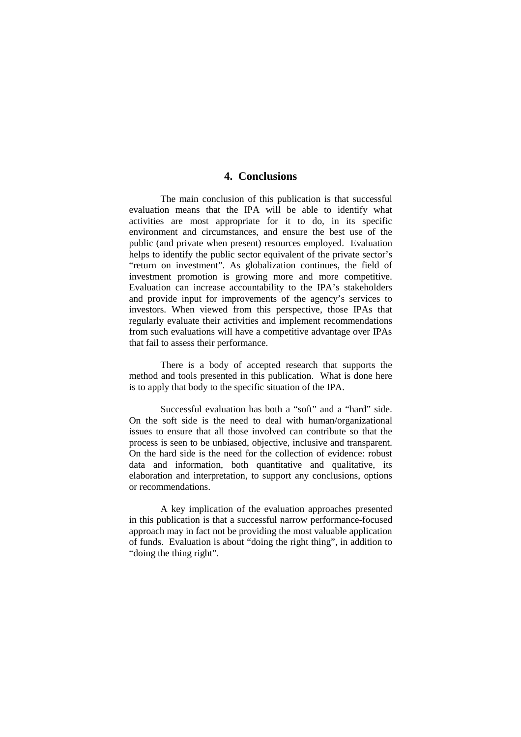# **4. Conclusions**

The main conclusion of this publication is that successful evaluation means that the IPA will be able to identify what activities are most appropriate for it to do, in its specific environment and circumstances, and ensure the best use of the public (and private when present) resources employed. Evaluation helps to identify the public sector equivalent of the private sector's "return on investment". As globalization continues, the field of investment promotion is growing more and more competitive. Evaluation can increase accountability to the IPA's stakeholders and provide input for improvements of the agency's services to investors. When viewed from this perspective, those IPAs that regularly evaluate their activities and implement recommendations from such evaluations will have a competitive advantage over IPAs that fail to assess their performance.

There is a body of accepted research that supports the method and tools presented in this publication. What is done here is to apply that body to the specific situation of the IPA.

Successful evaluation has both a "soft" and a "hard" side. On the soft side is the need to deal with human/organizational issues to ensure that all those involved can contribute so that the process is seen to be unbiased, objective, inclusive and transparent. On the hard side is the need for the collection of evidence: robust data and information, both quantitative and qualitative, its elaboration and interpretation, to support any conclusions, options or recommendations.

A key implication of the evaluation approaches presented in this publication is that a successful narrow performance-focused approach may in fact not be providing the most valuable application of funds. Evaluation is about "doing the right thing", in addition to "doing the thing right".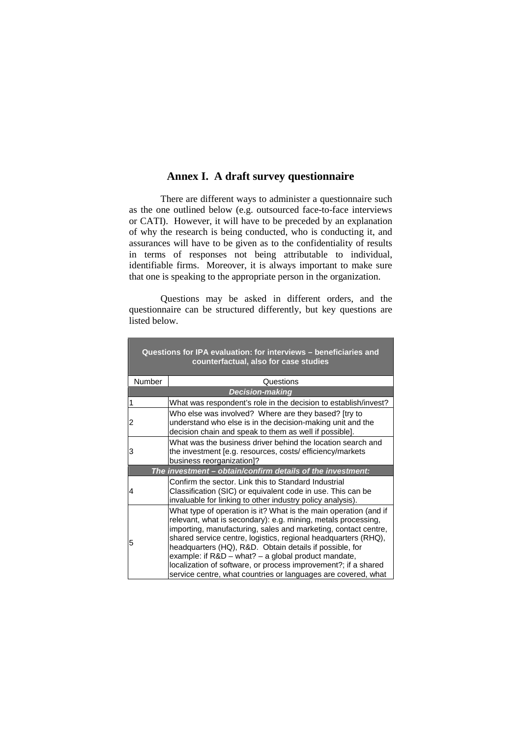# **Annex I. A draft survey questionnaire**

There are different ways to administer a questionnaire such as the one outlined below (e.g. outsourced face-to-face interviews or CATI). However, it will have to be preceded by an explanation of why the research is being conducted, who is conducting it, and assurances will have to be given as to the confidentiality of results in terms of responses not being attributable to individual, identifiable firms. Moreover, it is always important to make sure that one is speaking to the appropriate person in the organization.

Questions may be asked in different orders, and the questionnaire can be structured differently, but key questions are listed below.

|               | Questions for IPA evaluation: for interviews - beneficiaries and<br>counterfactual, also for case studies                                                                                                                                                                                                                                                                                                                                                                                                                    |
|---------------|------------------------------------------------------------------------------------------------------------------------------------------------------------------------------------------------------------------------------------------------------------------------------------------------------------------------------------------------------------------------------------------------------------------------------------------------------------------------------------------------------------------------------|
| <b>Number</b> | Questions                                                                                                                                                                                                                                                                                                                                                                                                                                                                                                                    |
|               | <b>Decision-making</b>                                                                                                                                                                                                                                                                                                                                                                                                                                                                                                       |
| 1             | What was respondent's role in the decision to establish/invest?                                                                                                                                                                                                                                                                                                                                                                                                                                                              |
| 2             | Who else was involved? Where are they based? [try to<br>understand who else is in the decision-making unit and the<br>decision chain and speak to them as well if possible].                                                                                                                                                                                                                                                                                                                                                 |
| 3             | What was the business driver behind the location search and<br>the investment [e.g. resources, costs/ efficiency/markets<br>business reorganization]?                                                                                                                                                                                                                                                                                                                                                                        |
|               | The investment - obtain/confirm details of the investment:                                                                                                                                                                                                                                                                                                                                                                                                                                                                   |
| 4             | Confirm the sector. Link this to Standard Industrial<br>Classification (SIC) or equivalent code in use. This can be<br>invaluable for linking to other industry policy analysis).                                                                                                                                                                                                                                                                                                                                            |
| 5             | What type of operation is it? What is the main operation (and if<br>relevant, what is secondary): e.g. mining, metals processing,<br>importing, manufacturing, sales and marketing, contact centre,<br>shared service centre, logistics, regional headquarters (RHQ),<br>headquarters (HQ), R&D. Obtain details if possible, for<br>example: if $R&D - what? - a global product mandate,$<br>localization of software, or process improvement?; if a shared<br>service centre, what countries or languages are covered, what |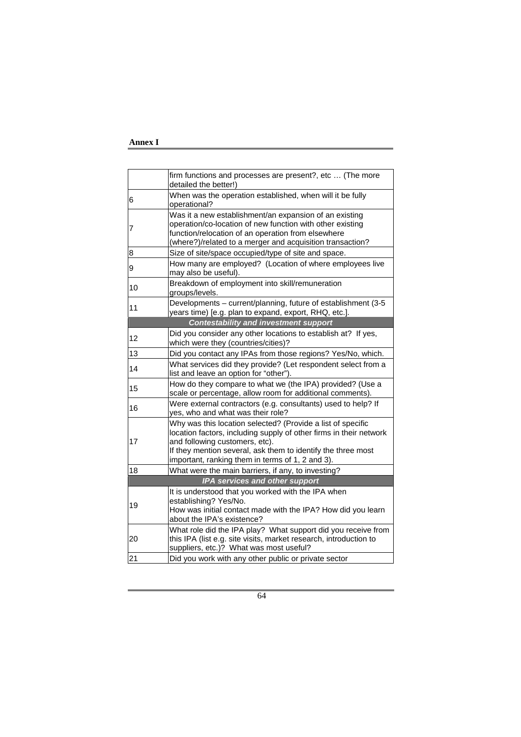### **Annex I**

|    | firm functions and processes are present?, etc  (The more<br>detailed the better!)                                                                                                                                                                                                      |
|----|-----------------------------------------------------------------------------------------------------------------------------------------------------------------------------------------------------------------------------------------------------------------------------------------|
| 6  | When was the operation established, when will it be fully<br>operational?                                                                                                                                                                                                               |
| 7  | Was it a new establishment/an expansion of an existing<br>operation/co-location of new function with other existing<br>function/relocation of an operation from elsewhere<br>(where?)/related to a merger and acquisition transaction?                                                  |
| 8  | Size of site/space occupied/type of site and space.                                                                                                                                                                                                                                     |
| 9  | How many are employed? (Location of where employees live<br>may also be useful).                                                                                                                                                                                                        |
| 10 | Breakdown of employment into skill/remuneration<br>groups/levels.                                                                                                                                                                                                                       |
| 11 | Developments - current/planning, future of establishment (3-5<br>years time) [e.g. plan to expand, export, RHQ, etc.].                                                                                                                                                                  |
|    | <b>Contestability and investment support</b>                                                                                                                                                                                                                                            |
| 12 | Did you consider any other locations to establish at? If yes,<br>which were they (countries/cities)?                                                                                                                                                                                    |
| 13 | Did you contact any IPAs from those regions? Yes/No, which.                                                                                                                                                                                                                             |
| 14 | What services did they provide? (Let respondent select from a<br>list and leave an option for "other").                                                                                                                                                                                 |
| 15 | How do they compare to what we (the IPA) provided? (Use a<br>scale or percentage, allow room for additional comments).                                                                                                                                                                  |
| 16 | Were external contractors (e.g. consultants) used to help? If<br>yes, who and what was their role?                                                                                                                                                                                      |
| 17 | Why was this location selected? (Provide a list of specific<br>location factors, including supply of other firms in their network<br>and following customers, etc).<br>If they mention several, ask them to identify the three most<br>important, ranking them in terms of 1, 2 and 3). |
| 18 | What were the main barriers, if any, to investing?                                                                                                                                                                                                                                      |
|    | IPA services and other support                                                                                                                                                                                                                                                          |
| 19 | It is understood that you worked with the IPA when<br>establishing? Yes/No.<br>How was initial contact made with the IPA? How did you learn<br>about the IPA's existence?                                                                                                               |
| 20 | What role did the IPA play? What support did you receive from<br>this IPA (list e.g. site visits, market research, introduction to<br>suppliers, etc.)? What was most useful?                                                                                                           |
| 21 | Did you work with any other public or private sector                                                                                                                                                                                                                                    |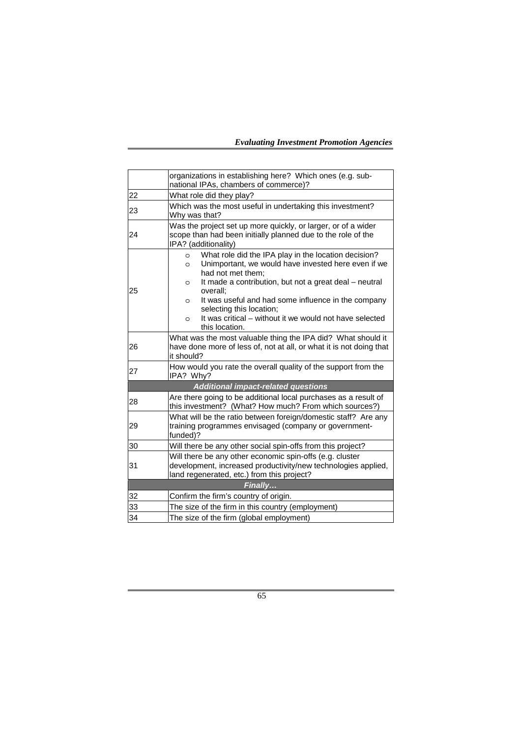*Evaluating Investment Promotion Agencies* 

|    | organizations in establishing here? Which ones (e.g. sub-<br>national IPAs, chambers of commerce)?                                                                                                                                                                                                                                                                                                                            |
|----|-------------------------------------------------------------------------------------------------------------------------------------------------------------------------------------------------------------------------------------------------------------------------------------------------------------------------------------------------------------------------------------------------------------------------------|
| 22 | What role did they play?                                                                                                                                                                                                                                                                                                                                                                                                      |
| 23 | Which was the most useful in undertaking this investment?<br>Why was that?                                                                                                                                                                                                                                                                                                                                                    |
| 24 | Was the project set up more quickly, or larger, or of a wider<br>scope than had been initially planned due to the role of the<br>IPA? (additionality)                                                                                                                                                                                                                                                                         |
| 25 | What role did the IPA play in the location decision?<br>$\circ$<br>Unimportant, we would have invested here even if we<br>$\circ$<br>had not met them:<br>It made a contribution, but not a great deal - neutral<br>$\circ$<br>overall:<br>It was useful and had some influence in the company<br>$\circ$<br>selecting this location;<br>It was critical – without it we would not have selected<br>$\circ$<br>this location. |
| 26 | What was the most valuable thing the IPA did? What should it<br>have done more of less of, not at all, or what it is not doing that<br>it should?                                                                                                                                                                                                                                                                             |
| 27 | How would you rate the overall quality of the support from the<br>IPA? Why?                                                                                                                                                                                                                                                                                                                                                   |
|    | <b>Additional impact-related questions</b>                                                                                                                                                                                                                                                                                                                                                                                    |
| 28 | Are there going to be additional local purchases as a result of<br>this investment? (What? How much? From which sources?)                                                                                                                                                                                                                                                                                                     |
| 29 | What will be the ratio between foreign/domestic staff? Are any<br>training programmes envisaged (company or government-<br>funded)?                                                                                                                                                                                                                                                                                           |
| 30 | Will there be any other social spin-offs from this project?                                                                                                                                                                                                                                                                                                                                                                   |
| 31 | Will there be any other economic spin-offs (e.g. cluster<br>development, increased productivity/new technologies applied,<br>land regenerated, etc.) from this project?                                                                                                                                                                                                                                                       |
|    | Finally                                                                                                                                                                                                                                                                                                                                                                                                                       |
| 32 | Confirm the firm's country of origin.                                                                                                                                                                                                                                                                                                                                                                                         |
| 33 | The size of the firm in this country (employment)                                                                                                                                                                                                                                                                                                                                                                             |
| 34 | The size of the firm (global employment)                                                                                                                                                                                                                                                                                                                                                                                      |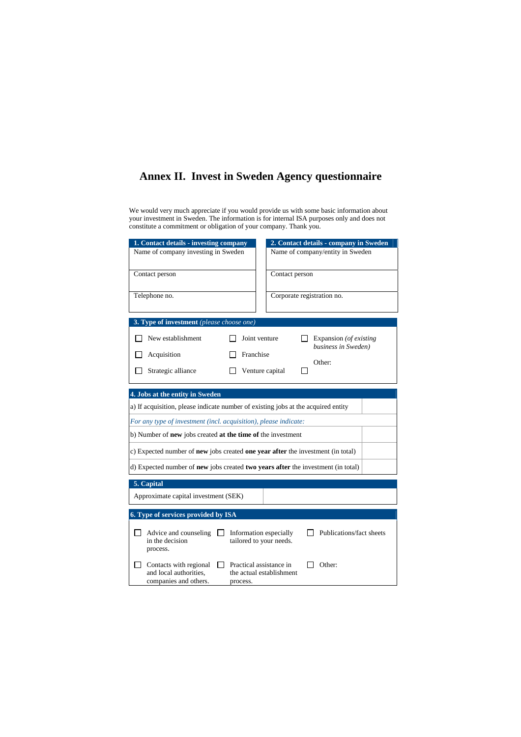# **Annex II. Invest in Sweden Agency questionnaire**

We would very much appreciate if you would provide us with some basic information about your investment in Sweden. The information is for internal ISA purposes only and does not constitute a commitment or obligation of your company. Thank you.

| 1. Contact details - investing company                           | 2. Contact details - company in Sweden                                            |  |  |  |
|------------------------------------------------------------------|-----------------------------------------------------------------------------------|--|--|--|
| Name of company investing in Sweden                              | Name of company/entity in Sweden                                                  |  |  |  |
| Contact person                                                   | Contact person                                                                    |  |  |  |
|                                                                  |                                                                                   |  |  |  |
| Telephone no.                                                    | Corporate registration no.                                                        |  |  |  |
|                                                                  |                                                                                   |  |  |  |
| 3. Type of investment (please choose one)                        |                                                                                   |  |  |  |
| New establishment                                                | Joint venture<br>Expansion (of existing<br>business in Sweden)                    |  |  |  |
| Acquisition                                                      | Franchise                                                                         |  |  |  |
| Strategic alliance                                               | Other:<br>Venture capital                                                         |  |  |  |
|                                                                  |                                                                                   |  |  |  |
| 4. Jobs at the entity in Sweden                                  |                                                                                   |  |  |  |
|                                                                  | a) If acquisition, please indicate number of existing jobs at the acquired entity |  |  |  |
| For any type of investment (incl. acquisition), please indicate: |                                                                                   |  |  |  |
| b) Number of new jobs created at the time of the investment      |                                                                                   |  |  |  |
|                                                                  | c) Expected number of new jobs created one year after the investment (in total)   |  |  |  |
|                                                                  | d) Expected number of new jobs created two years after the investment (in total)  |  |  |  |
| 5. Capital                                                       |                                                                                   |  |  |  |
| Approximate capital investment (SEK)                             |                                                                                   |  |  |  |
| 6. Type of services provided by ISA                              |                                                                                   |  |  |  |
|                                                                  |                                                                                   |  |  |  |
| Advice and counseling<br>in the decision                         | Publications/fact sheets<br>Information especially                                |  |  |  |
| process.                                                         | tailored to your needs.                                                           |  |  |  |
| Contacts with regional                                           | Practical assistance in<br>Other:                                                 |  |  |  |
| and local authorities.<br>companies and others.                  | the actual establishment<br>process.                                              |  |  |  |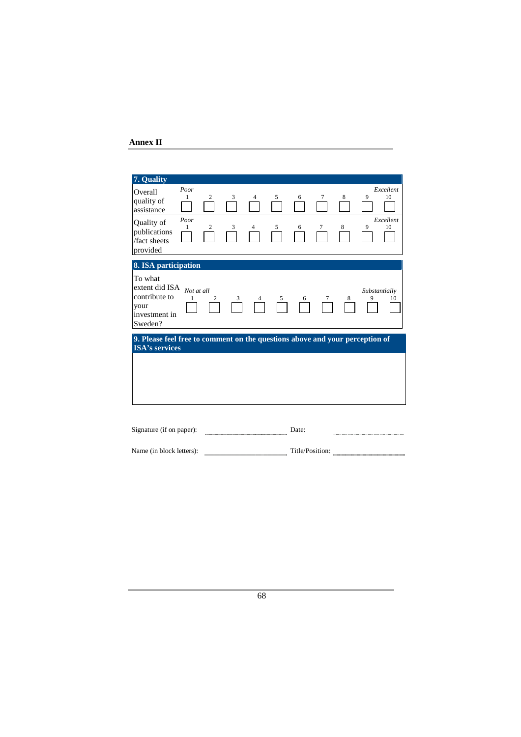## **Annex II**

| 7. Quality                                                                                            |                        |                     |        |        |        |                 |        |        |                    |                                    |
|-------------------------------------------------------------------------------------------------------|------------------------|---------------------|--------|--------|--------|-----------------|--------|--------|--------------------|------------------------------------|
| Overall<br>quality of<br>assistance<br>Quality of<br>publications<br>/fact sheets<br>provided         | Poor<br>1<br>Poor<br>1 | 2<br>$\overline{c}$ | 3<br>3 | 4<br>4 | 5<br>5 | 6<br>6          | 7<br>7 | 8<br>8 | 9<br>9             | Excellent<br>10<br>Excellent<br>10 |
| 8. ISA participation                                                                                  |                        |                     |        |        |        |                 |        |        |                    |                                    |
| To what<br>extent did ISA<br>contribute to<br>your<br>investment in<br>Sweden?                        | Not at all<br>1        |                     | 3      |        | 5      | 6               |        |        | Substantially<br>9 | 10                                 |
| 9. Please feel free to comment on the questions above and your perception of<br><b>ISA's services</b> |                        |                     |        |        |        |                 |        |        |                    |                                    |
|                                                                                                       |                        |                     |        |        |        |                 |        |        |                    |                                    |
| Signature (if on paper):                                                                              |                        |                     |        |        |        | Date:           |        |        |                    |                                    |
| Name (in block letters):                                                                              |                        |                     |        |        |        | Title/Position: |        |        |                    |                                    |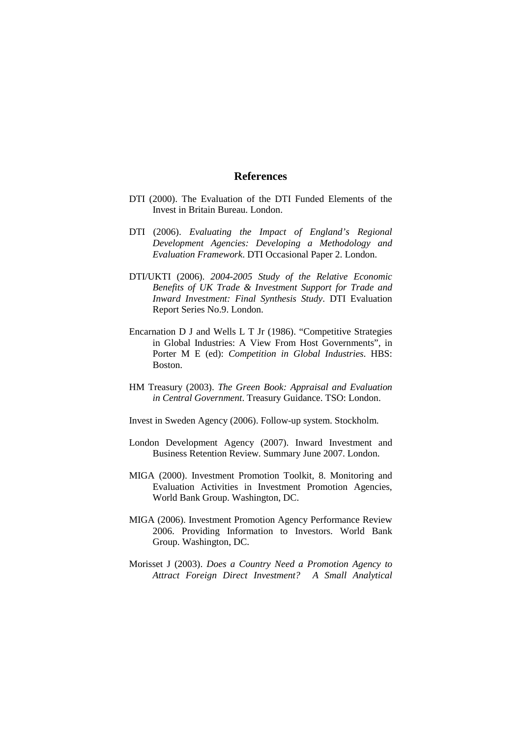### **References**

- DTI (2000). The Evaluation of the DTI Funded Elements of the Invest in Britain Bureau. London.
- DTI (2006). *Evaluating the Impact of England's Regional Development Agencies: Developing a Methodology and Evaluation Framework*. DTI Occasional Paper 2. London.
- DTI/UKTI (2006). *2004-2005 Study of the Relative Economic Benefits of UK Trade & Investment Support for Trade and Inward Investment: Final Synthesis Study*. DTI Evaluation Report Series No.9. London.
- Encarnation D J and Wells L T Jr (1986). "Competitive Strategies in Global Industries: A View From Host Governments", in Porter M E (ed): *Competition in Global Industries*. HBS: Boston.
- HM Treasury (2003). *The Green Book: Appraisal and Evaluation in Central Government*. Treasury Guidance. TSO: London.
- Invest in Sweden Agency (2006). Follow-up system. Stockholm.
- London Development Agency (2007). Inward Investment and Business Retention Review. Summary June 2007. London.
- MIGA (2000). Investment Promotion Toolkit, 8. Monitoring and Evaluation Activities in Investment Promotion Agencies, World Bank Group. Washington, DC.
- MIGA (2006). Investment Promotion Agency Performance Review 2006. Providing Information to Investors. World Bank Group. Washington, DC.
- Morisset J (2003). *Does a Country Need a Promotion Agency to Attract Foreign Direct Investment? A Small Analytical*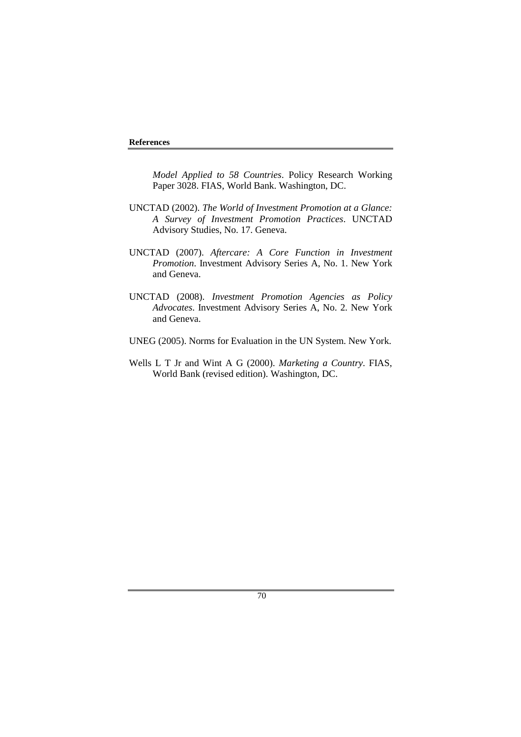*Model Applied to 58 Countries*. Policy Research Working Paper 3028. FIAS, World Bank. Washington, DC.

- UNCTAD (2002). *The World of Investment Promotion at a Glance: A Survey of Investment Promotion Practices*. UNCTAD Advisory Studies, No. 17. Geneva.
- UNCTAD (2007). *Aftercare: A Core Function in Investment Promotion*. Investment Advisory Series A, No. 1. New York and Geneva.
- UNCTAD (2008). *Investment Promotion Agencies as Policy Advocates*. Investment Advisory Series A, No. 2. New York and Geneva.
- UNEG (2005). Norms for Evaluation in the UN System. New York.
- Wells L T Jr and Wint A G (2000). *Marketing a Country*. FIAS, World Bank (revised edition). Washington, DC.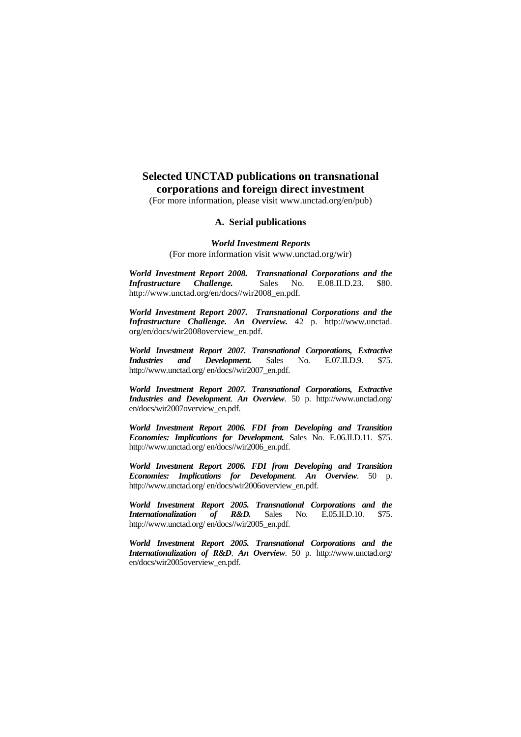# **Selected UNCTAD publications on transnational corporations and foreign direct investment**

(For more information, please visit www.unctad.org/en/pub)

### **A. Serial publications**

*World Investment Reports* (For more information visit www.unctad.org/wir)

*World Investment Report 2008. Transnational Corporations and the Infrastructure Challenge.* http://www.unctad.org/en/docs//wir2008\_en.pdf.

*World Investment Report 2007. Transnational Corporations and the Infrastructure Challenge. An Overview.* 42 p. http://www.unctad. org/en/docs/wir2008overview\_en.pdf.

*World Investment Report 2007. Transnational Corporations, Extractive Industries and Development.* Sales No. E.07.II.D.9. \$75. http://www.unctad.org/ en/docs//wir2007\_en.pdf.

*World Investment Report 2007. Transnational Corporations, Extractive Industries and Development*. *An Overview*. 50 p. http://www.unctad.org/ en/docs/wir2007overview\_en.pdf.

*World Investment Report 2006. FDI from Developing and Transition Economies: Implications for Development.* Sales No. E.06.II.D.11. \$75. http://www.unctad.org/ en/docs//wir2006\_en.pdf.

*World Investment Report 2006. FDI from Developing and Transition Economies: Implications for Development*. *An Overview*. 50 p. http://www.unctad.org/ en/docs/wir2006overview\_en.pdf.

*World Investment Report 2005. Transnational Corporations and the International International International International S International S International International International International International International International International Inter* http://www.unctad.org/ en/docs//wir2005\_en.pdf.

*World Investment Report 2005. Transnational Corporations and the Internationalization of R&D*. *An Overview*. 50 p. http://www.unctad.org/ en/docs/wir2005overview\_en.pdf.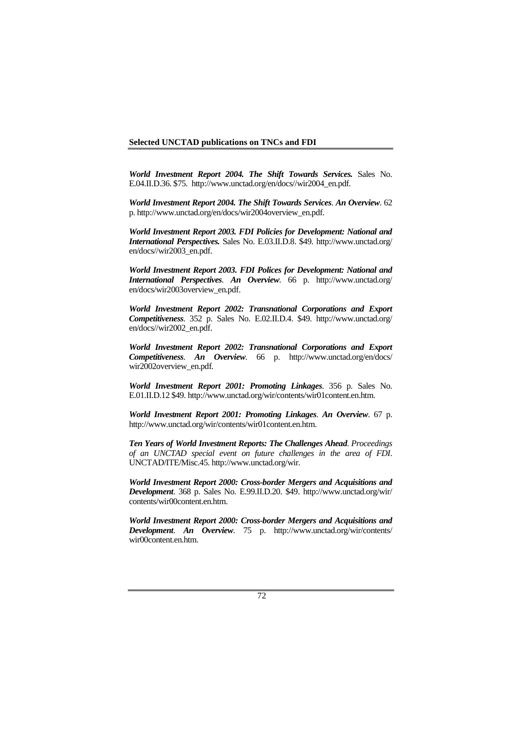#### **Selected UNCTAD publications on TNCs and FDI**

*World Investment Report 2004. The Shift Towards Services.* Sales No. E.04.II.D.36. \$75. http://www.unctad.org/en/docs//wir2004\_en.pdf.

*World Investment Report 2004. The Shift Towards Services*. *An Overview*. 62 p. http://www.unctad.org/en/docs/wir2004overview\_en.pdf.

*World Investment Report 2003. FDI Policies for Development: National and International Perspectives.* Sales No. E.03.II.D.8. \$49. http://www.unctad.org/ en/docs//wir2003\_en.pdf.

*World Investment Report 2003. FDI Polices for Development: National and International Perspectives*. *An Overview*. 66 p. http://www.unctad.org/ en/docs/wir2003overview\_en.pdf.

*World Investment Report 2002: Transnational Corporations and Export Competitiveness*. 352 p. Sales No. E.02.II.D.4. \$49. http://www.unctad.org/ en/docs//wir2002\_en.pdf.

*World Investment Report 2002: Transnational Corporations and Export Competitiveness*. *An Overview*. 66 p. http://www.unctad.org/en/docs/ wir2002overview\_en.pdf.

*World Investment Report 2001: Promoting Linkages*. 356 p. Sales No. E.01.II.D.12 \$49. http://www.unctad.org/wir/contents/wir01content.en.htm.

*World Investment Report 2001: Promoting Linkages*. *An Overview*. 67 p. http://www.unctad.org/wir/contents/wir01content.en.htm.

*Ten Years of World Investment Reports: The Challenges Ahead*. *Proceedings of an UNCTAD special event on future challenges in the area of FDI*. UNCTAD/ITE/Misc.45. http://www.unctad.org/wir.

*World Investment Report 2000: Cross-border Mergers and Acquisitions and Development*. 368 p. Sales No. E.99.II.D.20. \$49. http://www.unctad.org/wir/ contents/wir00content.en.htm.

*World Investment Report 2000: Cross-border Mergers and Acquisitions and Development*. *An Overview*. 75 p. http://www.unctad.org/wir/contents/ wir00content.en.htm.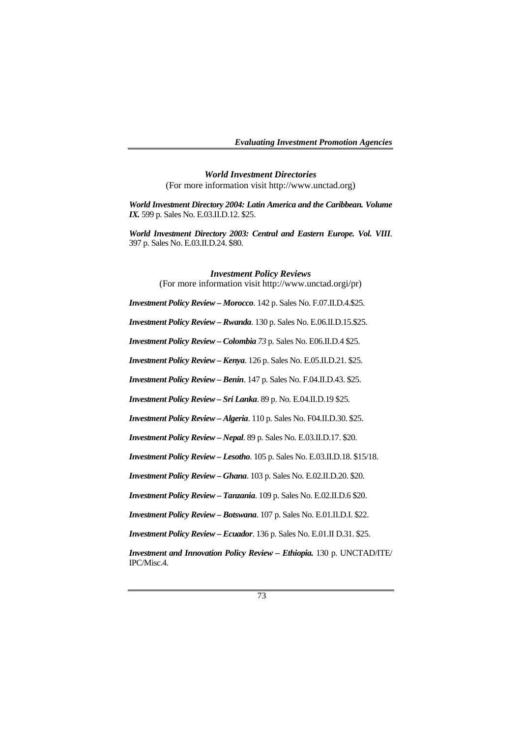*World Investment Directories*  (For more information visit http://www.unctad.org)

*World Investment Directory 2004: Latin America and the Caribbean. Volume IX.* 599 p. Sales No. E.03.II.D.12. \$25.

*World Investment Directory 2003: Central and Eastern Europe. Vol. VIII*. 397 p. Sales No. E.03.II.D.24. \$80.

> *Investment Policy Reviews*  (For more information visit http://www.unctad.orgi/pr)

*Investment Policy Review – Morocco*. 142 p. Sales No. F.07.II.D.4.\$25.

*Investment Policy Review – Rwanda*. 130 p. Sales No. E.06.II.D.15.\$25.

*Investment Policy Review – Colombia 73* p. Sales No. E06.II.D.4 \$25.

*Investment Policy Review – Kenya*. 126 p. Sales No. E.05.II.D.21. \$25.

*Investment Policy Review – Benin*. 147 p. Sales No. F.04.II.D.43. \$25.

*Investment Policy Review – Sri Lanka*. 89 p. No. E.04.II.D.19 \$25.

*Investment Policy Review – Algeria*. 110 p. Sales No. F04.II.D.30. \$25.

*Investment Policy Review – Nepal*. 89 p. Sales No. E.03.II.D.17. \$20.

*Investment Policy Review – Lesotho*. 105 p. Sales No. E.03.II.D.18. \$15/18.

*Investment Policy Review – Ghana*. 103 p. Sales No. E.02.II.D.20. \$20.

*Investment Policy Review – Tanzania*. 109 p. Sales No. E.02.II.D.6 \$20.

*Investment Policy Review – Botswana*. 107 p. Sales No. E.01.II.D.I. \$22.

*Investment Policy Review – Ecuador*. 136 p. Sales No. E.01.II D.31. \$25.

*Investment and Innovation Policy Review – Ethiopia.* 130 p. UNCTAD/ITE/ IPC/Misc.4.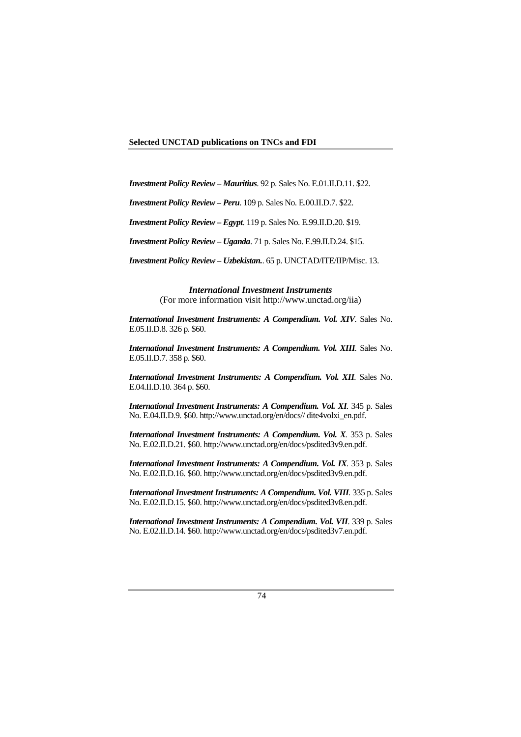*Investment Policy Review – Mauritius*. 92 p. Sales No. E.01.II.D.11. \$22.

*Investment Policy Review – Peru*. 109 p. Sales No. E.00.II.D.7. \$22.

*Investment Policy Review – Egypt*. 119 p. Sales No. E.99.II.D.20. \$19.

*Investment Policy Review – Uganda*. 71 p. Sales No. E.99.II.D.24. \$15.

*Investment Policy Review – Uzbekistan.*. 65 p. UNCTAD/ITE/IIP/Misc. 13.

*International Investment Instruments*  (For more information visit http://www.unctad.org/iia)

*International Investment Instruments: A Compendium. Vol. XIV.* Sales No. E.05.II.D.8. 326 p. \$60.

*International Investment Instruments: A Compendium. Vol. XIII.* Sales No. E.05.II.D.7. 358 p. \$60.

*International Investment Instruments: A Compendium. Vol. XII.* Sales No. E.04.II.D.10. 364 p. \$60.

*International Investment Instruments: A Compendium. Vol. XI.* 345 p. Sales No. E.04.II.D.9. \$60. http://www.unctad.org/en/docs// dite4volxi\_en.pdf.

*International Investment Instruments: A Compendium. Vol. X.* 353 p. Sales No. E.02.II.D.21. \$60. http://www.unctad.org/en/docs/psdited3v9.en.pdf.

*International Investment Instruments: A Compendium. Vol. IX.* 353 p. Sales No. E.02.II.D.16. \$60. http://www.unctad.org/en/docs/psdited3v9.en.pdf.

*International Investment Instruments: A Compendium. Vol. VIII.* 335 p. Sales No. E.02.II.D.15. \$60. http://www.unctad.org/en/docs/psdited3v8.en.pdf.

*International Investment Instruments: A Compendium. Vol. VII*. 339 p. Sales No. E.02.II.D.14. \$60. http://www.unctad.org/en/docs/psdited3v7.en.pdf.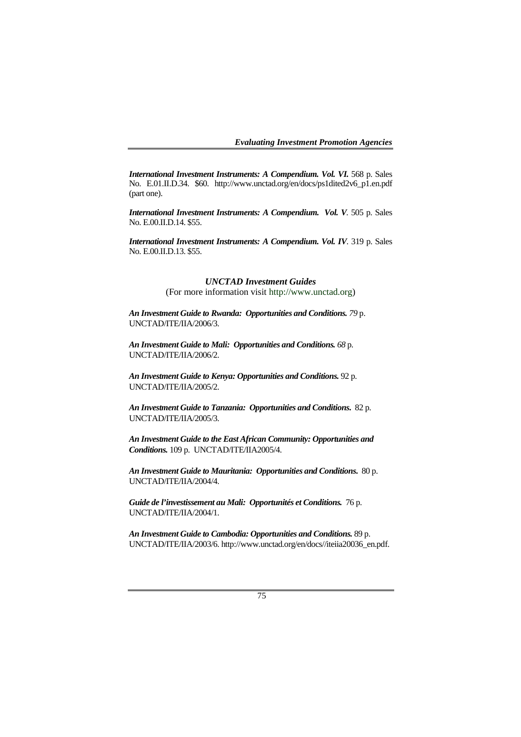*Evaluating Investment Promotion Agencies* 

*International Investment Instruments: A Compendium. Vol. VI.* 568 p. Sales No. E.01.II.D.34. \$60. http://www.unctad.org/en/docs/ps1dited2v6\_p1.en.pdf (part one).

*International Investment Instruments: A Compendium. Vol. V.* 505 p. Sales No. E.00.II.D.14. \$55.

*International Investment Instruments: A Compendium. Vol. IV.* 319 p. Sales No. E.00.II.D.13. \$55.

### *UNCTAD Investment Guides*

(For more information visit http://www.unctad.org)

*An Investment Guide to Rwanda: Opportunities and Conditions. 79* p. UNCTAD/ITE/IIA/2006/3.

*An Investment Guide to Mali: Opportunities and Conditions. 68* p. UNCTAD/ITE/IIA/2006/2.

*An Investment Guide to Kenya: Opportunities and Conditions.* 92 p. UNCTAD/ITE/IIA/2005/2.

*An Investment Guide to Tanzania: Opportunities and Conditions***.** 82 p. UNCTAD/ITE/IIA/2005/3.

*An Investment Guide to the East African Community: Opportunities and Conditions.* 109 p. UNCTAD/ITE/IIA2005/4.

*An Investment Guide to Mauritania: Opportunities and Conditions***.** 80 p. UNCTAD/ITE/IIA/2004/4.

*Guide de l'investissement au Mali: Opportunités et Conditions.* 76 p. UNCTAD/ITE/IIA/2004/1.

*An Investment Guide to Cambodia: Opportunities and Conditions.* 89 p. UNCTAD/ITE/IIA/2003/6. http://www.unctad.org/en/docs//iteiia20036\_en.pdf.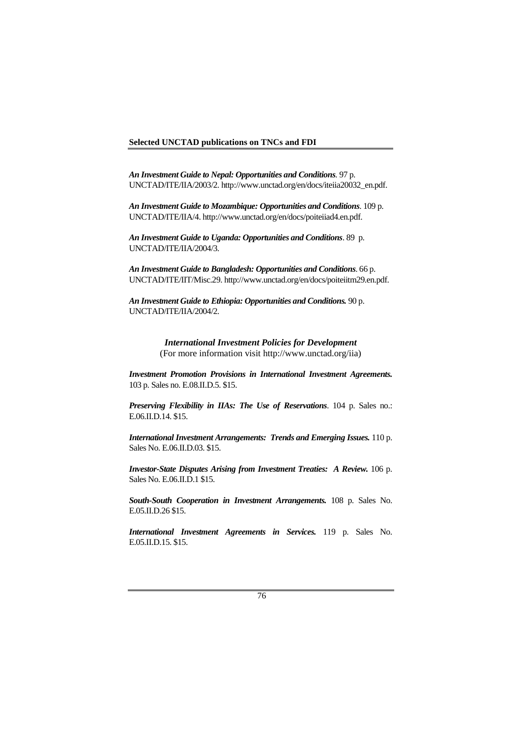#### **Selected UNCTAD publications on TNCs and FDI**

*An Investment Guide to Nepal: Opportunities and Conditions*. 97 p. UNCTAD/ITE/IIA/2003/2. http://www.unctad.org/en/docs/iteiia20032\_en.pdf.

*An Investment Guide to Mozambique: Opportunities and Conditions*. 109 p. UNCTAD/ITE/IIA/4. http://www.unctad.org/en/docs/poiteiiad4.en.pdf.

*An Investment Guide to Uganda: Opportunities and Conditions*. 89 p. UNCTAD/ITE/IIA/2004/3.

*An Investment Guide to Bangladesh: Opportunities and Conditions*. 66 p. UNCTAD/ITE/IIT/Misc.29. http://www.unctad.org/en/docs/poiteiitm29.en.pdf.

*An Investment Guide to Ethiopia: Opportunities and Conditions.* 90 p. UNCTAD/ITE/IIA/2004/2.

> *International Investment Policies for Development*  (For more information visit http://www.unctad.org/iia)

*Investment Promotion Provisions in International Investment Agreements.*  103 p. Sales no. E.08.II.D.5. \$15.

*Preserving Flexibility in IIAs: The Use of Reservations*. 104 p. Sales no.: E.06.II.D.14. \$15.

*International Investment Arrangements: Trends and Emerging Issues.* 110 p. Sales No. E.06.II.D.03. \$15.

*Investor-State Disputes Arising from Investment Treaties: A Review.* 106 p. Sales No. E.06.II.D.1 \$15.

*South-South Cooperation in Investment Arrangements.* 108 p. Sales No. E.05.II.D.26 \$15.

*International Investment Agreements in Services.* 119 p. Sales No. E.05.II.D.15. \$15.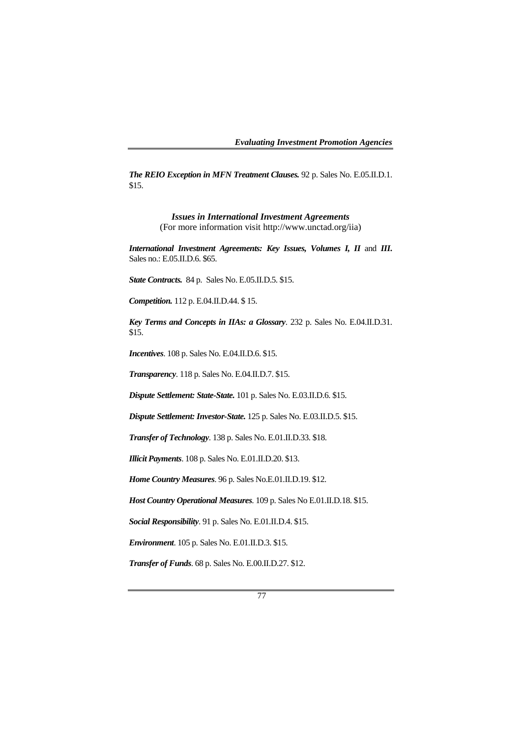*The REIO Exception in MFN Treatment Clauses.* 92 p. Sales No. E.05.II.D.1. \$15.

> *Issues in International Investment Agreements*  (For more information visit http://www.unctad.org/iia)

*International Investment Agreements: Key Issues, Volumes I, II* and *III***.** Sales no.: E.05.II.D.6. \$65.

*State Contracts.* 84 p. Sales No. E.05.II.D.5. \$15.

*Competition.* 112 p. E.04.II.D.44. \$ 15.

*Key Terms and Concepts in IIAs: a Glossary*. 232 p. Sales No. E.04.II.D.31. \$15.

*Incentives*. 108 p. Sales No. E.04.II.D.6. \$15.

*Transparency*. 118 p. Sales No. E.04.II.D.7. \$15.

*Dispute Settlement: State-State.* 101 p. Sales No. E.03.II.D.6. \$15.

*Dispute Settlement: Investor-State.* 125 p. Sales No. E.03.II.D.5. \$15.

*Transfer of Technology*. 138 p. Sales No. E.01.II.D.33. \$18.

*Illicit Payments*. 108 p. Sales No. E.01.II.D.20. \$13.

*Home Country Measures*. 96 p. Sales No.E.01.II.D.19. \$12.

*Host Country Operational Measures*. 109 p. Sales No E.01.II.D.18. \$15.

*Social Responsibility*. 91 p. Sales No. E.01.II.D.4. \$15.

*Environment*. 105 p. Sales No. E.01.II.D.3. \$15.

*Transfer of Funds*. 68 p. Sales No. E.00.II.D.27. \$12.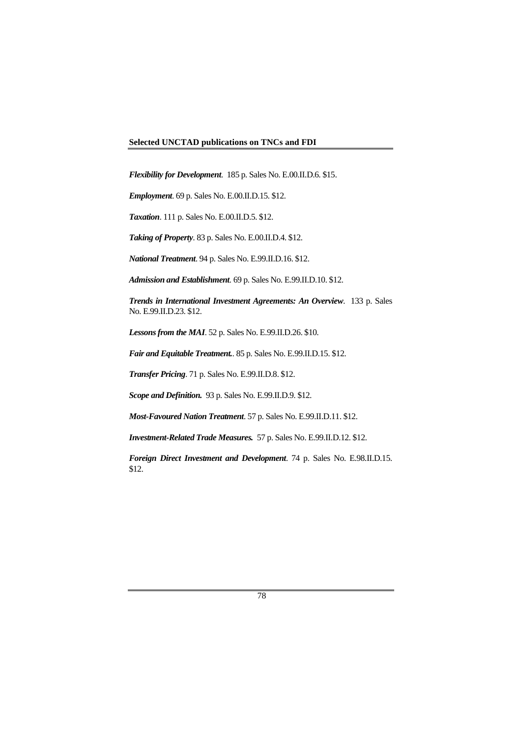# **Selected UNCTAD publications on TNCs and FDI**

*Flexibility for Development*. 185 p. Sales No. E.00.II.D.6. \$15.

*Employment*. 69 p. Sales No. E.00.II.D.15. \$12.

*Taxation*. 111 p. Sales No. E.00.II.D.5. \$12.

*Taking of Property*. 83 p. Sales No. E.00.II.D.4. \$12.

*National Treatment*. 94 p. Sales No. E.99.II.D.16. \$12.

*Admission and Establishment*. 69 p. Sales No. E.99.II.D.10. \$12.

*Trends in International Investment Agreements: An Overview*. 133 p. Sales No. E.99.II.D.23. \$12.

*Lessons from the MAI*. 52 p. Sales No. E.99.II.D.26. \$10.

*Fair and Equitable Treatment.*. 85 p. Sales No. E.99.II.D.15. \$12.

*Transfer Pricing*. 71 p. Sales No. E.99.II.D.8. \$12.

*Scope and Definition.* 93 p. Sales No. E.99.II.D.9. \$12.

*Most-Favoured Nation Treatment*. 57 p. Sales No. E.99.II.D.11. \$12.

*Investment-Related Trade Measures.* 57 p. Sales No. E.99.II.D.12. \$12.

*Foreign Direct Investment and Development*. 74 p. Sales No. E.98.II.D.15. \$12.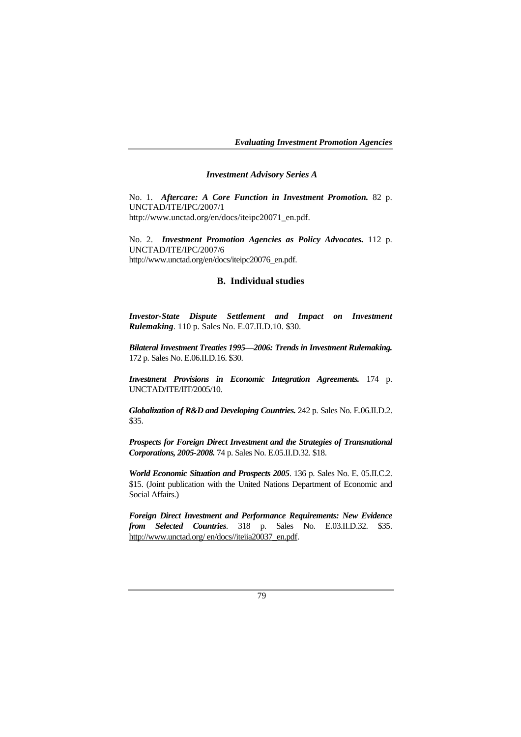*Evaluating Investment Promotion Agencies* 

### *Investment Advisory Series A*

No. 1. *Aftercare: A Core Function in Investment Promotion.* 82 p. UNCTAD/ITE/IPC/2007/1 http://www.unctad.org/en/docs/iteipc20071\_en.pdf.

No. 2. *Investment Promotion Agencies as Policy Advocates.* 112 p. UNCTAD/ITE/IPC/2007/6 http://www.unctad.org/en/docs/iteipc20076\_en.pdf.

#### **B. Individual studies**

*Investor-State Dispute Settlement and Impact on Investment Rulemaking*. 110 p. Sales No. E.07.II.D.10. \$30.

*Bilateral Investment Treaties 1995—2006: Trends in Investment Rulemaking.*  172 p. Sales No. E.06.II.D.16. \$30.

*Investment Provisions in Economic Integration Agreements.* 174 p. UNCTAD/ITE/IIT/2005/10.

*Globalization of R&D and Developing Countries.* 242 p. Sales No. E.06.II.D.2. \$35.

*Prospects for Foreign Direct Investment and the Strategies of Transnational Corporations, 2005-2008.* 74 p. Sales No. E.05.II.D.32. \$18.

*World Economic Situation and Prospects 2005*. 136 p. Sales No. E. 05.II.C.2. \$15. (Joint publication with the United Nations Department of Economic and Social Affairs.)

*Foreign Direct Investment and Performance Requirements: New Evidence from Selected Countries*. 318 p. Sales No. E.03.II.D.32. \$35. http://www.unctad.org/ en/docs//iteiia20037\_en.pdf.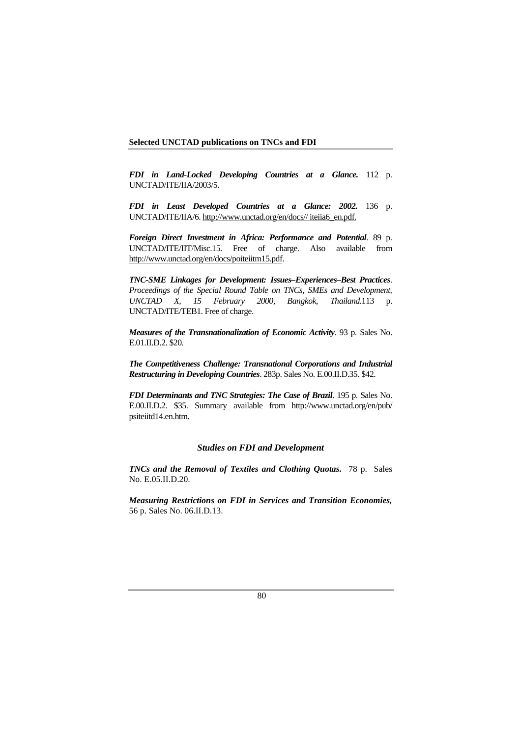*FDI in Land-Locked Developing Countries at a Glance.* 112 p. UNCTAD/ITE/IIA/2003/5.

*FDI in Least Developed Countries at a Glance: 2002.* 136 p. UNCTAD/ITE/IIA/6. http://www.unctad.org/en/docs// iteiia6\_en.pdf.

*Foreign Direct Investment in Africa: Performance and Potential*. 89 p. UNCTAD/ITE/IIT/Misc.15. Free of charge. Also available from http://www.unctad.org/en/docs/poiteiitm15.pdf.

*TNC-SME Linkages for Development: Issues–Experiences–Best Practices*. *Proceedings of the Special Round Table on TNCs, SMEs and Development, UNCTAD X, 15 February 2000, Bangkok, Thailand.*113 p. UNCTAD/ITE/TEB1. Free of charge.

*Measures of the Transnationalization of Economic Activity*. 93 p. Sales No. E.01.II.D.2. \$20.

*The Competitiveness Challenge: Transnational Corporations and Industrial Restructuring in Developing Countries*. 283p. Sales No. E.00.II.D.35. \$42.

*FDI Determinants and TNC Strategies: The Case of Brazil*. 195 p. Sales No. E.00.II.D.2. \$35. Summary available from http://www.unctad.org/en/pub/ psiteiitd14.en.htm.

### *Studies on FDI and Development*

*TNCs and the Removal of Textiles and Clothing Quotas.* 78 p. Sales No. E.05.II.D.20.

*Measuring Restrictions on FDI in Services and Transition Economies,* 56 p. Sales No. 06.II.D.13.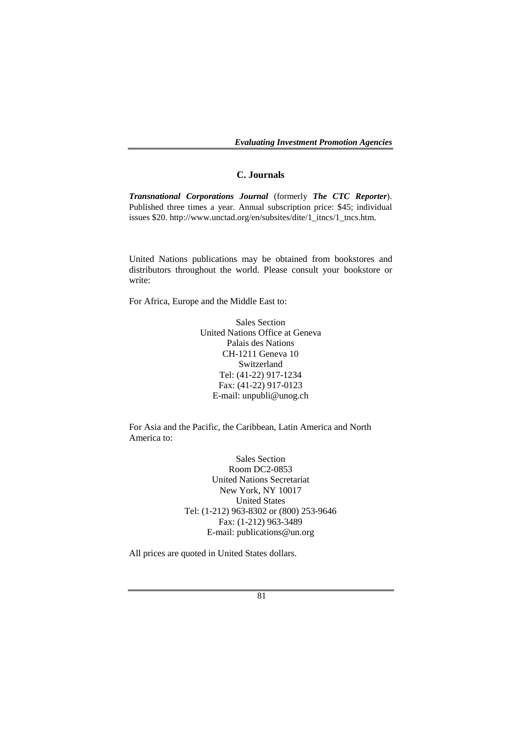*Evaluating Investment Promotion Agencies* 

### **C. Journals**

*Transnational Corporations Journal* (formerly *The CTC Reporter*). Published three times a year. Annual subscription price: \$45; individual issues \$20. http://www.unctad.org/en/subsites/dite/1\_itncs/1\_tncs.htm.

United Nations publications may be obtained from bookstores and distributors throughout the world. Please consult your bookstore or write:

For Africa, Europe and the Middle East to:

Sales Section United Nations Office at Geneva Palais des Nations CH-1211 Geneva 10 Switzerland Tel: (41-22) 917-1234 Fax: (41-22) 917-0123 E-mail: unpubli@unog.ch

For Asia and the Pacific, the Caribbean, Latin America and North America to:

> Sales Section Room DC2-0853 United Nations Secretariat New York, NY 10017 United States Tel: (1-212) 963-8302 or (800) 253-9646 Fax: (1-212) 963-3489 E-mail: publications@un.org

All prices are quoted in United States dollars.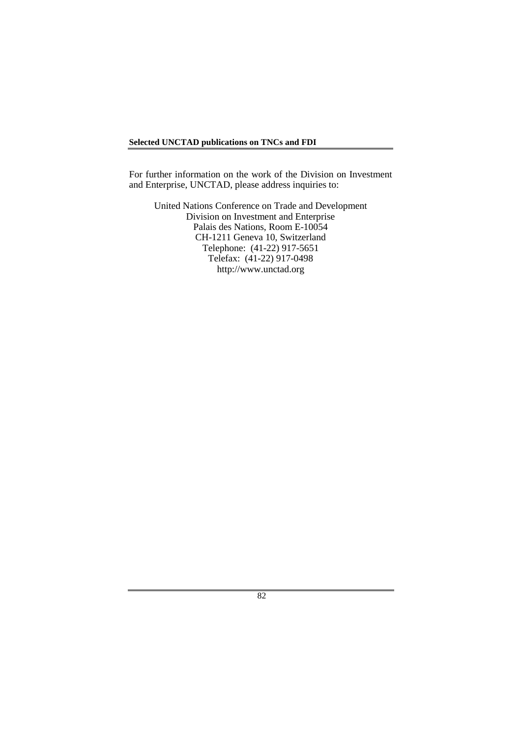### **Selected UNCTAD publications on TNCs and FDI**

For further information on the work of the Division on Investment and Enterprise, UNCTAD, please address inquiries to:

United Nations Conference on Trade and Development Division on Investment and Enterprise Palais des Nations, Room E-10054 CH-1211 Geneva 10, Switzerland Telephone: (41-22) 917-5651 Telefax: (41-22) 917-0498 http://www.unctad.org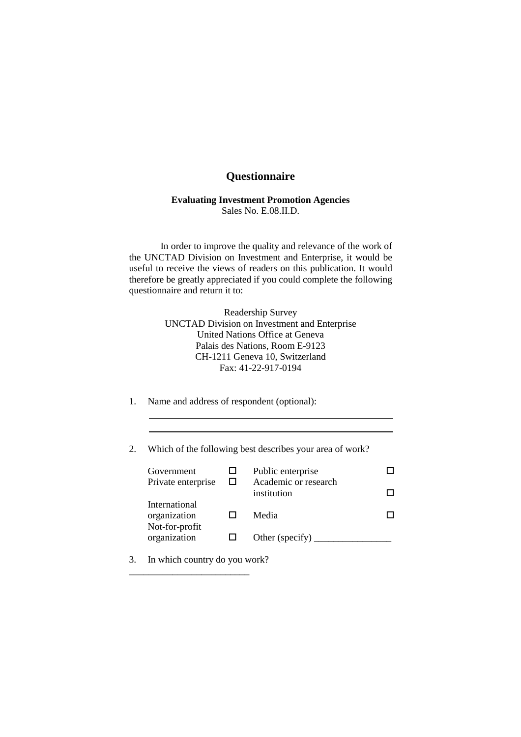# **Questionnaire**

### **Evaluating Investment Promotion Agencies**  Sales No. E.08.II.D.

 In order to improve the quality and relevance of the work of the UNCTAD Division on Investment and Enterprise, it would be useful to receive the views of readers on this publication. It would therefore be greatly appreciated if you could complete the following questionnaire and return it to:

> Readership Survey UNCTAD Division on Investment and Enterprise United Nations Office at Geneva Palais des Nations, Room E-9123 CH-1211 Geneva 10, Switzerland Fax: 41-22-917-0194

- 1. Name and address of respondent (optional):
- 2. Which of the following best describes your area of work?

| Government<br>Private enterprise                | Public enterprise<br>Academic or research<br>institution |  |
|-------------------------------------------------|----------------------------------------------------------|--|
| International<br>organization<br>Not-for-profit | Media                                                    |  |
| organization                                    | Other (specify)                                          |  |

3. In which country do you work?

\_\_\_\_\_\_\_\_\_\_\_\_\_\_\_\_\_\_\_\_\_\_\_\_\_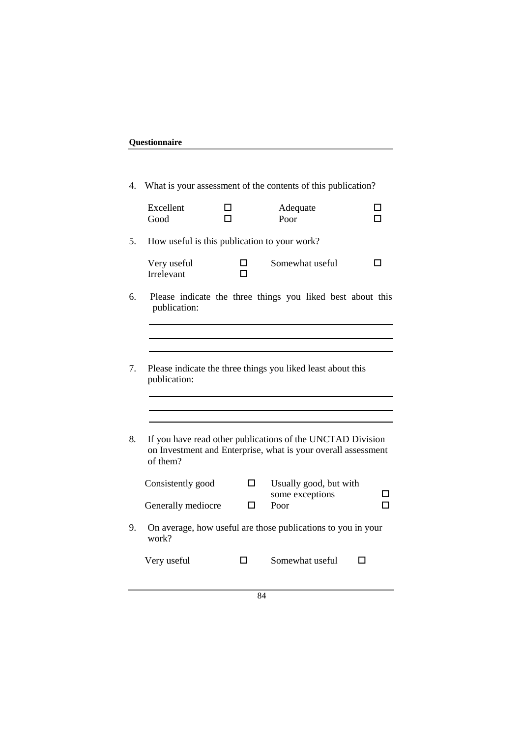| Questionnaire |  |
|---------------|--|
|               |  |

| 4. |                                              |   | What is your assessment of the contents of this publication?                                                                |        |
|----|----------------------------------------------|---|-----------------------------------------------------------------------------------------------------------------------------|--------|
|    | Excellent<br>Good                            | п | Adequate<br>Poor                                                                                                            | П<br>п |
| 5. | How useful is this publication to your work? |   |                                                                                                                             |        |
|    | Very useful<br>Irrelevant                    |   | Somewhat useful                                                                                                             | LΙ     |
| 6. | publication:                                 |   | Please indicate the three things you liked best about this                                                                  |        |
|    |                                              |   |                                                                                                                             |        |
| 7. | publication:                                 |   | Please indicate the three things you liked least about this                                                                 |        |
| 8. | of them?                                     |   | If you have read other publications of the UNCTAD Division<br>on Investment and Enterprise, what is your overall assessment |        |
|    | Consistently good                            | П | Usually good, but with<br>some exceptions                                                                                   |        |
|    | Generally mediocre                           | П | Poor                                                                                                                        |        |
| 9. | work?                                        |   | On average, how useful are those publications to you in your                                                                |        |
|    | Very useful                                  | П | Somewhat useful                                                                                                             | П      |